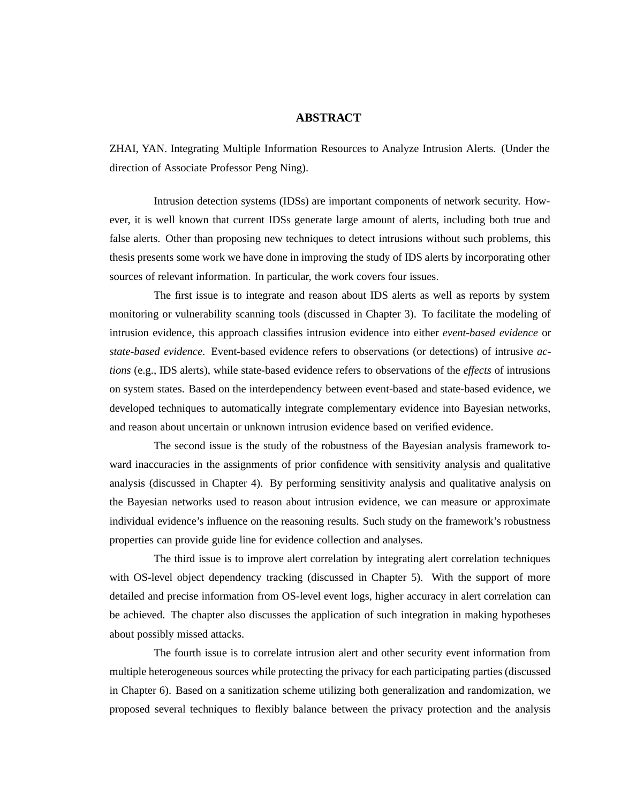### **ABSTRACT**

ZHAI, YAN. Integrating Multiple Information Resources to Analyze Intrusion Alerts. (Under the direction of Associate Professor Peng Ning).

Intrusion detection systems (IDSs) are important components of network security. However, it is well known that current IDSs generate large amount of alerts, including both true and false alerts. Other than proposing new techniques to detect intrusions without such problems, this thesis presents some work we have done in improving the study of IDS alerts by incorporating other sources of relevant information. In particular, the work covers four issues.

The first issue is to integrate and reason about IDS alerts as well as reports by system monitoring or vulnerability scanning tools (discussed in Chapter 3). To facilitate the modeling of intrusion evidence, this approach classifies intrusion evidence into either *event-based evidence* or *state-based evidence*. Event-based evidence refers to observations (or detections) of intrusive *actions* (e.g., IDS alerts), while state-based evidence refers to observations of the *effects* of intrusions on system states. Based on the interdependency between event-based and state-based evidence, we developed techniques to automatically integrate complementary evidence into Bayesian networks, and reason about uncertain or unknown intrusion evidence based on verified evidence.

The second issue is the study of the robustness of the Bayesian analysis framework toward inaccuracies in the assignments of prior confidence with sensitivity analysis and qualitative analysis (discussed in Chapter 4). By performing sensitivity analysis and qualitative analysis on the Bayesian networks used to reason about intrusion evidence, we can measure or approximate individual evidence's influence on the reasoning results. Such study on the framework's robustness properties can provide guide line for evidence collection and analyses.

The third issue is to improve alert correlation by integrating alert correlation techniques with OS-level object dependency tracking (discussed in Chapter 5). With the support of more detailed and precise information from OS-level event logs, higher accuracy in alert correlation can be achieved. The chapter also discusses the application of such integration in making hypotheses about possibly missed attacks.

The fourth issue is to correlate intrusion alert and other security event information from multiple heterogeneous sources while protecting the privacy for each participating parties (discussed in Chapter 6). Based on a sanitization scheme utilizing both generalization and randomization, we proposed several techniques to flexibly balance between the privacy protection and the analysis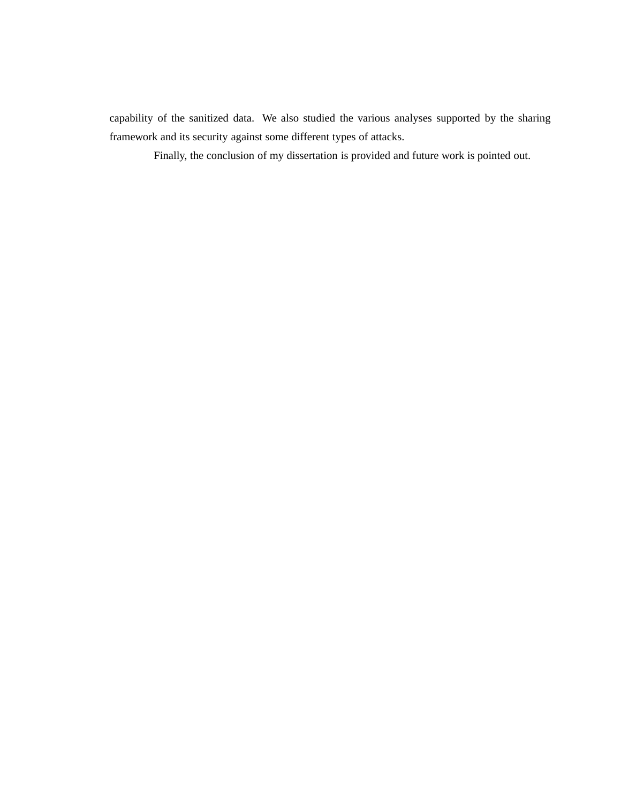capability of the sanitized data. We also studied the various analyses supported by the sharing framework and its security against some different types of attacks.

Finally, the conclusion of my dissertation is provided and future work is pointed out.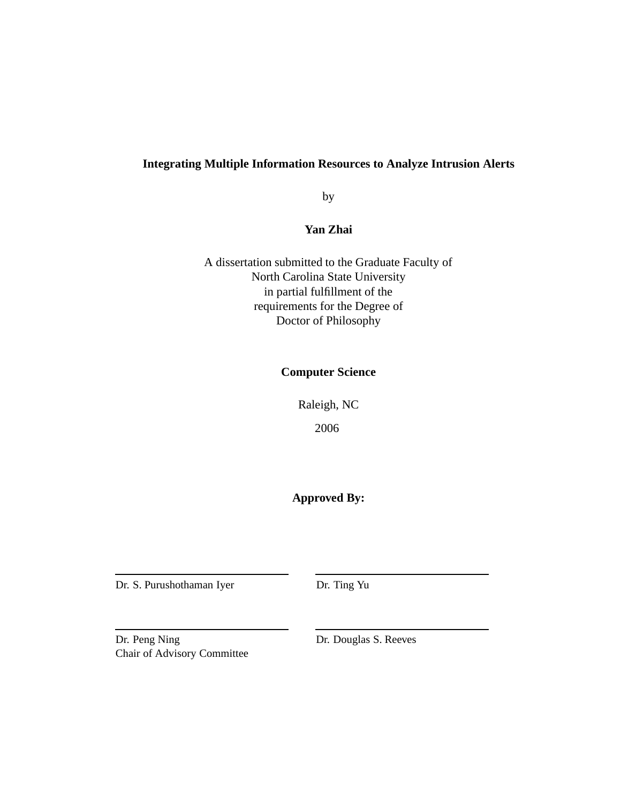## **Integrating Multiple Information Resources to Analyze Intrusion Alerts**

by

## **Yan Zhai**

A dissertation submitted to the Graduate Faculty of North Carolina State University in partial fulfillment of the requirements for the Degree of Doctor of Philosophy

## **Computer Science**

Raleigh, NC

2006

**Approved By:**

Dr. S. Purushothaman Iyer Dr. Ting Yu

Dr. Peng Ning Dr. Douglas S. Reeves Chair of Advisory Committee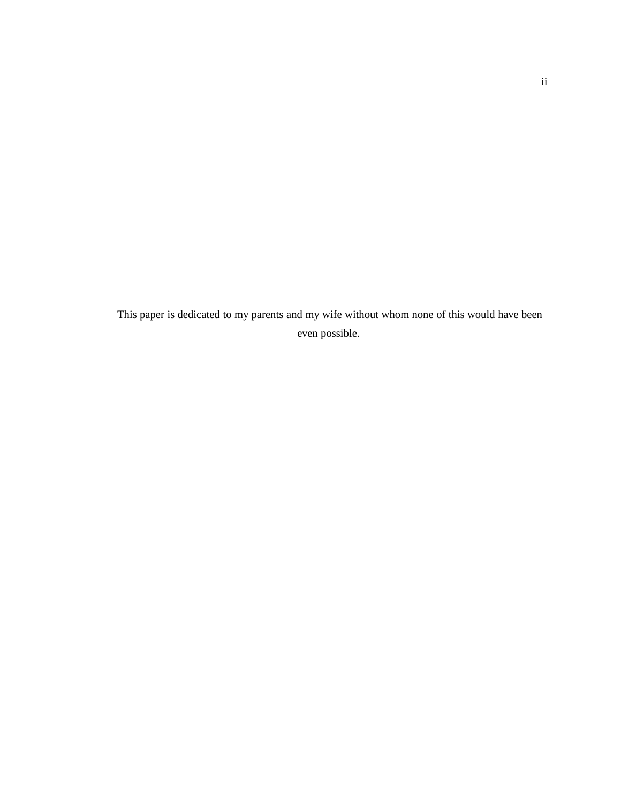This paper is dedicated to my parents and my wife without whom none of this would have been even possible.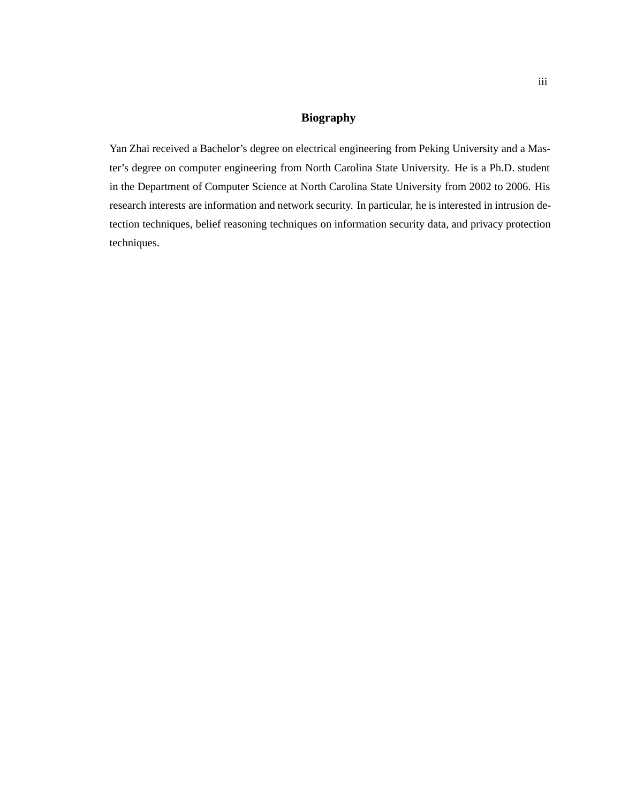## **Biography**

Yan Zhai received a Bachelor's degree on electrical engineering from Peking University and a Master's degree on computer engineering from North Carolina State University. He is a Ph.D. student in the Department of Computer Science at North Carolina State University from 2002 to 2006. His research interests are information and network security. In particular, he is interested in intrusion detection techniques, belief reasoning techniques on information security data, and privacy protection techniques.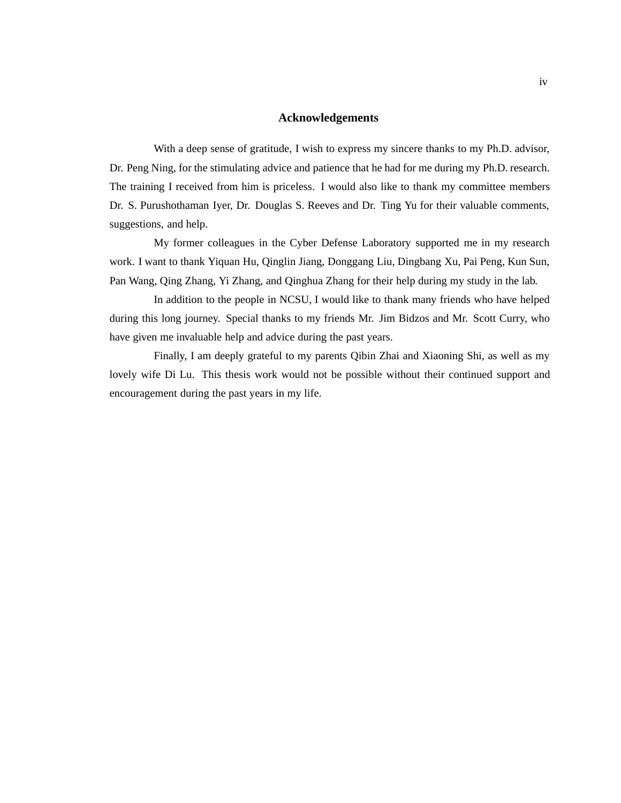#### **Acknowledgements**

With a deep sense of gratitude, I wish to express my sincere thanks to my Ph.D. advisor, Dr. Peng Ning, for the stimulating advice and patience that he had for me during my Ph.D. research. The training I received from him is priceless. I would also like to thank my committee members Dr. S. Purushothaman Iyer, Dr. Douglas S. Reeves and Dr. Ting Yu for their valuable comments, suggestions, and help.

My former colleagues in the Cyber Defense Laboratory supported me in my research work. I want to thank Yiquan Hu, Qinglin Jiang, Donggang Liu, Dingbang Xu, Pai Peng, Kun Sun, Pan Wang, Qing Zhang, Yi Zhang, and Qinghua Zhang for their help during my study in the lab.

In addition to the people in NCSU, I would like to thank many friends who have helped during this long journey. Special thanks to my friends Mr. Jim Bidzos and Mr. Scott Curry, who have given me invaluable help and advice during the past years.

Finally, I am deeply grateful to my parents Qibin Zhai and Xiaoning Shi, as well as my lovely wife Di Lu. This thesis work would not be possible without their continued support and encouragement during the past years in my life.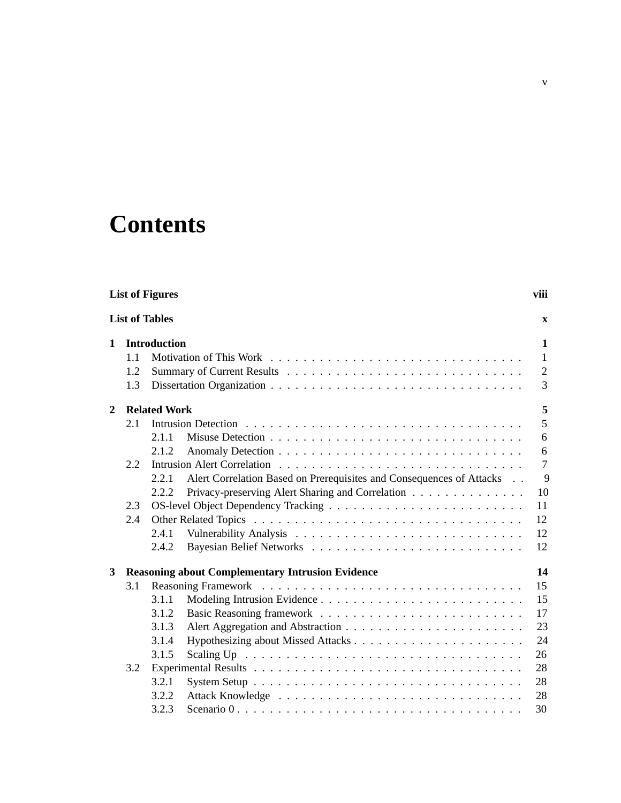# **Contents**

|              | <b>List of Figures</b><br>viii |                       |                                                                                            |                |  |
|--------------|--------------------------------|-----------------------|--------------------------------------------------------------------------------------------|----------------|--|
|              |                                | <b>List of Tables</b> |                                                                                            | $\mathbf X$    |  |
| $\mathbf 1$  |                                | <b>Introduction</b>   |                                                                                            | 1              |  |
|              | $1\,1$                         |                       |                                                                                            | $\mathbf{1}$   |  |
|              | 1.2                            |                       |                                                                                            | $\overline{2}$ |  |
|              | 1.3                            |                       |                                                                                            | 3              |  |
| $\mathbf{2}$ |                                | <b>Related Work</b>   |                                                                                            | 5              |  |
|              | 2.1                            |                       |                                                                                            | 5              |  |
|              |                                | 2.1.1                 |                                                                                            | 6              |  |
|              |                                | 2.1.2                 |                                                                                            | 6              |  |
|              | 2.2                            |                       |                                                                                            | $\overline{7}$ |  |
|              |                                | 2.2.1                 | Alert Correlation Based on Prerequisites and Consequences of Attacks                       | 9              |  |
|              |                                | 2.2.2                 | Privacy-preserving Alert Sharing and Correlation                                           | 10             |  |
|              | 2.3                            |                       |                                                                                            | 11             |  |
|              | 2.4                            |                       |                                                                                            | 12             |  |
|              |                                | 2.4.1                 |                                                                                            | 12             |  |
|              |                                | 2.4.2                 |                                                                                            | 12             |  |
| 3            |                                |                       | <b>Reasoning about Complementary Intrusion Evidence</b>                                    | 14             |  |
|              | 3.1                            |                       |                                                                                            | 15             |  |
|              |                                | 3.1.1                 |                                                                                            | 15             |  |
|              |                                | 3.1.2                 |                                                                                            | 17             |  |
|              |                                | 3.1.3                 |                                                                                            | 23             |  |
|              |                                | 3.1.4                 |                                                                                            | 24             |  |
|              |                                | 3.1.5                 | Scaling $Up \dots \dots \dots \dots \dots \dots \dots \dots \dots \dots \dots \dots \dots$ | 26             |  |
|              | 3.2                            |                       |                                                                                            | 28             |  |
|              |                                | 3.2.1                 |                                                                                            | 28             |  |
|              |                                | 3.2.2                 |                                                                                            | 28             |  |
|              |                                | 3.2.3                 |                                                                                            | 30             |  |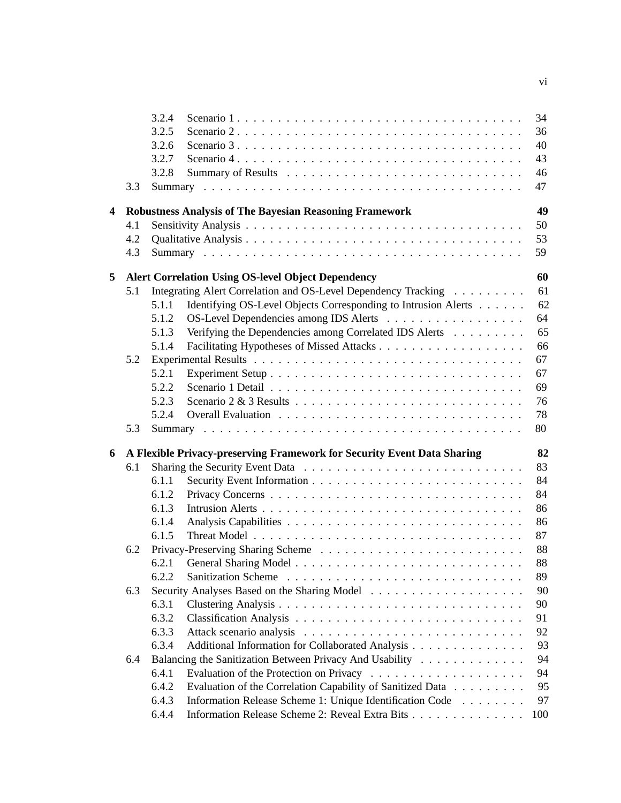|   | 3.3 | 3.2.4<br>3.2.5<br>3.2.6<br>3.2.7<br>3.2.8                               | 34<br>36<br>40<br>43<br>46<br>47 |
|---|-----|-------------------------------------------------------------------------|----------------------------------|
| 4 |     | <b>Robustness Analysis of The Bayesian Reasoning Framework</b>          | 49                               |
|   | 4.1 |                                                                         | 50                               |
|   | 4.2 |                                                                         | 53                               |
|   | 4.3 |                                                                         | 59                               |
| 5 |     | <b>Alert Correlation Using OS-level Object Dependency</b>               | 60                               |
|   | 5.1 | Integrating Alert Correlation and OS-Level Dependency Tracking          | 61                               |
|   |     | Identifying OS-Level Objects Corresponding to Intrusion Alerts<br>5.1.1 | 62                               |
|   |     | OS-Level Dependencies among IDS Alerts<br>5.1.2                         | 64                               |
|   |     | Verifying the Dependencies among Correlated IDS Alerts<br>5.1.3         | 65                               |
|   |     | 5.1.4                                                                   | 66                               |
|   | 5.2 |                                                                         | 67                               |
|   |     | 5.2.1                                                                   | 67                               |
|   |     | 5.2.2                                                                   | 69                               |
|   |     | 5.2.3                                                                   | 76                               |
|   |     | 5.2.4                                                                   | 78                               |
|   | 5.3 |                                                                         | 80                               |
| 6 |     | A Flexible Privacy-preserving Framework for Security Event Data Sharing | 82                               |
|   | 6.1 |                                                                         | 83                               |
|   |     | 6.1.1                                                                   | 84                               |
|   |     | 6.1.2                                                                   | 84                               |
|   |     | 6.1.3                                                                   | 86                               |
|   |     | 6.1.4                                                                   | 86                               |
|   |     | 6.1.5                                                                   | 87                               |
|   | 6.2 |                                                                         | 88                               |
|   |     |                                                                         | 88                               |
|   |     | 6.2.2<br><b>Sanitization Scheme</b>                                     | 89                               |
|   | 6.3 |                                                                         | 90                               |
|   |     | 6.3.1                                                                   | 90                               |
|   |     | 6.3.2                                                                   | 91                               |
|   |     | 6.3.3                                                                   | 92                               |
|   |     | Additional Information for Collaborated Analysis<br>6.3.4               | 93                               |
|   | 6.4 | Balancing the Sanitization Between Privacy And Usability                | 94                               |
|   |     | 6.4.1                                                                   | 94                               |
|   |     | Evaluation of the Correlation Capability of Sanitized Data<br>6.4.2     | 95                               |
|   |     | Information Release Scheme 1: Unique Identification Code<br>6.4.3       | 97                               |
|   |     | Information Release Scheme 2: Reveal Extra Bits<br>6.4.4                | 100                              |

vi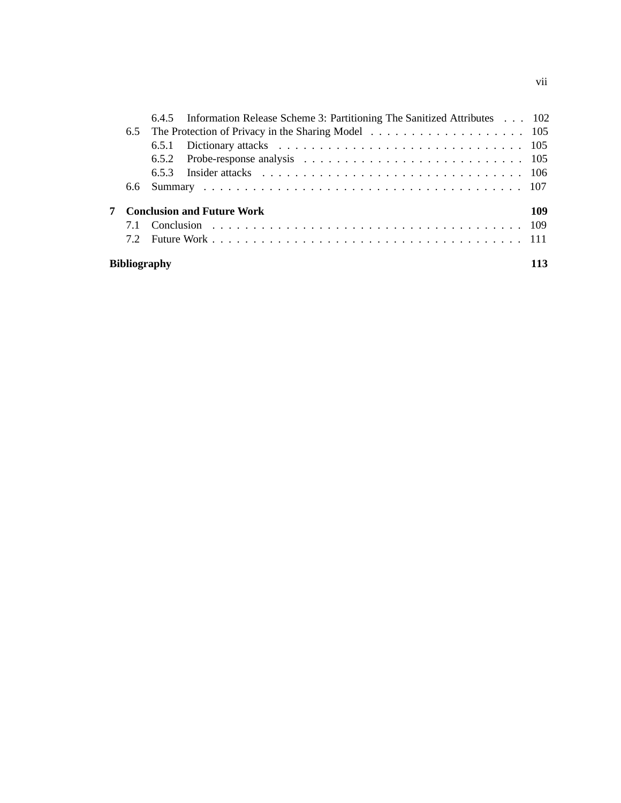|    |              | 6.4.5 Information Release Scheme 3: Partitioning The Sanitized Attributes 102 |     |
|----|--------------|-------------------------------------------------------------------------------|-----|
|    |              |                                                                               |     |
|    |              |                                                                               |     |
|    |              |                                                                               |     |
|    |              |                                                                               |     |
|    |              |                                                                               |     |
|    |              | <b>Conclusion and Future Work</b>                                             | 109 |
| 71 |              |                                                                               |     |
|    |              |                                                                               |     |
|    | Bibliography |                                                                               |     |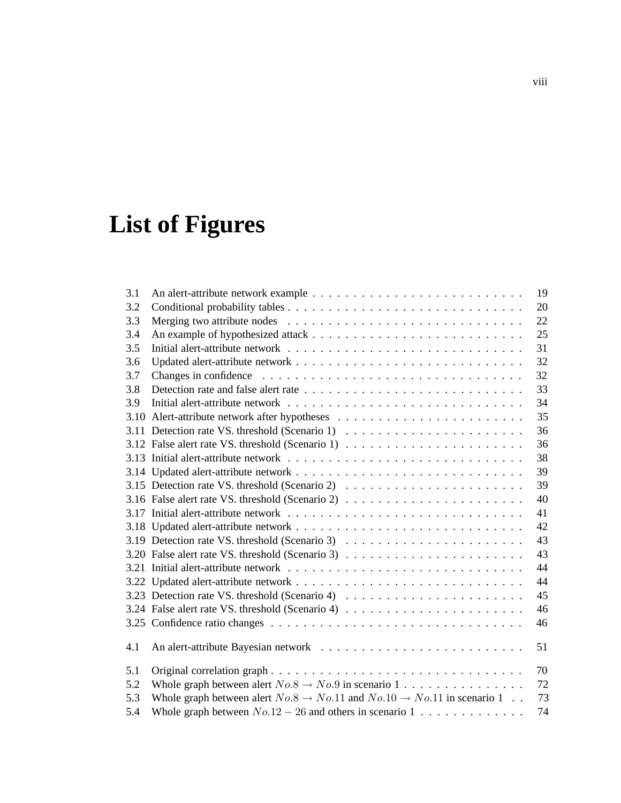# **List of Figures**

| 3.1  |                                                                                                               | 19 |
|------|---------------------------------------------------------------------------------------------------------------|----|
| 3.2  |                                                                                                               | 20 |
| 3.3  |                                                                                                               | 22 |
| 3.4  |                                                                                                               | 25 |
| 3.5  |                                                                                                               | 31 |
| 3.6  |                                                                                                               | 32 |
| 3.7  |                                                                                                               | 32 |
| 3.8  |                                                                                                               | 33 |
| 3.9  |                                                                                                               | 34 |
| 3.10 |                                                                                                               | 35 |
|      |                                                                                                               | 36 |
|      |                                                                                                               | 36 |
|      |                                                                                                               | 38 |
|      |                                                                                                               | 39 |
|      | 3.15 Detection rate VS. threshold (Scenario 2) $\ldots \ldots \ldots \ldots \ldots \ldots \ldots \ldots$      | 39 |
|      |                                                                                                               | 40 |
|      |                                                                                                               | 41 |
|      |                                                                                                               | 42 |
|      |                                                                                                               | 43 |
|      |                                                                                                               | 43 |
|      |                                                                                                               | 44 |
|      |                                                                                                               | 44 |
|      | 3.23 Detection rate VS. threshold (Scenario 4) $\ldots \ldots \ldots \ldots \ldots \ldots \ldots \ldots$      | 45 |
|      |                                                                                                               | 46 |
|      | 3.25 Confidence ratio changes $\dots \dots \dots \dots \dots \dots \dots \dots \dots \dots \dots \dots \dots$ | 46 |
| 4.1  |                                                                                                               | 51 |
| 5.1  |                                                                                                               | 70 |
| 5.2  | Whole graph between alert $No.8 \rightarrow No.9$ in scenario 1                                               | 72 |
| 5.3  | Whole graph between alert $No.8 \rightarrow No.11$ and $No.10 \rightarrow No.11$ in scenario 1                | 73 |
| 5.4  |                                                                                                               | 74 |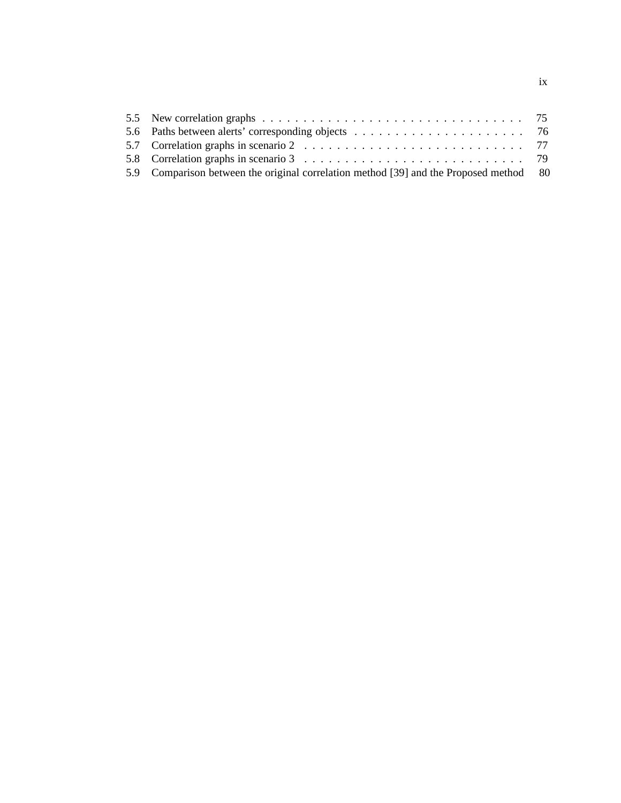| 5.9 Comparison between the original correlation method [39] and the Proposed method 80 |  |
|----------------------------------------------------------------------------------------|--|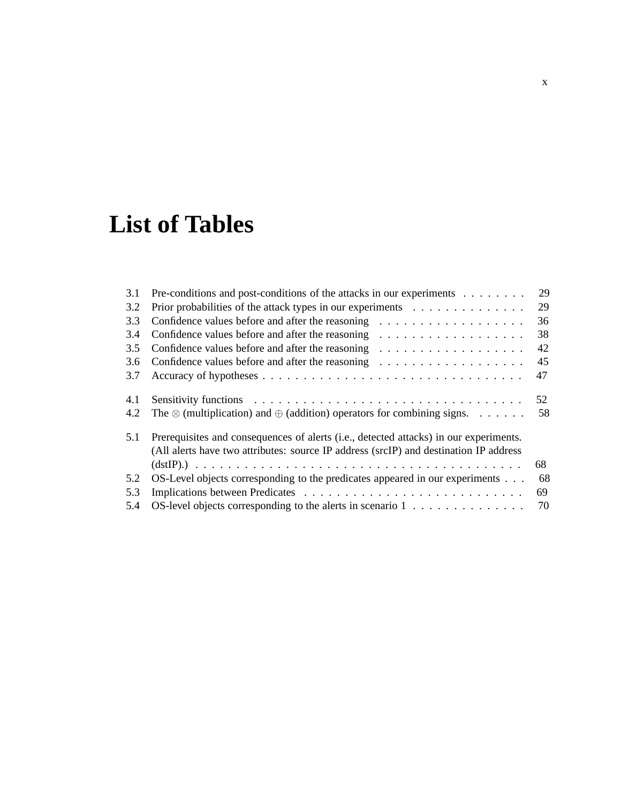# **List of Tables**

| 3.1 | Pre-conditions and post-conditions of the attacks in our experiments $\dots \dots$                                                                                                                                                                                                                                                             | 29 |
|-----|------------------------------------------------------------------------------------------------------------------------------------------------------------------------------------------------------------------------------------------------------------------------------------------------------------------------------------------------|----|
| 3.2 | Prior probabilities of the attack types in our experiments                                                                                                                                                                                                                                                                                     | 29 |
| 3.3 |                                                                                                                                                                                                                                                                                                                                                | 36 |
| 3.4 | Confidence values before and after the reasoning<br>$\mathcal{L}^{(1)}\left( \mathcal{L}^{(1)}\left( \mathcal{L}^{(1)}\left( \mathcal{L}^{(1)}\left( \mathcal{L}^{(1)}\left( \mathcal{L}^{(1)}\left( \mathcal{L}^{(1)}\left( \mathcal{L}^{(1)}\right) \mathcal{L}^{(1)}\left( \mathcal{L}^{(1)}\right) \right)\right) \right) \right) \right)$ | 38 |
| 3.5 |                                                                                                                                                                                                                                                                                                                                                | 42 |
| 3.6 |                                                                                                                                                                                                                                                                                                                                                | 45 |
| 3.7 |                                                                                                                                                                                                                                                                                                                                                | 47 |
| 4.1 |                                                                                                                                                                                                                                                                                                                                                | 52 |
| 4.2 | The $\otimes$ (multiplication) and $\oplus$ (addition) operators for combining signs.                                                                                                                                                                                                                                                          | 58 |
| 5.1 | Prerequisites and consequences of alerts (i.e., detected attacks) in our experiments.<br>(All alerts have two attributes: source IP address (srcIP) and destination IP address                                                                                                                                                                 |    |
|     |                                                                                                                                                                                                                                                                                                                                                | 68 |
| 5.2 | OS-Level objects corresponding to the predicates appeared in our experiments                                                                                                                                                                                                                                                                   | 68 |
| 5.3 |                                                                                                                                                                                                                                                                                                                                                | 69 |
| 5.4 | OS-level objects corresponding to the alerts in scenario 1                                                                                                                                                                                                                                                                                     | 70 |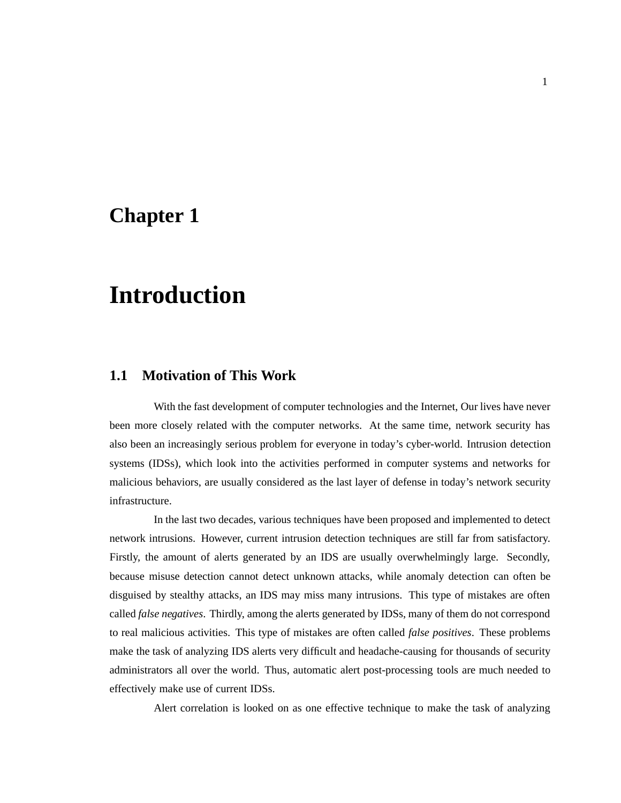## **Chapter 1**

## **Introduction**

## **1.1 Motivation of This Work**

With the fast development of computer technologies and the Internet, Our lives have never been more closely related with the computer networks. At the same time, network security has also been an increasingly serious problem for everyone in today's cyber-world. Intrusion detection systems (IDSs), which look into the activities performed in computer systems and networks for malicious behaviors, are usually considered as the last layer of defense in today's network security infrastructure.

In the last two decades, various techniques have been proposed and implemented to detect network intrusions. However, current intrusion detection techniques are still far from satisfactory. Firstly, the amount of alerts generated by an IDS are usually overwhelmingly large. Secondly, because misuse detection cannot detect unknown attacks, while anomaly detection can often be disguised by stealthy attacks, an IDS may miss many intrusions. This type of mistakes are often called *false negatives*. Thirdly, among the alerts generated by IDSs, many of them do not correspond to real malicious activities. This type of mistakes are often called *false positives*. These problems make the task of analyzing IDS alerts very difficult and headache-causing for thousands of security administrators all over the world. Thus, automatic alert post-processing tools are much needed to effectively make use of current IDSs.

Alert correlation is looked on as one effective technique to make the task of analyzing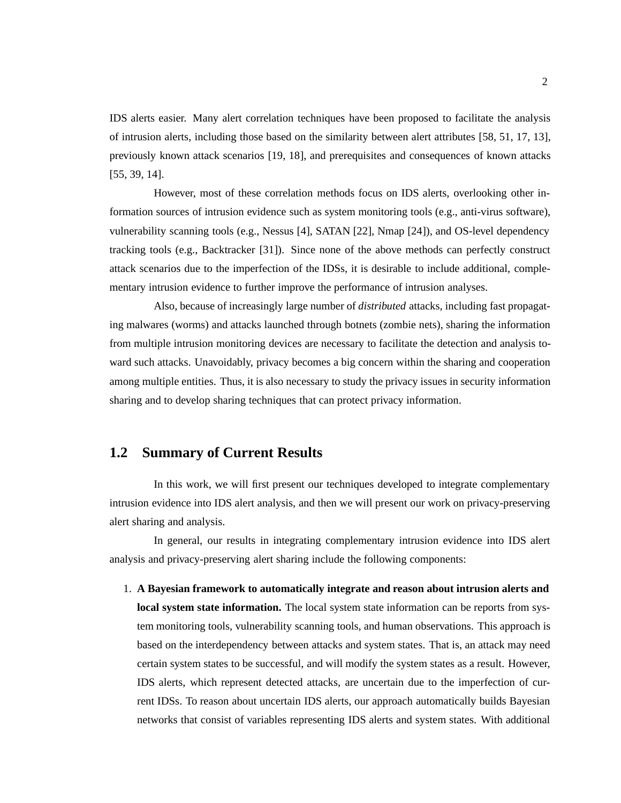IDS alerts easier. Many alert correlation techniques have been proposed to facilitate the analysis of intrusion alerts, including those based on the similarity between alert attributes [58, 51, 17, 13], previously known attack scenarios [19, 18], and prerequisites and consequences of known attacks [55, 39, 14].

However, most of these correlation methods focus on IDS alerts, overlooking other information sources of intrusion evidence such as system monitoring tools (e.g., anti-virus software), vulnerability scanning tools (e.g., Nessus [4], SATAN [22], Nmap [24]), and OS-level dependency tracking tools (e.g., Backtracker [31]). Since none of the above methods can perfectly construct attack scenarios due to the imperfection of the IDSs, it is desirable to include additional, complementary intrusion evidence to further improve the performance of intrusion analyses.

Also, because of increasingly large number of *distributed* attacks, including fast propagating malwares (worms) and attacks launched through botnets (zombie nets), sharing the information from multiple intrusion monitoring devices are necessary to facilitate the detection and analysis toward such attacks. Unavoidably, privacy becomes a big concern within the sharing and cooperation among multiple entities. Thus, it is also necessary to study the privacy issues in security information sharing and to develop sharing techniques that can protect privacy information.

### **1.2 Summary of Current Results**

In this work, we will first present our techniques developed to integrate complementary intrusion evidence into IDS alert analysis, and then we will present our work on privacy-preserving alert sharing and analysis.

In general, our results in integrating complementary intrusion evidence into IDS alert analysis and privacy-preserving alert sharing include the following components:

1. **A Bayesian framework to automatically integrate and reason about intrusion alerts and local system state information.** The local system state information can be reports from system monitoring tools, vulnerability scanning tools, and human observations. This approach is based on the interdependency between attacks and system states. That is, an attack may need certain system states to be successful, and will modify the system states as a result. However, IDS alerts, which represent detected attacks, are uncertain due to the imperfection of current IDSs. To reason about uncertain IDS alerts, our approach automatically builds Bayesian networks that consist of variables representing IDS alerts and system states. With additional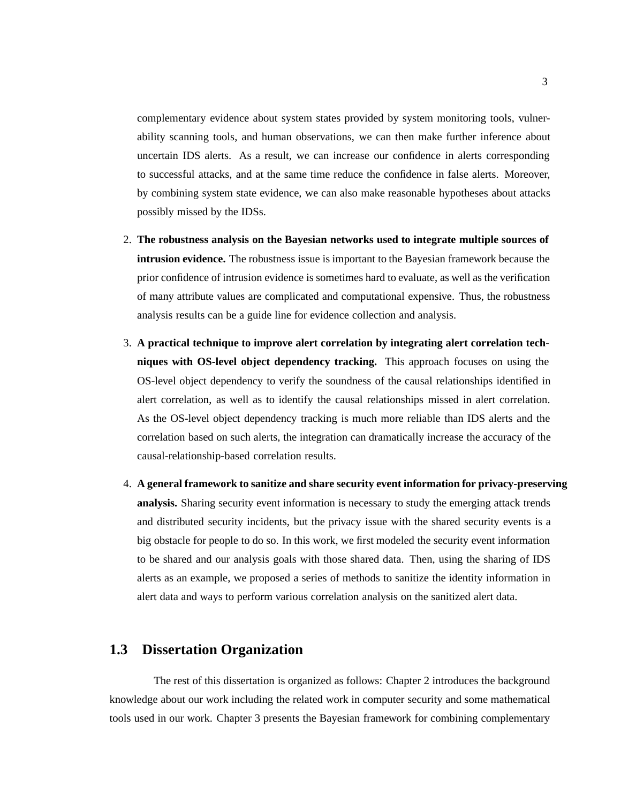complementary evidence about system states provided by system monitoring tools, vulnerability scanning tools, and human observations, we can then make further inference about uncertain IDS alerts. As a result, we can increase our confidence in alerts corresponding to successful attacks, and at the same time reduce the confidence in false alerts. Moreover, by combining system state evidence, we can also make reasonable hypotheses about attacks possibly missed by the IDSs.

- 2. **The robustness analysis on the Bayesian networks used to integrate multiple sources of intrusion evidence.** The robustness issue is important to the Bayesian framework because the prior confidence of intrusion evidence is sometimes hard to evaluate, as well as the verification of many attribute values are complicated and computational expensive. Thus, the robustness analysis results can be a guide line for evidence collection and analysis.
- 3. **A practical technique to improve alert correlation by integrating alert correlation techniques with OS-level object dependency tracking.** This approach focuses on using the OS-level object dependency to verify the soundness of the causal relationships identified in alert correlation, as well as to identify the causal relationships missed in alert correlation. As the OS-level object dependency tracking is much more reliable than IDS alerts and the correlation based on such alerts, the integration can dramatically increase the accuracy of the causal-relationship-based correlation results.
- 4. **A general framework to sanitize and share security event information for privacy-preserving analysis.** Sharing security event information is necessary to study the emerging attack trends and distributed security incidents, but the privacy issue with the shared security events is a big obstacle for people to do so. In this work, we first modeled the security event information to be shared and our analysis goals with those shared data. Then, using the sharing of IDS alerts as an example, we proposed a series of methods to sanitize the identity information in alert data and ways to perform various correlation analysis on the sanitized alert data.

## **1.3 Dissertation Organization**

The rest of this dissertation is organized as follows: Chapter 2 introduces the background knowledge about our work including the related work in computer security and some mathematical tools used in our work. Chapter 3 presents the Bayesian framework for combining complementary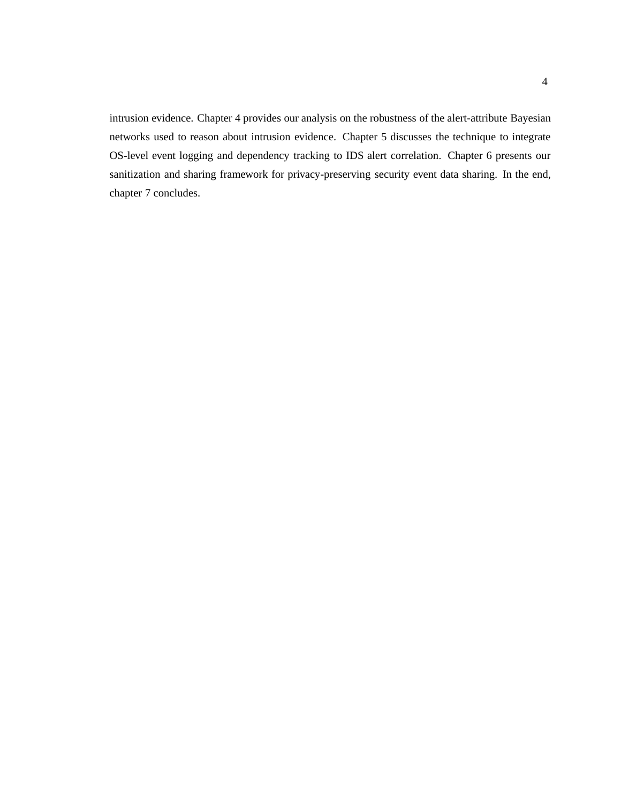intrusion evidence. Chapter 4 provides our analysis on the robustness of the alert-attribute Bayesian networks used to reason about intrusion evidence. Chapter 5 discusses the technique to integrate OS-level event logging and dependency tracking to IDS alert correlation. Chapter 6 presents our sanitization and sharing framework for privacy-preserving security event data sharing. In the end, chapter 7 concludes.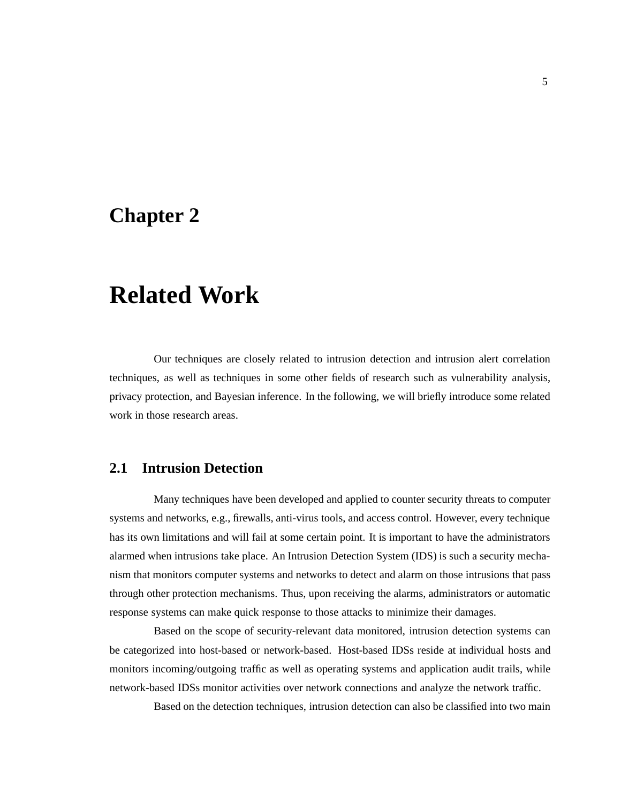## **Chapter 2**

## **Related Work**

Our techniques are closely related to intrusion detection and intrusion alert correlation techniques, as well as techniques in some other fields of research such as vulnerability analysis, privacy protection, and Bayesian inference. In the following, we will briefly introduce some related work in those research areas.

## **2.1 Intrusion Detection**

Many techniques have been developed and applied to counter security threats to computer systems and networks, e.g., firewalls, anti-virus tools, and access control. However, every technique has its own limitations and will fail at some certain point. It is important to have the administrators alarmed when intrusions take place. An Intrusion Detection System (IDS) is such a security mechanism that monitors computer systems and networks to detect and alarm on those intrusions that pass through other protection mechanisms. Thus, upon receiving the alarms, administrators or automatic response systems can make quick response to those attacks to minimize their damages.

Based on the scope of security-relevant data monitored, intrusion detection systems can be categorized into host-based or network-based. Host-based IDSs reside at individual hosts and monitors incoming/outgoing traffic as well as operating systems and application audit trails, while network-based IDSs monitor activities over network connections and analyze the network traffic.

Based on the detection techniques, intrusion detection can also be classified into two main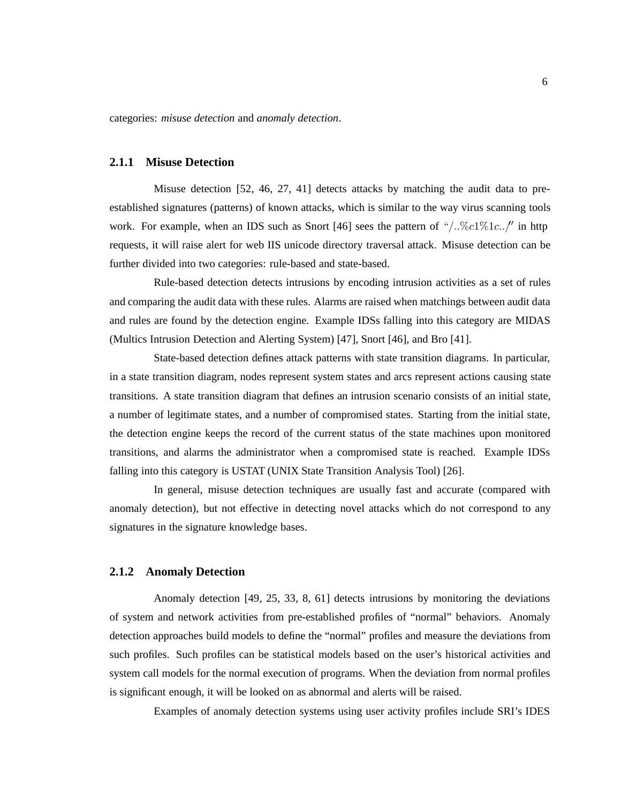categories: *misuse detection* and *anomaly detection*.

### **2.1.1 Misuse Detection**

Misuse detection [52, 46, 27, 41] detects attacks by matching the audit data to preestablished signatures (patterns) of known attacks, which is similar to the way virus scanning tools work. For example, when an IDS such as Snort [46] sees the pattern of " $/$ .. $%c1\%$ 1 $c$ ../" in http requests, it will raise alert for web IIS unicode directory traversal attack. Misuse detection can be further divided into two categories: rule-based and state-based.

Rule-based detection detects intrusions by encoding intrusion activities as a set of rules and comparing the audit data with these rules. Alarms are raised when matchings between audit data and rules are found by the detection engine. Example IDSs falling into this category are MIDAS (Multics Intrusion Detection and Alerting System) [47], Snort [46], and Bro [41].

State-based detection defines attack patterns with state transition diagrams. In particular, in a state transition diagram, nodes represent system states and arcs represent actions causing state transitions. A state transition diagram that defines an intrusion scenario consists of an initial state, a number of legitimate states, and a number of compromised states. Starting from the initial state, the detection engine keeps the record of the current status of the state machines upon monitored transitions, and alarms the administrator when a compromised state is reached. Example IDSs falling into this category is USTAT (UNIX State Transition Analysis Tool) [26].

In general, misuse detection techniques are usually fast and accurate (compared with anomaly detection), but not effective in detecting novel attacks which do not correspond to any signatures in the signature knowledge bases.

#### **2.1.2 Anomaly Detection**

Anomaly detection [49, 25, 33, 8, 61] detects intrusions by monitoring the deviations of system and network activities from pre-established profiles of "normal" behaviors. Anomaly detection approaches build models to define the "normal" profiles and measure the deviations from such profiles. Such profiles can be statistical models based on the user's historical activities and system call models for the normal execution of programs. When the deviation from normal profiles is significant enough, it will be looked on as abnormal and alerts will be raised.

Examples of anomaly detection systems using user activity profiles include SRI's IDES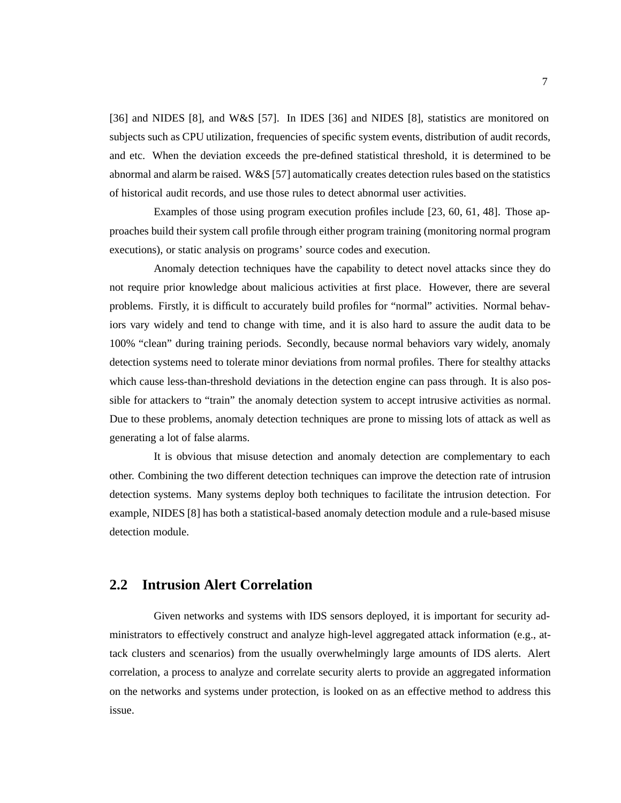[36] and NIDES [8], and W&S [57]. In IDES [36] and NIDES [8], statistics are monitored on subjects such as CPU utilization, frequencies of specific system events, distribution of audit records, and etc. When the deviation exceeds the pre-defined statistical threshold, it is determined to be abnormal and alarm be raised. W&S [57] automatically creates detection rules based on the statistics of historical audit records, and use those rules to detect abnormal user activities.

Examples of those using program execution profiles include [23, 60, 61, 48]. Those approaches build their system call profile through either program training (monitoring normal program executions), or static analysis on programs' source codes and execution.

Anomaly detection techniques have the capability to detect novel attacks since they do not require prior knowledge about malicious activities at first place. However, there are several problems. Firstly, it is difficult to accurately build profiles for "normal" activities. Normal behaviors vary widely and tend to change with time, and it is also hard to assure the audit data to be 100% "clean" during training periods. Secondly, because normal behaviors vary widely, anomaly detection systems need to tolerate minor deviations from normal profiles. There for stealthy attacks which cause less-than-threshold deviations in the detection engine can pass through. It is also possible for attackers to "train" the anomaly detection system to accept intrusive activities as normal. Due to these problems, anomaly detection techniques are prone to missing lots of attack as well as generating a lot of false alarms.

It is obvious that misuse detection and anomaly detection are complementary to each other. Combining the two different detection techniques can improve the detection rate of intrusion detection systems. Many systems deploy both techniques to facilitate the intrusion detection. For example, NIDES [8] has both a statistical-based anomaly detection module and a rule-based misuse detection module.

## **2.2 Intrusion Alert Correlation**

Given networks and systems with IDS sensors deployed, it is important for security administrators to effectively construct and analyze high-level aggregated attack information (e.g., attack clusters and scenarios) from the usually overwhelmingly large amounts of IDS alerts. Alert correlation, a process to analyze and correlate security alerts to provide an aggregated information on the networks and systems under protection, is looked on as an effective method to address this issue.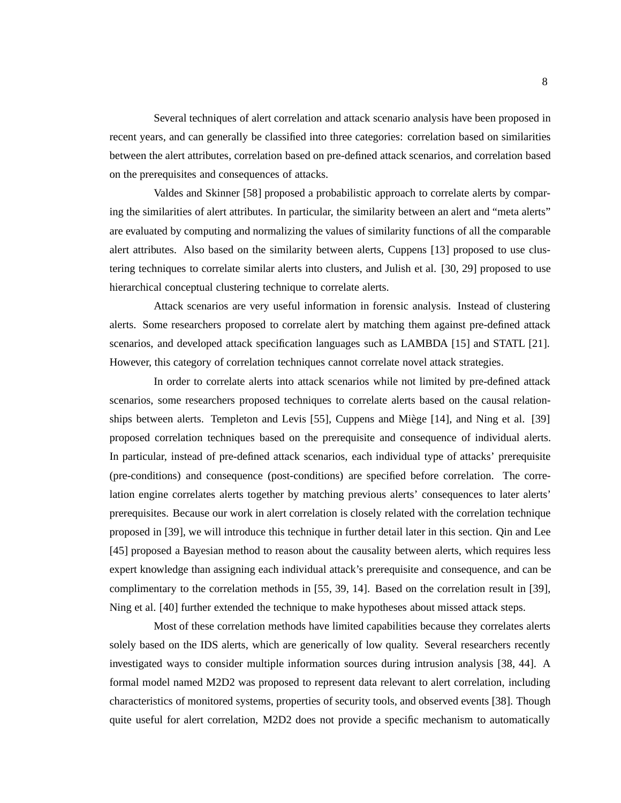Several techniques of alert correlation and attack scenario analysis have been proposed in recent years, and can generally be classified into three categories: correlation based on similarities between the alert attributes, correlation based on pre-defined attack scenarios, and correlation based on the prerequisites and consequences of attacks.

Valdes and Skinner [58] proposed a probabilistic approach to correlate alerts by comparing the similarities of alert attributes. In particular, the similarity between an alert and "meta alerts" are evaluated by computing and normalizing the values of similarity functions of all the comparable alert attributes. Also based on the similarity between alerts, Cuppens [13] proposed to use clustering techniques to correlate similar alerts into clusters, and Julish et al. [30, 29] proposed to use hierarchical conceptual clustering technique to correlate alerts.

Attack scenarios are very useful information in forensic analysis. Instead of clustering alerts. Some researchers proposed to correlate alert by matching them against pre-defined attack scenarios, and developed attack specification languages such as LAMBDA [15] and STATL [21]. However, this category of correlation techniques cannot correlate novel attack strategies.

In order to correlate alerts into attack scenarios while not limited by pre-defined attack scenarios, some researchers proposed techniques to correlate alerts based on the causal relationships between alerts. Templeton and Levis  $[55]$ , Cuppens and Miège  $[14]$ , and Ning et al.  $[39]$ proposed correlation techniques based on the prerequisite and consequence of individual alerts. In particular, instead of pre-defined attack scenarios, each individual type of attacks' prerequisite (pre-conditions) and consequence (post-conditions) are specified before correlation. The correlation engine correlates alerts together by matching previous alerts' consequences to later alerts' prerequisites. Because our work in alert correlation is closely related with the correlation technique proposed in [39], we will introduce this technique in further detail later in this section. Qin and Lee [45] proposed a Bayesian method to reason about the causality between alerts, which requires less expert knowledge than assigning each individual attack's prerequisite and consequence, and can be complimentary to the correlation methods in [55, 39, 14]. Based on the correlation result in [39], Ning et al. [40] further extended the technique to make hypotheses about missed attack steps.

Most of these correlation methods have limited capabilities because they correlates alerts solely based on the IDS alerts, which are generically of low quality. Several researchers recently investigated ways to consider multiple information sources during intrusion analysis [38, 44]. A formal model named M2D2 was proposed to represent data relevant to alert correlation, including characteristics of monitored systems, properties of security tools, and observed events [38]. Though quite useful for alert correlation, M2D2 does not provide a specific mechanism to automatically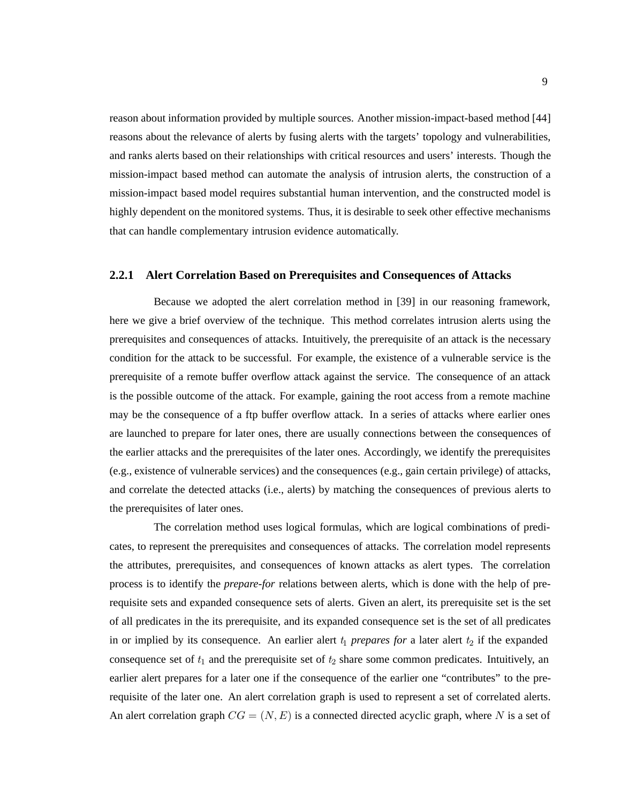reason about information provided by multiple sources. Another mission-impact-based method [44] reasons about the relevance of alerts by fusing alerts with the targets' topology and vulnerabilities, and ranks alerts based on their relationships with critical resources and users' interests. Though the mission-impact based method can automate the analysis of intrusion alerts, the construction of a mission-impact based model requires substantial human intervention, and the constructed model is highly dependent on the monitored systems. Thus, it is desirable to seek other effective mechanisms that can handle complementary intrusion evidence automatically.

#### **2.2.1 Alert Correlation Based on Prerequisites and Consequences of Attacks**

Because we adopted the alert correlation method in [39] in our reasoning framework, here we give a brief overview of the technique. This method correlates intrusion alerts using the prerequisites and consequences of attacks. Intuitively, the prerequisite of an attack is the necessary condition for the attack to be successful. For example, the existence of a vulnerable service is the prerequisite of a remote buffer overflow attack against the service. The consequence of an attack is the possible outcome of the attack. For example, gaining the root access from a remote machine may be the consequence of a ftp buffer overflow attack. In a series of attacks where earlier ones are launched to prepare for later ones, there are usually connections between the consequences of the earlier attacks and the prerequisites of the later ones. Accordingly, we identify the prerequisites (e.g., existence of vulnerable services) and the consequences (e.g., gain certain privilege) of attacks, and correlate the detected attacks (i.e., alerts) by matching the consequences of previous alerts to the prerequisites of later ones.

The correlation method uses logical formulas, which are logical combinations of predicates, to represent the prerequisites and consequences of attacks. The correlation model represents the attributes, prerequisites, and consequences of known attacks as alert types. The correlation process is to identify the *prepare-for* relations between alerts, which is done with the help of prerequisite sets and expanded consequence sets of alerts. Given an alert, its prerequisite set is the set of all predicates in the its prerequisite, and its expanded consequence set is the set of all predicates in or implied by its consequence. An earlier alert  $t_1$  *prepares for* a later alert  $t_2$  if the expanded consequence set of  $t_1$  and the prerequisite set of  $t_2$  share some common predicates. Intuitively, an earlier alert prepares for a later one if the consequence of the earlier one "contributes" to the prerequisite of the later one. An alert correlation graph is used to represent a set of correlated alerts. An alert correlation graph  $CG = (N, E)$  is a connected directed acyclic graph, where N is a set of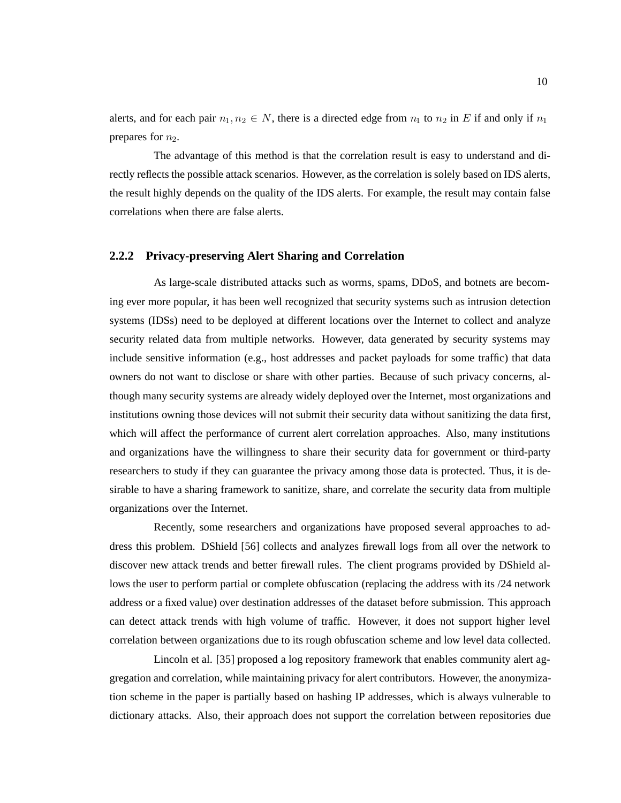alerts, and for each pair  $n_1, n_2 \in N$ , there is a directed edge from  $n_1$  to  $n_2$  in E if and only if  $n_1$ prepares for  $n_2$ .

The advantage of this method is that the correlation result is easy to understand and directly reflects the possible attack scenarios. However, as the correlation is solely based on IDS alerts, the result highly depends on the quality of the IDS alerts. For example, the result may contain false correlations when there are false alerts.

### **2.2.2 Privacy-preserving Alert Sharing and Correlation**

As large-scale distributed attacks such as worms, spams, DDoS, and botnets are becoming ever more popular, it has been well recognized that security systems such as intrusion detection systems (IDSs) need to be deployed at different locations over the Internet to collect and analyze security related data from multiple networks. However, data generated by security systems may include sensitive information (e.g., host addresses and packet payloads for some traffic) that data owners do not want to disclose or share with other parties. Because of such privacy concerns, although many security systems are already widely deployed over the Internet, most organizations and institutions owning those devices will not submit their security data without sanitizing the data first, which will affect the performance of current alert correlation approaches. Also, many institutions and organizations have the willingness to share their security data for government or third-party researchers to study if they can guarantee the privacy among those data is protected. Thus, it is desirable to have a sharing framework to sanitize, share, and correlate the security data from multiple organizations over the Internet.

Recently, some researchers and organizations have proposed several approaches to address this problem. DShield [56] collects and analyzes firewall logs from all over the network to discover new attack trends and better firewall rules. The client programs provided by DShield allows the user to perform partial or complete obfuscation (replacing the address with its /24 network address or a fixed value) over destination addresses of the dataset before submission. This approach can detect attack trends with high volume of traffic. However, it does not support higher level correlation between organizations due to its rough obfuscation scheme and low level data collected.

Lincoln et al. [35] proposed a log repository framework that enables community alert aggregation and correlation, while maintaining privacy for alert contributors. However, the anonymization scheme in the paper is partially based on hashing IP addresses, which is always vulnerable to dictionary attacks. Also, their approach does not support the correlation between repositories due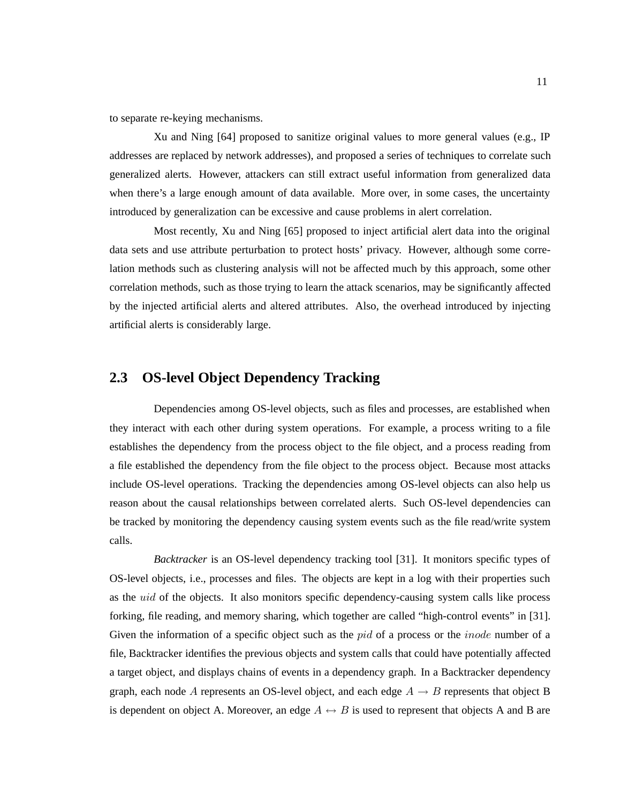to separate re-keying mechanisms.

Xu and Ning [64] proposed to sanitize original values to more general values (e.g., IP addresses are replaced by network addresses), and proposed a series of techniques to correlate such generalized alerts. However, attackers can still extract useful information from generalized data when there's a large enough amount of data available. More over, in some cases, the uncertainty introduced by generalization can be excessive and cause problems in alert correlation.

Most recently, Xu and Ning [65] proposed to inject artificial alert data into the original data sets and use attribute perturbation to protect hosts' privacy. However, although some correlation methods such as clustering analysis will not be affected much by this approach, some other correlation methods, such as those trying to learn the attack scenarios, may be significantly affected by the injected artificial alerts and altered attributes. Also, the overhead introduced by injecting artificial alerts is considerably large.

## **2.3 OS-level Object Dependency Tracking**

Dependencies among OS-level objects, such as files and processes, are established when they interact with each other during system operations. For example, a process writing to a file establishes the dependency from the process object to the file object, and a process reading from a file established the dependency from the file object to the process object. Because most attacks include OS-level operations. Tracking the dependencies among OS-level objects can also help us reason about the causal relationships between correlated alerts. Such OS-level dependencies can be tracked by monitoring the dependency causing system events such as the file read/write system calls.

*Backtracker* is an OS-level dependency tracking tool [31]. It monitors specific types of OS-level objects, i.e., processes and files. The objects are kept in a log with their properties such as the uid of the objects. It also monitors specific dependency-causing system calls like process forking, file reading, and memory sharing, which together are called "high-control events" in [31]. Given the information of a specific object such as the pid of a process or the *inode* number of a file, Backtracker identifies the previous objects and system calls that could have potentially affected a target object, and displays chains of events in a dependency graph. In a Backtracker dependency graph, each node A represents an OS-level object, and each edge  $A \rightarrow B$  represents that object B is dependent on object A. Moreover, an edge  $A \leftrightarrow B$  is used to represent that objects A and B are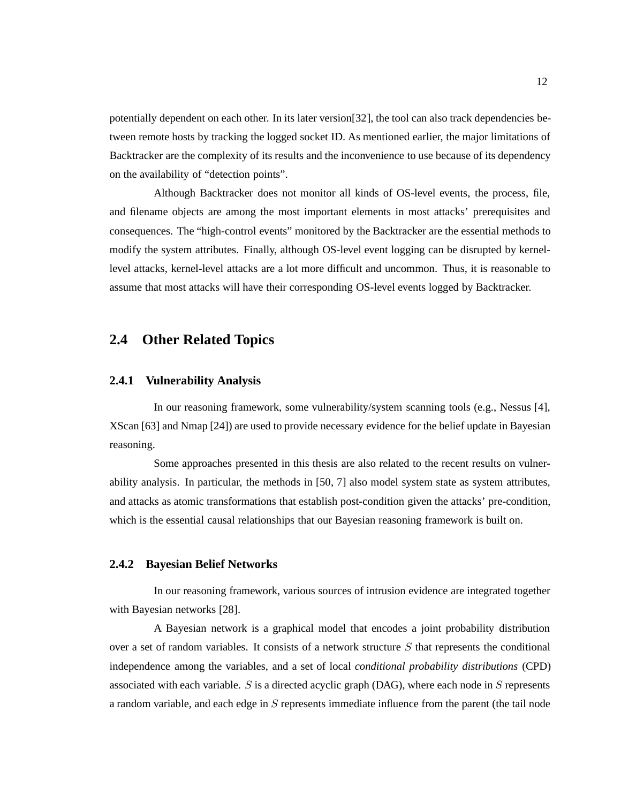potentially dependent on each other. In its later version[32], the tool can also track dependencies between remote hosts by tracking the logged socket ID. As mentioned earlier, the major limitations of Backtracker are the complexity of its results and the inconvenience to use because of its dependency on the availability of "detection points".

Although Backtracker does not monitor all kinds of OS-level events, the process, file, and filename objects are among the most important elements in most attacks' prerequisites and consequences. The "high-control events" monitored by the Backtracker are the essential methods to modify the system attributes. Finally, although OS-level event logging can be disrupted by kernellevel attacks, kernel-level attacks are a lot more difficult and uncommon. Thus, it is reasonable to assume that most attacks will have their corresponding OS-level events logged by Backtracker.

## **2.4 Other Related Topics**

### **2.4.1 Vulnerability Analysis**

In our reasoning framework, some vulnerability/system scanning tools (e.g., Nessus [4], XScan [63] and Nmap [24]) are used to provide necessary evidence for the belief update in Bayesian reasoning.

Some approaches presented in this thesis are also related to the recent results on vulnerability analysis. In particular, the methods in [50, 7] also model system state as system attributes, and attacks as atomic transformations that establish post-condition given the attacks' pre-condition, which is the essential causal relationships that our Bayesian reasoning framework is built on.

### **2.4.2 Bayesian Belief Networks**

In our reasoning framework, various sources of intrusion evidence are integrated together with Bayesian networks [28].

A Bayesian network is a graphical model that encodes a joint probability distribution over a set of random variables. It consists of a network structure  $S$  that represents the conditional independence among the variables, and a set of local *conditional probability distributions* (CPD) associated with each variable. S is a directed acyclic graph (DAG), where each node in  $S$  represents a random variable, and each edge in S represents immediate influence from the parent (the tail node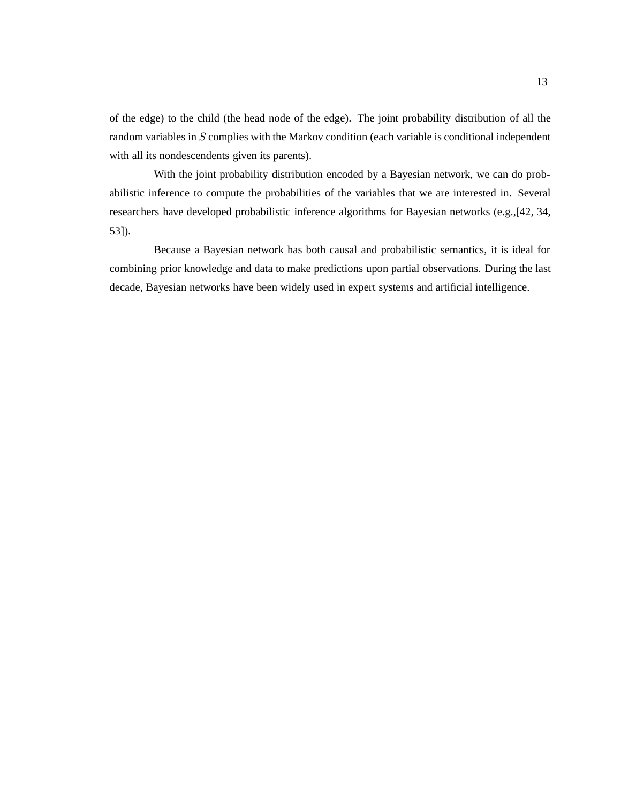of the edge) to the child (the head node of the edge). The joint probability distribution of all the random variables in S complies with the Markov condition (each variable is conditional independent with all its nondescendents given its parents).

With the joint probability distribution encoded by a Bayesian network, we can do probabilistic inference to compute the probabilities of the variables that we are interested in. Several researchers have developed probabilistic inference algorithms for Bayesian networks (e.g.,[42, 34, 53]).

Because a Bayesian network has both causal and probabilistic semantics, it is ideal for combining prior knowledge and data to make predictions upon partial observations. During the last decade, Bayesian networks have been widely used in expert systems and artificial intelligence.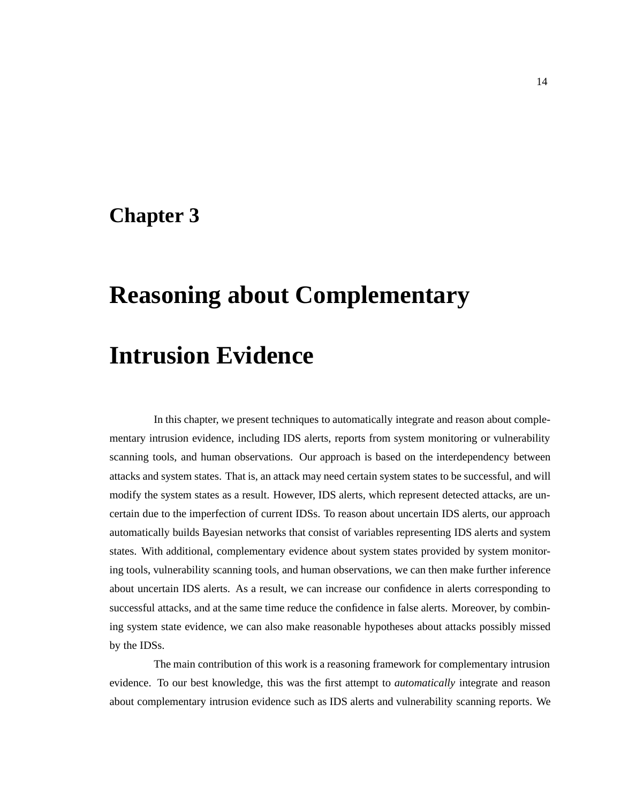## **Chapter 3**

## **Reasoning about Complementary**

## **Intrusion Evidence**

In this chapter, we present techniques to automatically integrate and reason about complementary intrusion evidence, including IDS alerts, reports from system monitoring or vulnerability scanning tools, and human observations. Our approach is based on the interdependency between attacks and system states. That is, an attack may need certain system states to be successful, and will modify the system states as a result. However, IDS alerts, which represent detected attacks, are uncertain due to the imperfection of current IDSs. To reason about uncertain IDS alerts, our approach automatically builds Bayesian networks that consist of variables representing IDS alerts and system states. With additional, complementary evidence about system states provided by system monitoring tools, vulnerability scanning tools, and human observations, we can then make further inference about uncertain IDS alerts. As a result, we can increase our confidence in alerts corresponding to successful attacks, and at the same time reduce the confidence in false alerts. Moreover, by combining system state evidence, we can also make reasonable hypotheses about attacks possibly missed by the IDSs.

The main contribution of this work is a reasoning framework for complementary intrusion evidence. To our best knowledge, this was the first attempt to *automatically* integrate and reason about complementary intrusion evidence such as IDS alerts and vulnerability scanning reports. We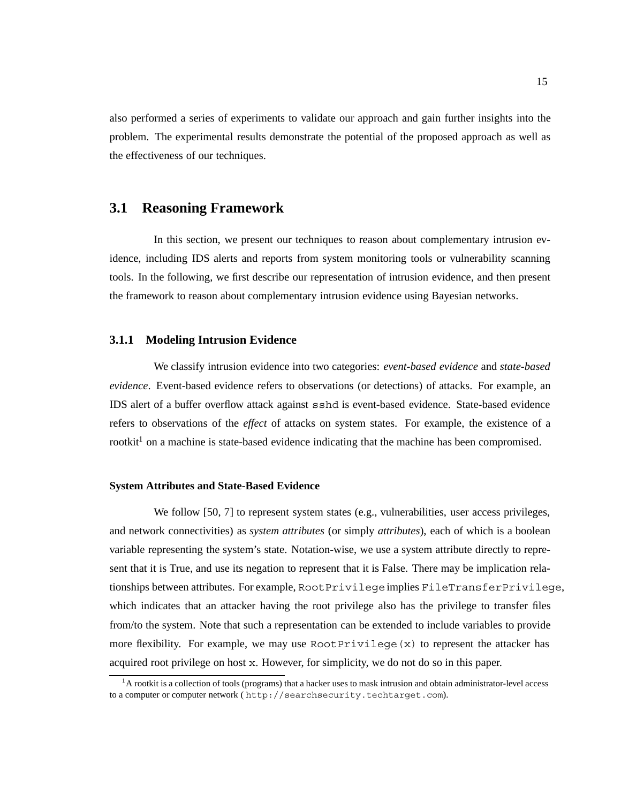also performed a series of experiments to validate our approach and gain further insights into the problem. The experimental results demonstrate the potential of the proposed approach as well as the effectiveness of our techniques.

## **3.1 Reasoning Framework**

In this section, we present our techniques to reason about complementary intrusion evidence, including IDS alerts and reports from system monitoring tools or vulnerability scanning tools. In the following, we first describe our representation of intrusion evidence, and then present the framework to reason about complementary intrusion evidence using Bayesian networks.

## **3.1.1 Modeling Intrusion Evidence**

We classify intrusion evidence into two categories: *event-based evidence* and *state-based evidence*. Event-based evidence refers to observations (or detections) of attacks. For example, an IDS alert of a buffer overflow attack against sshd is event-based evidence. State-based evidence refers to observations of the *effect* of attacks on system states. For example, the existence of a rootkit<sup>1</sup> on a machine is state-based evidence indicating that the machine has been compromised.

#### **System Attributes and State-Based Evidence**

We follow [50, 7] to represent system states (e.g., vulnerabilities, user access privileges, and network connectivities) as *system attributes* (or simply *attributes*), each of which is a boolean variable representing the system's state. Notation-wise, we use a system attribute directly to represent that it is True, and use its negation to represent that it is False. There may be implication relationships between attributes. For example, RootPrivilegeimplies FileTransferPrivilege, which indicates that an attacker having the root privilege also has the privilege to transfer files from/to the system. Note that such a representation can be extended to include variables to provide more flexibility. For example, we may use RootPrivilege $(x)$  to represent the attacker has acquired root privilege on host x. However, for simplicity, we do not do so in this paper.

 $<sup>1</sup>A$  rootkit is a collection of tools (programs) that a hacker uses to mask intrusion and obtain administrator-level access</sup> to a computer or computer network (http://searchsecurity.techtarget.com).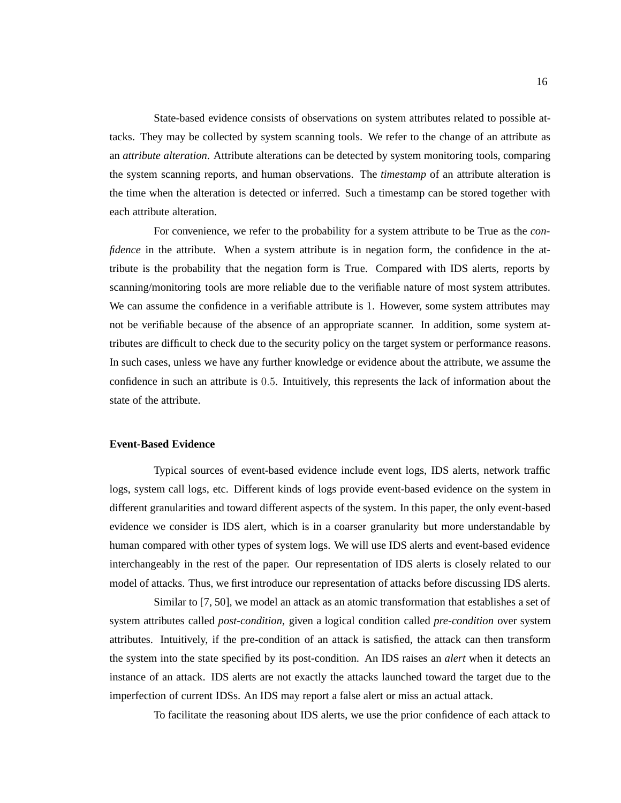State-based evidence consists of observations on system attributes related to possible attacks. They may be collected by system scanning tools. We refer to the change of an attribute as an *attribute alteration*. Attribute alterations can be detected by system monitoring tools, comparing the system scanning reports, and human observations. The *timestamp* of an attribute alteration is the time when the alteration is detected or inferred. Such a timestamp can be stored together with each attribute alteration.

For convenience, we refer to the probability for a system attribute to be True as the *confidence* in the attribute. When a system attribute is in negation form, the confidence in the attribute is the probability that the negation form is True. Compared with IDS alerts, reports by scanning/monitoring tools are more reliable due to the verifiable nature of most system attributes. We can assume the confidence in a verifiable attribute is 1. However, some system attributes may not be verifiable because of the absence of an appropriate scanner. In addition, some system attributes are difficult to check due to the security policy on the target system or performance reasons. In such cases, unless we have any further knowledge or evidence about the attribute, we assume the confidence in such an attribute is 0.5. Intuitively, this represents the lack of information about the state of the attribute.

#### **Event-Based Evidence**

Typical sources of event-based evidence include event logs, IDS alerts, network traffic logs, system call logs, etc. Different kinds of logs provide event-based evidence on the system in different granularities and toward different aspects of the system. In this paper, the only event-based evidence we consider is IDS alert, which is in a coarser granularity but more understandable by human compared with other types of system logs. We will use IDS alerts and event-based evidence interchangeably in the rest of the paper. Our representation of IDS alerts is closely related to our model of attacks. Thus, we first introduce our representation of attacks before discussing IDS alerts.

Similar to [7, 50], we model an attack as an atomic transformation that establishes a set of system attributes called *post-condition*, given a logical condition called *pre-condition* over system attributes. Intuitively, if the pre-condition of an attack is satisfied, the attack can then transform the system into the state specified by its post-condition. An IDS raises an *alert* when it detects an instance of an attack. IDS alerts are not exactly the attacks launched toward the target due to the imperfection of current IDSs. An IDS may report a false alert or miss an actual attack.

To facilitate the reasoning about IDS alerts, we use the prior confidence of each attack to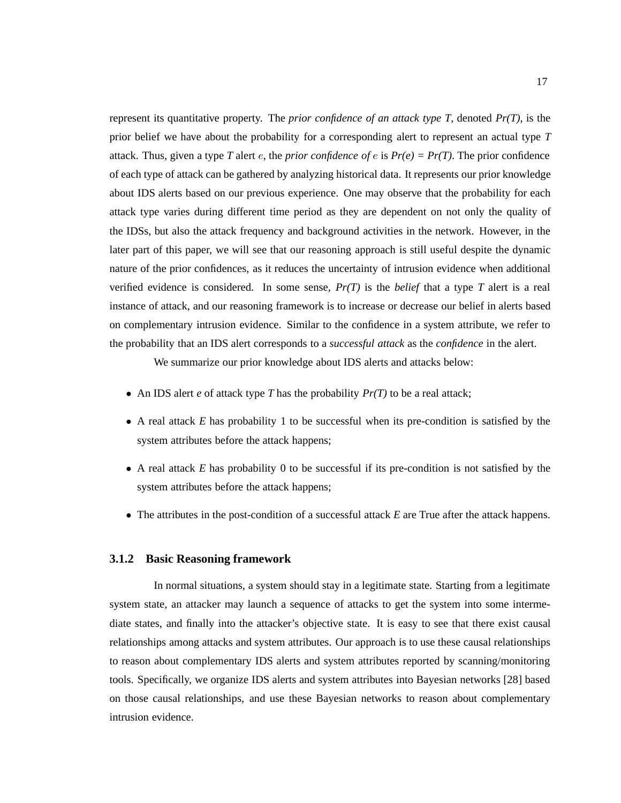represent its quantitative property. The *prior confidence of an attack type T*, denoted *Pr(T)*, is the prior belief we have about the probability for a corresponding alert to represent an actual type *T* attack. Thus, given a type *T* alert *e*, the *prior confidence of e* is  $Pr(e) = Pr(T)$ . The prior confidence of each type of attack can be gathered by analyzing historical data. It represents our prior knowledge about IDS alerts based on our previous experience. One may observe that the probability for each attack type varies during different time period as they are dependent on not only the quality of the IDSs, but also the attack frequency and background activities in the network. However, in the later part of this paper, we will see that our reasoning approach is still useful despite the dynamic nature of the prior confidences, as it reduces the uncertainty of intrusion evidence when additional verified evidence is considered. In some sense, *Pr(T)* is the *belief* that a type *T* alert is a real instance of attack, and our reasoning framework is to increase or decrease our belief in alerts based on complementary intrusion evidence. Similar to the confidence in a system attribute, we refer to the probability that an IDS alert corresponds to a *successful attack* as the *confidence* in the alert.

We summarize our prior knowledge about IDS alerts and attacks below:

- An IDS alert *e* of attack type *T* has the probability *Pr(T)* to be a real attack;
- A real attack *E* has probability 1 to be successful when its pre-condition is satisfied by the system attributes before the attack happens;
- A real attack *E* has probability 0 to be successful if its pre-condition is not satisfied by the system attributes before the attack happens;
- The attributes in the post-condition of a successful attack *E* are True after the attack happens.

### **3.1.2 Basic Reasoning framework**

In normal situations, a system should stay in a legitimate state. Starting from a legitimate system state, an attacker may launch a sequence of attacks to get the system into some intermediate states, and finally into the attacker's objective state. It is easy to see that there exist causal relationships among attacks and system attributes. Our approach is to use these causal relationships to reason about complementary IDS alerts and system attributes reported by scanning/monitoring tools. Specifically, we organize IDS alerts and system attributes into Bayesian networks [28] based on those causal relationships, and use these Bayesian networks to reason about complementary intrusion evidence.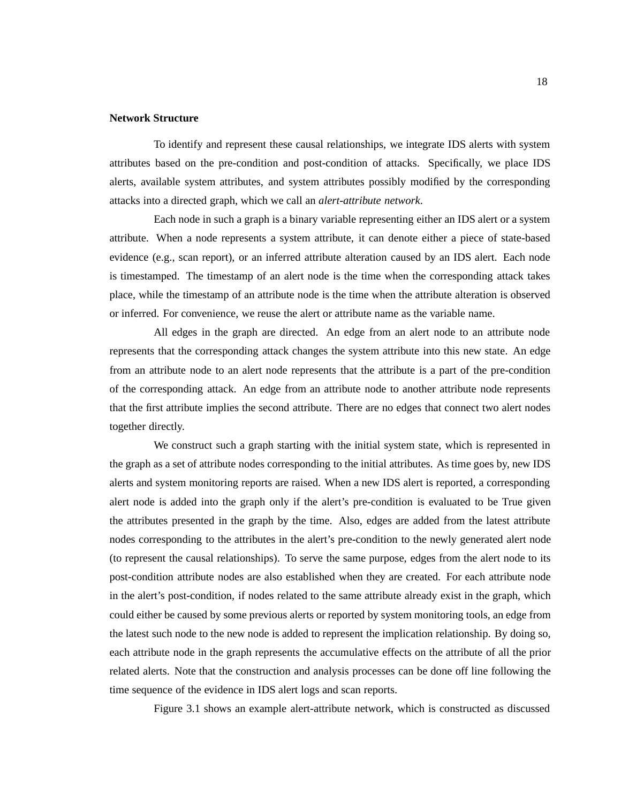#### **Network Structure**

To identify and represent these causal relationships, we integrate IDS alerts with system attributes based on the pre-condition and post-condition of attacks. Specifically, we place IDS alerts, available system attributes, and system attributes possibly modified by the corresponding attacks into a directed graph, which we call an *alert-attribute network*.

Each node in such a graph is a binary variable representing either an IDS alert or a system attribute. When a node represents a system attribute, it can denote either a piece of state-based evidence (e.g., scan report), or an inferred attribute alteration caused by an IDS alert. Each node is timestamped. The timestamp of an alert node is the time when the corresponding attack takes place, while the timestamp of an attribute node is the time when the attribute alteration is observed or inferred. For convenience, we reuse the alert or attribute name as the variable name.

All edges in the graph are directed. An edge from an alert node to an attribute node represents that the corresponding attack changes the system attribute into this new state. An edge from an attribute node to an alert node represents that the attribute is a part of the pre-condition of the corresponding attack. An edge from an attribute node to another attribute node represents that the first attribute implies the second attribute. There are no edges that connect two alert nodes together directly.

We construct such a graph starting with the initial system state, which is represented in the graph as a set of attribute nodes corresponding to the initial attributes. As time goes by, new IDS alerts and system monitoring reports are raised. When a new IDS alert is reported, a corresponding alert node is added into the graph only if the alert's pre-condition is evaluated to be True given the attributes presented in the graph by the time. Also, edges are added from the latest attribute nodes corresponding to the attributes in the alert's pre-condition to the newly generated alert node (to represent the causal relationships). To serve the same purpose, edges from the alert node to its post-condition attribute nodes are also established when they are created. For each attribute node in the alert's post-condition, if nodes related to the same attribute already exist in the graph, which could either be caused by some previous alerts or reported by system monitoring tools, an edge from the latest such node to the new node is added to represent the implication relationship. By doing so, each attribute node in the graph represents the accumulative effects on the attribute of all the prior related alerts. Note that the construction and analysis processes can be done off line following the time sequence of the evidence in IDS alert logs and scan reports.

Figure 3.1 shows an example alert-attribute network, which is constructed as discussed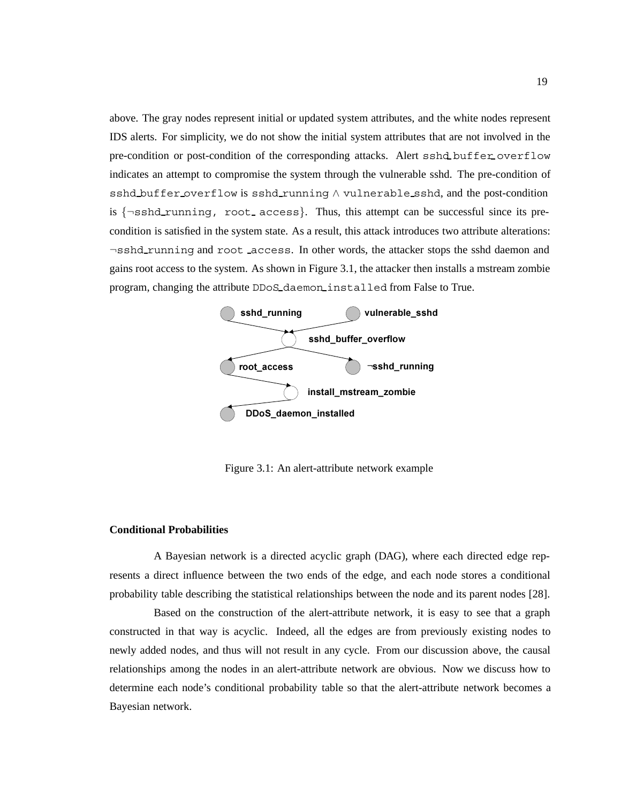above. The gray nodes represent initial or updated system attributes, and the white nodes represent IDS alerts. For simplicity, we do not show the initial system attributes that are not involved in the pre-condition or post-condition of the corresponding attacks. Alert sshd buffer overflow indicates an attempt to compromise the system through the vulnerable sshd. The pre-condition of sshd\_buffer\_overflow is sshd\_running  $\land$  vulnerable\_sshd, and the post-condition is  $\{\neg \text{sshd\_running}, \text{root\_access}\}.$  Thus, this attempt can be successful since its precondition is satisfied in the system state. As a result, this attack introduces two attribute alterations: ¬sshd running and root access. In other words, the attacker stops the sshd daemon and gains root access to the system. As shown in Figure 3.1, the attacker then installs a mstream zombie program, changing the attribute DDoS daemon installed from False to True.



Figure 3.1: An alert-attribute network example

#### **Conditional Probabilities**

A Bayesian network is a directed acyclic graph (DAG), where each directed edge represents a direct influence between the two ends of the edge, and each node stores a conditional probability table describing the statistical relationships between the node and its parent nodes [28].

Based on the construction of the alert-attribute network, it is easy to see that a graph constructed in that way is acyclic. Indeed, all the edges are from previously existing nodes to newly added nodes, and thus will not result in any cycle. From our discussion above, the causal relationships among the nodes in an alert-attribute network are obvious. Now we discuss how to determine each node's conditional probability table so that the alert-attribute network becomes a Bayesian network.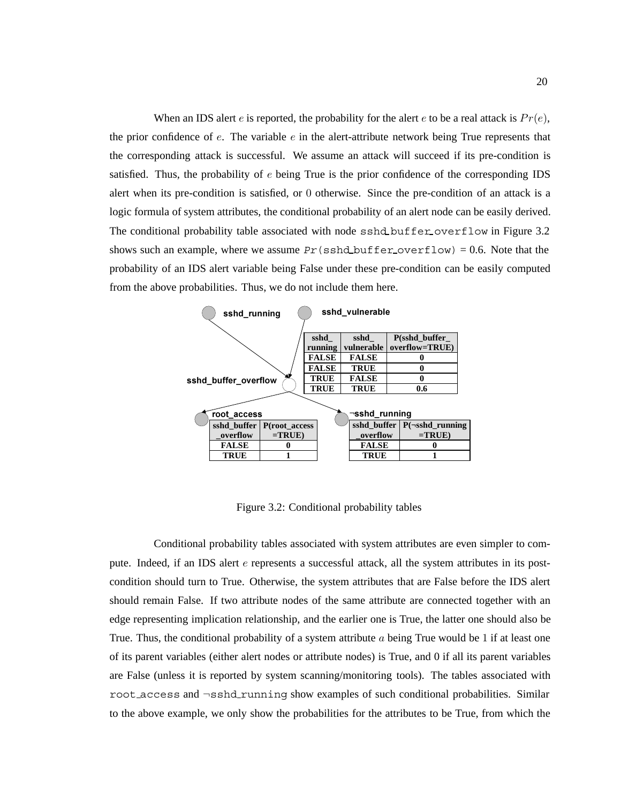When an IDS alert e is reported, the probability for the alert e to be a real attack is  $Pr(e)$ , the prior confidence of  $e$ . The variable  $e$  in the alert-attribute network being True represents that the corresponding attack is successful. We assume an attack will succeed if its pre-condition is satisfied. Thus, the probability of  $e$  being True is the prior confidence of the corresponding IDS alert when its pre-condition is satisfied, or 0 otherwise. Since the pre-condition of an attack is a logic formula of system attributes, the conditional probability of an alert node can be easily derived. The conditional probability table associated with node sshd buffer overflow in Figure 3.2 shows such an example, where we assume  $Pr$  (sshd buffer overflow) = 0.6. Note that the probability of an IDS alert variable being False under these pre-condition can be easily computed from the above probabilities. Thus, we do not include them here.



Figure 3.2: Conditional probability tables

Conditional probability tables associated with system attributes are even simpler to compute. Indeed, if an IDS alert e represents a successful attack, all the system attributes in its postcondition should turn to True. Otherwise, the system attributes that are False before the IDS alert should remain False. If two attribute nodes of the same attribute are connected together with an edge representing implication relationship, and the earlier one is True, the latter one should also be True. Thus, the conditional probability of a system attribute  $a$  being True would be 1 if at least one of its parent variables (either alert nodes or attribute nodes) is True, and 0 if all its parent variables are False (unless it is reported by system scanning/monitoring tools). The tables associated with root access and ¬sshd running show examples of such conditional probabilities. Similar to the above example, we only show the probabilities for the attributes to be True, from which the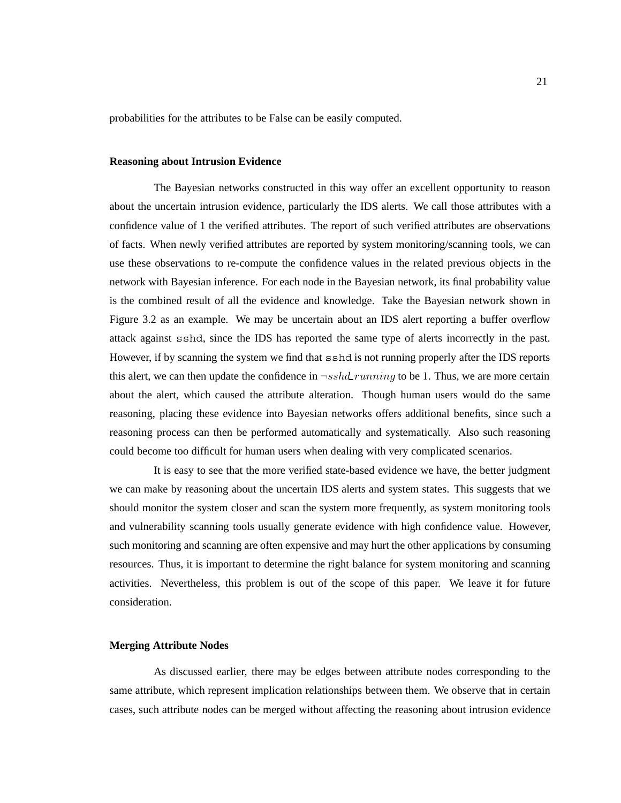probabilities for the attributes to be False can be easily computed.

#### **Reasoning about Intrusion Evidence**

The Bayesian networks constructed in this way offer an excellent opportunity to reason about the uncertain intrusion evidence, particularly the IDS alerts. We call those attributes with a confidence value of 1 the verified attributes. The report of such verified attributes are observations of facts. When newly verified attributes are reported by system monitoring/scanning tools, we can use these observations to re-compute the confidence values in the related previous objects in the network with Bayesian inference. For each node in the Bayesian network, its final probability value is the combined result of all the evidence and knowledge. Take the Bayesian network shown in Figure 3.2 as an example. We may be uncertain about an IDS alert reporting a buffer overflow attack against sshd, since the IDS has reported the same type of alerts incorrectly in the past. However, if by scanning the system we find that sshd is not running properly after the IDS reports this alert, we can then update the confidence in  $\neg shd_r running$  to be 1. Thus, we are more certain about the alert, which caused the attribute alteration. Though human users would do the same reasoning, placing these evidence into Bayesian networks offers additional benefits, since such a reasoning process can then be performed automatically and systematically. Also such reasoning could become too difficult for human users when dealing with very complicated scenarios.

It is easy to see that the more verified state-based evidence we have, the better judgment we can make by reasoning about the uncertain IDS alerts and system states. This suggests that we should monitor the system closer and scan the system more frequently, as system monitoring tools and vulnerability scanning tools usually generate evidence with high confidence value. However, such monitoring and scanning are often expensive and may hurt the other applications by consuming resources. Thus, it is important to determine the right balance for system monitoring and scanning activities. Nevertheless, this problem is out of the scope of this paper. We leave it for future consideration.

#### **Merging Attribute Nodes**

As discussed earlier, there may be edges between attribute nodes corresponding to the same attribute, which represent implication relationships between them. We observe that in certain cases, such attribute nodes can be merged without affecting the reasoning about intrusion evidence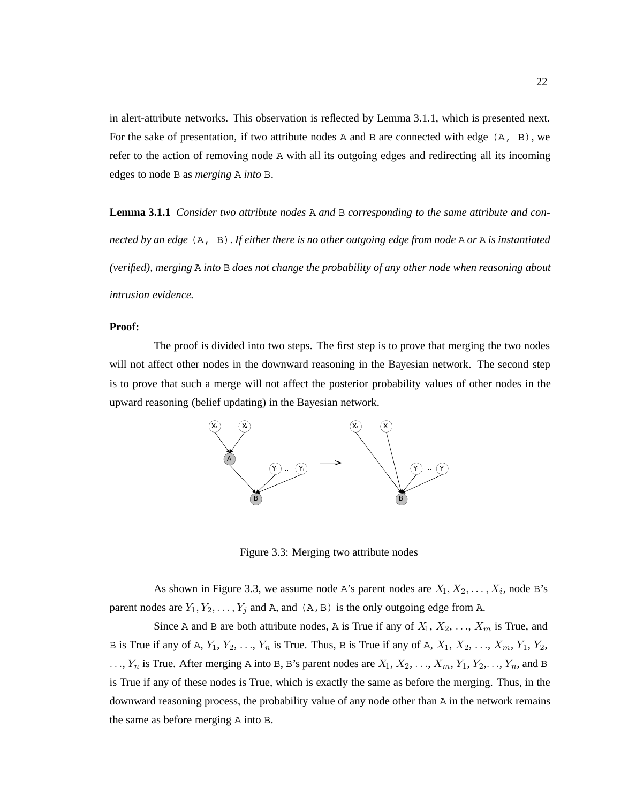in alert-attribute networks. This observation is reflected by Lemma 3.1.1, which is presented next. For the sake of presentation, if two attribute nodes A and B are connected with edge  $(A, B)$ , we refer to the action of removing node A with all its outgoing edges and redirecting all its incoming edges to node B as *merging* A *into* B.

**Lemma 3.1.1** *Consider two attribute nodes* A *and* B *corresponding to the same attribute and connected by an edge* (A, B)*. If either there is no other outgoing edge from node* A *or* A *is instantiated (verified), merging* A *into* B *does not change the probability of any other node when reasoning about intrusion evidence.*  $\begin{array}{c} \mathbf{r} \ \mathbf{r} \ \mathbf{r} \ \mathbf{r} \ \mathbf{r} \ \mathbf{r} \ \mathbf{r} \ \mathbf{r} \ \mathbf{r} \ \mathbf{r} \ \mathbf{r} \ \mathbf{r} \ \mathbf{r} \ \mathbf{r} \ \mathbf{r} \ \mathbf{r} \ \mathbf{r} \ \mathbf{r} \ \mathbf{r} \ \mathbf{r} \ \mathbf{r} \ \mathbf{r} \ \mathbf{r} \ \mathbf{r} \ \mathbf{r} \ \mathbf{r} \ \mathbf{r} \ \mathbf{r} \ \mathbf{r} \ \mathbf{r} \ \mathbf$  $\begin{bmatrix} 1 \\ 1 \\ 2 \end{bmatrix}$  and  $\begin{bmatrix} e \\ e \\ e \end{bmatrix}$  with  $\begin{bmatrix} 0 \\ 0 \\ 1 \end{bmatrix}$ rks.<br>ation<br>emov<br>*ging*<br> $r$  *twe*<br>B).<br> $t\sigma$  B.<br>divid<br>merg<br>ef up ... Yj e reconnection of the control of the control of the control of the control of the control of the control of the control of the control of the control of the control of the control of the control of the control of the contr 3<br>
The Independent of the Media<br>
We Street the Vertext of the Company<br>
The Company of the Company of the Company of the Company of the Company of the Company of the Company of the Company of the Company of the Company of t d by<br>
und B<br>
going<br>
orres<br>
utgoi<br>
ility<br>
t step<br>
tior<br>
twork<br>
x<br>  $\widehat{x}$ ..1, v<br>ted<br>redi<br>*the*  $n \neq n$ <br> $n$  or  $n$ <br>that<br>value

#### **Proof:**

The proof is divided into two steps. The first step is to prove that merging the two nodes will not affect other nodes in the downward reasoning in the Bayesian network. The second step is to prove that such a merge will not affect the posterior probability values of other nodes in the upward reasoning (belief updating) in the Bayesian network.



Figure 3.3: Merging two attribute nodes

As shown in Figure 3.3, we assume node A's parent nodes are  $X_1, X_2, \ldots, X_i$ , node B's parent nodes are  $Y_1, Y_2, \ldots, Y_j$  and A, and  $(A, B)$  is the only outgoing edge from A.

Since A and B are both attribute nodes, A is True if any of  $X_1, X_2, \ldots, X_m$  is True, and B is True if any of A,  $Y_1, Y_2, \ldots, Y_n$  is True. Thus, B is True if any of A,  $X_1, X_2, \ldots, X_m, Y_1, Y_2$ ,  $..., Y_n$  is True. After merging A into B, B's parent nodes are  $X_1, X_2, ..., X_m, Y_1, Y_2, ..., Y_n$ , and B is True if any of these nodes is True, which is exactly the same as before the merging. Thus, in the downward reasoning process, the probability value of any node other than A in the network remains the same as before merging A into B.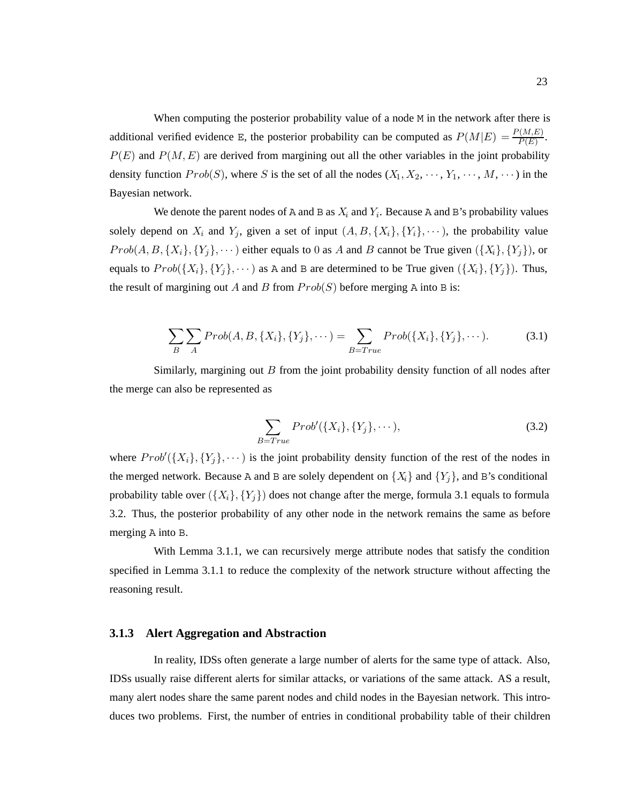When computing the posterior probability value of a node M in the network after there is additional verified evidence E, the posterior probability can be computed as  $P(M|E) = \frac{P(M,E)}{P(E)}$ .  $P(E)$  and  $P(M, E)$  are derived from margining out all the other variables in the joint probability density function  $Prob(S)$ , where S is the set of all the nodes  $(X_1, X_2, \dots, Y_1, \dots, M, \dots)$  in the Bayesian network.

We denote the parent nodes of A and B as  $X_i$  and  $Y_i$ . Because A and B's probability values solely depend on  $X_i$  and  $Y_j$ , given a set of input  $(A, B, \{X_i\}, \{Y_i\}, \cdots)$ , the probability value  $Prob(A, B, \{X_i\}, \{Y_j\}, \cdots)$  either equals to 0 as A and B cannot be True given  $(\{X_i\}, \{Y_j\})$ , or equals to  $Prob({X_i}, {Y_j}, \dots)$  as A and B are determined to be True given  $({X_i}, {Y_j})$ . Thus, the result of margining out A and B from  $Prob(S)$  before merging A into B is:

$$
\sum_{B} \sum_{A} Prob(A, B, \{X_i\}, \{Y_j\}, \cdots) = \sum_{B=True} Prob(\{X_i\}, \{Y_j\}, \cdots).
$$
 (3.1)

Similarly, margining out  $B$  from the joint probability density function of all nodes after the merge can also be represented as

$$
\sum_{B=True} Prob'(\{X_i\}, \{Y_j\}, \cdots),\tag{3.2}
$$

where  $Prob'({X_i}, {Y_j}, \cdots)$  is the joint probability density function of the rest of the nodes in the merged network. Because A and B are solely dependent on  $\{X_i\}$  and  $\{Y_j\}$ , and B's conditional probability table over  $({X_i}, {Y_j})$  does not change after the merge, formula 3.1 equals to formula 3.2. Thus, the posterior probability of any other node in the network remains the same as before merging A into B.

With Lemma 3.1.1, we can recursively merge attribute nodes that satisfy the condition specified in Lemma 3.1.1 to reduce the complexity of the network structure without affecting the reasoning result.

#### **3.1.3 Alert Aggregation and Abstraction**

In reality, IDSs often generate a large number of alerts for the same type of attack. Also, IDSs usually raise different alerts for similar attacks, or variations of the same attack. AS a result, many alert nodes share the same parent nodes and child nodes in the Bayesian network. This introduces two problems. First, the number of entries in conditional probability table of their children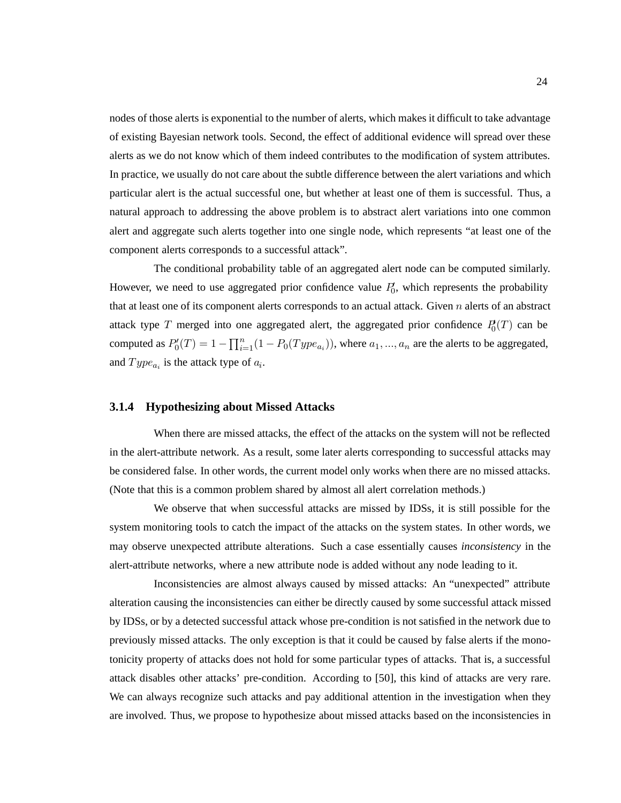nodes of those alerts is exponential to the number of alerts, which makes it difficult to take advantage of existing Bayesian network tools. Second, the effect of additional evidence will spread over these alerts as we do not know which of them indeed contributes to the modification of system attributes. In practice, we usually do not care about the subtle difference between the alert variations and which particular alert is the actual successful one, but whether at least one of them is successful. Thus, a natural approach to addressing the above problem is to abstract alert variations into one common alert and aggregate such alerts together into one single node, which represents "at least one of the component alerts corresponds to a successful attack".

The conditional probability table of an aggregated alert node can be computed similarly. However, we need to use aggregated prior confidence value  $P_0$ , which represents the probability that at least one of its component alerts corresponds to an actual attack. Given  $n$  alerts of an abstract attack type T merged into one aggregated alert, the aggregated prior confidence  $P_0(T)$  can be computed as  $P'_0(T) = 1 - \prod_{i=1}^n (1 - P_0(Type_{a_i}))$ , where  $a_1, ..., a_n$  are the alerts to be aggregated, and  $Type_{a_i}$  is the attack type of  $a_i$ .

#### **3.1.4 Hypothesizing about Missed Attacks**

When there are missed attacks, the effect of the attacks on the system will not be reflected in the alert-attribute network. As a result, some later alerts corresponding to successful attacks may be considered false. In other words, the current model only works when there are no missed attacks. (Note that this is a common problem shared by almost all alert correlation methods.)

We observe that when successful attacks are missed by IDSs, it is still possible for the system monitoring tools to catch the impact of the attacks on the system states. In other words, we may observe unexpected attribute alterations. Such a case essentially causes *inconsistency* in the alert-attribute networks, where a new attribute node is added without any node leading to it.

Inconsistencies are almost always caused by missed attacks: An "unexpected" attribute alteration causing the inconsistencies can either be directly caused by some successful attack missed by IDSs, or by a detected successful attack whose pre-condition is not satisfied in the network due to previously missed attacks. The only exception is that it could be caused by false alerts if the monotonicity property of attacks does not hold for some particular types of attacks. That is, a successful attack disables other attacks' pre-condition. According to [50], this kind of attacks are very rare. We can always recognize such attacks and pay additional attention in the investigation when they are involved. Thus, we propose to hypothesize about missed attacks based on the inconsistencies in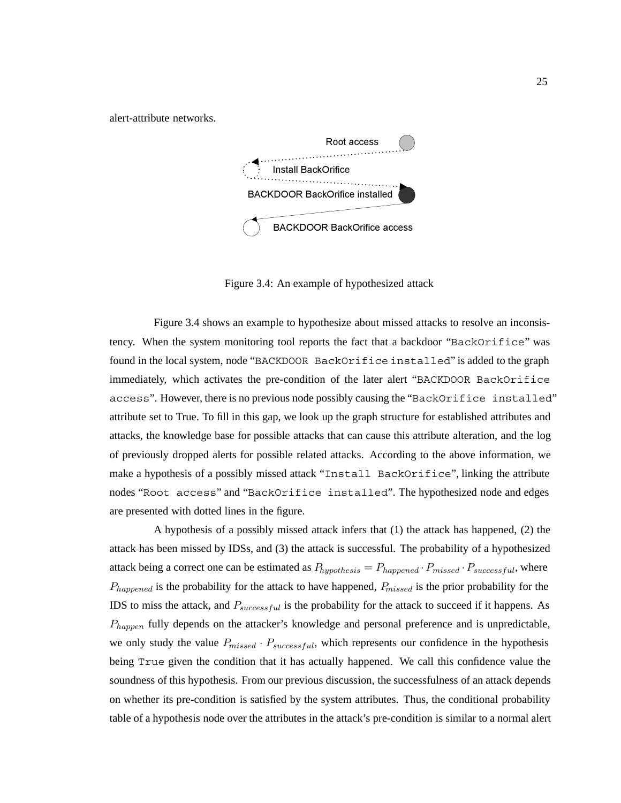alert-attribute networks.



Figure 3.4: An example of hypothesized attack

Figure 3.4 shows an example to hypothesize about missed attacks to resolve an inconsistency. When the system monitoring tool reports the fact that a backdoor "BackOrifice" was found in the local system, node "BACKDOOR BackOrifice installed" is added to the graph immediately, which activates the pre-condition of the later alert "BACKDOOR BackOrifice access". However, there is no previous node possibly causing the "BackOrifice installed" attribute set to True. To fill in this gap, we look up the graph structure for established attributes and attacks, the knowledge base for possible attacks that can cause this attribute alteration, and the log of previously dropped alerts for possible related attacks. According to the above information, we make a hypothesis of a possibly missed attack "Install BackOrifice", linking the attribute nodes "Root access" and "BackOrifice installed". The hypothesized node and edges are presented with dotted lines in the figure.

A hypothesis of a possibly missed attack infers that (1) the attack has happened, (2) the attack has been missed by IDSs, and (3) the attack is successful. The probability of a hypothesized attack being a correct one can be estimated as  $P_{hypothesis} = P_{happened} \cdot P_{missed} \cdot P_{successful}$ , where P*happened* is the probability for the attack to have happened, P*missed* is the prior probability for the IDS to miss the attack, and P*successful* is the probability for the attack to succeed if it happens. As P*happen* fully depends on the attacker's knowledge and personal preference and is unpredictable, we only study the value  $P_{missed} \cdot P_{successful}$ , which represents our confidence in the hypothesis being True given the condition that it has actually happened. We call this confidence value the soundness of this hypothesis. From our previous discussion, the successfulness of an attack depends on whether its pre-condition is satisfied by the system attributes. Thus, the conditional probability table of a hypothesis node over the attributes in the attack's pre-condition is similar to a normal alert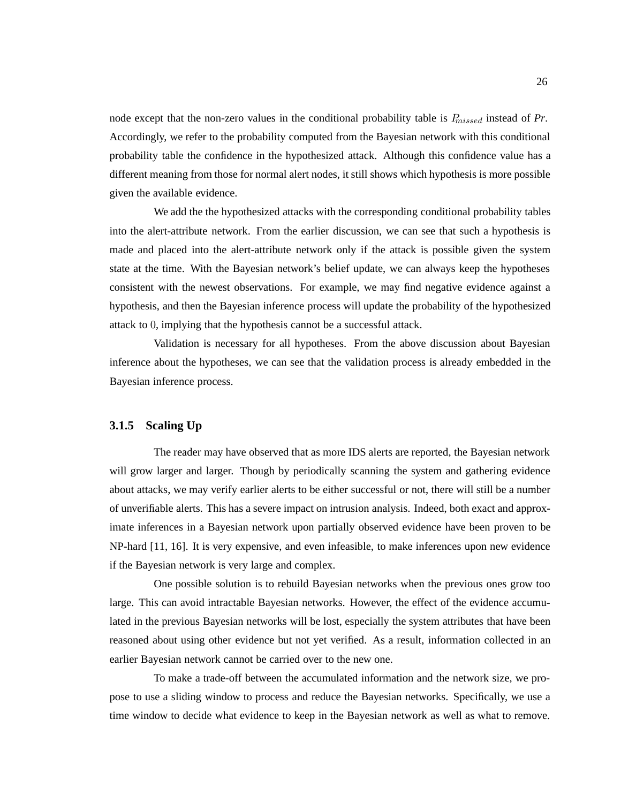node except that the non-zero values in the conditional probability table is P*missed* instead of *Pr*. Accordingly, we refer to the probability computed from the Bayesian network with this conditional probability table the confidence in the hypothesized attack. Although this confidence value has a different meaning from those for normal alert nodes, it still shows which hypothesis is more possible given the available evidence.

We add the the hypothesized attacks with the corresponding conditional probability tables into the alert-attribute network. From the earlier discussion, we can see that such a hypothesis is made and placed into the alert-attribute network only if the attack is possible given the system state at the time. With the Bayesian network's belief update, we can always keep the hypotheses consistent with the newest observations. For example, we may find negative evidence against a hypothesis, and then the Bayesian inference process will update the probability of the hypothesized attack to 0, implying that the hypothesis cannot be a successful attack.

Validation is necessary for all hypotheses. From the above discussion about Bayesian inference about the hypotheses, we can see that the validation process is already embedded in the Bayesian inference process.

### **3.1.5 Scaling Up**

The reader may have observed that as more IDS alerts are reported, the Bayesian network will grow larger and larger. Though by periodically scanning the system and gathering evidence about attacks, we may verify earlier alerts to be either successful or not, there will still be a number of unverifiable alerts. This has a severe impact on intrusion analysis. Indeed, both exact and approximate inferences in a Bayesian network upon partially observed evidence have been proven to be NP-hard [11, 16]. It is very expensive, and even infeasible, to make inferences upon new evidence if the Bayesian network is very large and complex.

One possible solution is to rebuild Bayesian networks when the previous ones grow too large. This can avoid intractable Bayesian networks. However, the effect of the evidence accumulated in the previous Bayesian networks will be lost, especially the system attributes that have been reasoned about using other evidence but not yet verified. As a result, information collected in an earlier Bayesian network cannot be carried over to the new one.

To make a trade-off between the accumulated information and the network size, we propose to use a sliding window to process and reduce the Bayesian networks. Specifically, we use a time window to decide what evidence to keep in the Bayesian network as well as what to remove.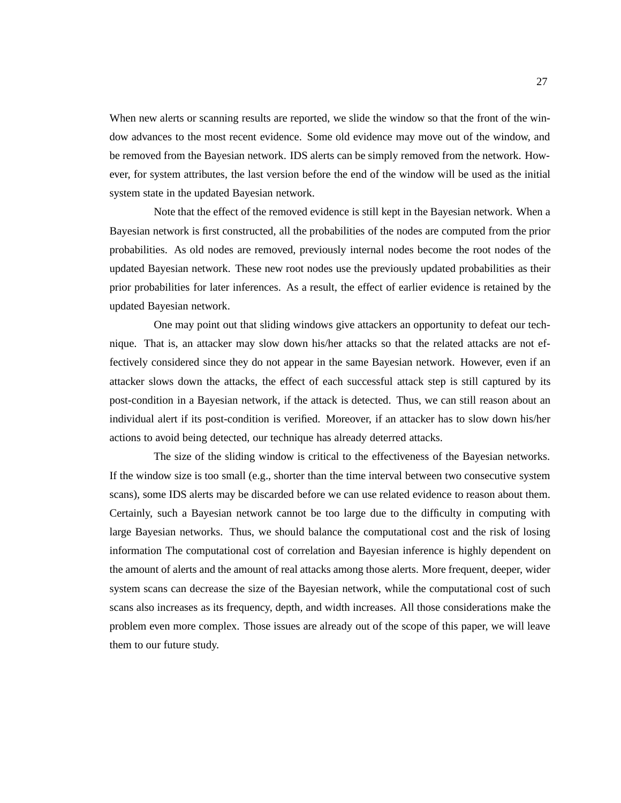When new alerts or scanning results are reported, we slide the window so that the front of the window advances to the most recent evidence. Some old evidence may move out of the window, and be removed from the Bayesian network. IDS alerts can be simply removed from the network. However, for system attributes, the last version before the end of the window will be used as the initial system state in the updated Bayesian network.

Note that the effect of the removed evidence is still kept in the Bayesian network. When a Bayesian network is first constructed, all the probabilities of the nodes are computed from the prior probabilities. As old nodes are removed, previously internal nodes become the root nodes of the updated Bayesian network. These new root nodes use the previously updated probabilities as their prior probabilities for later inferences. As a result, the effect of earlier evidence is retained by the updated Bayesian network.

One may point out that sliding windows give attackers an opportunity to defeat our technique. That is, an attacker may slow down his/her attacks so that the related attacks are not effectively considered since they do not appear in the same Bayesian network. However, even if an attacker slows down the attacks, the effect of each successful attack step is still captured by its post-condition in a Bayesian network, if the attack is detected. Thus, we can still reason about an individual alert if its post-condition is verified. Moreover, if an attacker has to slow down his/her actions to avoid being detected, our technique has already deterred attacks.

The size of the sliding window is critical to the effectiveness of the Bayesian networks. If the window size is too small (e.g., shorter than the time interval between two consecutive system scans), some IDS alerts may be discarded before we can use related evidence to reason about them. Certainly, such a Bayesian network cannot be too large due to the difficulty in computing with large Bayesian networks. Thus, we should balance the computational cost and the risk of losing information The computational cost of correlation and Bayesian inference is highly dependent on the amount of alerts and the amount of real attacks among those alerts. More frequent, deeper, wider system scans can decrease the size of the Bayesian network, while the computational cost of such scans also increases as its frequency, depth, and width increases. All those considerations make the problem even more complex. Those issues are already out of the scope of this paper, we will leave them to our future study.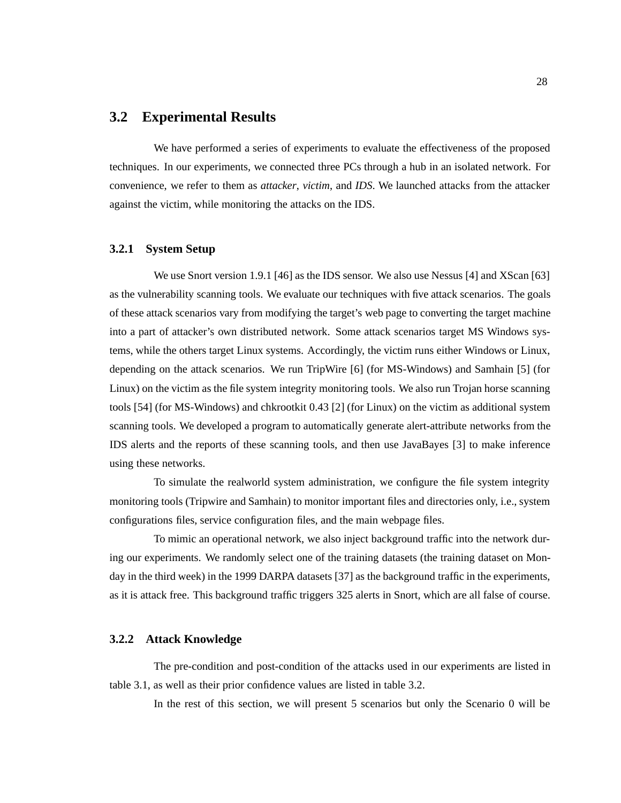### **3.2 Experimental Results**

We have performed a series of experiments to evaluate the effectiveness of the proposed techniques. In our experiments, we connected three PCs through a hub in an isolated network. For convenience, we refer to them as *attacker*, *victim*, and *IDS*. We launched attacks from the attacker against the victim, while monitoring the attacks on the IDS.

### **3.2.1 System Setup**

We use Snort version 1.9.1 [46] as the IDS sensor. We also use Nessus [4] and XScan [63] as the vulnerability scanning tools. We evaluate our techniques with five attack scenarios. The goals of these attack scenarios vary from modifying the target's web page to converting the target machine into a part of attacker's own distributed network. Some attack scenarios target MS Windows systems, while the others target Linux systems. Accordingly, the victim runs either Windows or Linux, depending on the attack scenarios. We run TripWire [6] (for MS-Windows) and Samhain [5] (for Linux) on the victim as the file system integrity monitoring tools. We also run Trojan horse scanning tools [54] (for MS-Windows) and chkrootkit 0.43 [2] (for Linux) on the victim as additional system scanning tools. We developed a program to automatically generate alert-attribute networks from the IDS alerts and the reports of these scanning tools, and then use JavaBayes [3] to make inference using these networks.

To simulate the realworld system administration, we configure the file system integrity monitoring tools (Tripwire and Samhain) to monitor important files and directories only, i.e., system configurations files, service configuration files, and the main webpage files.

To mimic an operational network, we also inject background traffic into the network during our experiments. We randomly select one of the training datasets (the training dataset on Monday in the third week) in the 1999 DARPA datasets [37] as the background traffic in the experiments, as it is attack free. This background traffic triggers 325 alerts in Snort, which are all false of course.

### **3.2.2 Attack Knowledge**

The pre-condition and post-condition of the attacks used in our experiments are listed in table 3.1, as well as their prior confidence values are listed in table 3.2.

In the rest of this section, we will present 5 scenarios but only the Scenario 0 will be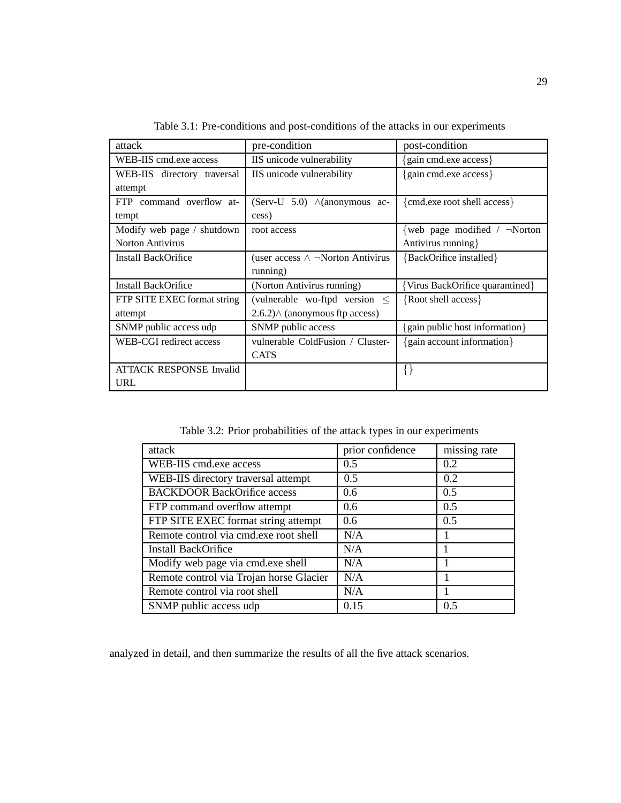| attack                         | pre-condition                               | post-condition                     |
|--------------------------------|---------------------------------------------|------------------------------------|
| WEB-IIS cmd.exe access         | IIS unicode vulnerability                   | [gain cmd.exe access]              |
| WEB-IIS directory traversal    | IIS unicode vulnerability                   | [gain cmd.exe access]              |
| attempt                        |                                             |                                    |
| FTP command overflow at-       | (Serv-U 5.0) $\land$ (anonymous ac-         | ${cmd.exe root shell access}$      |
| tempt                          | cess)                                       |                                    |
| Modify web page / shutdown     | root access                                 | {web page modified / $\neg$ Norton |
| <b>Norton Antivirus</b>        |                                             | Antivirus running }                |
| Install BackOrifice            | (user access $\wedge \neg$ Norton Antivirus | {BackOrifice installed}            |
|                                | running)                                    |                                    |
| <b>Install BackOrifice</b>     | (Norton Antivirus running)                  | Virus BackOrifice quarantined      |
| FTP SITE EXEC format string    | (vulnerable wu-ftpd version $\leq$          | $\{Root shell access\}$            |
| attempt                        | $(2.6.2) \wedge (anonymousfty)$             |                                    |
| SNMP public access udp         | SNMP public access                          | [gain public host information]     |
| WEB-CGI redirect access        | vulnerable ColdFusion / Cluster-            | {gain account information}         |
|                                | <b>CATS</b>                                 |                                    |
| <b>ATTACK RESPONSE Invalid</b> |                                             | $\{\}$                             |
| URL                            |                                             |                                    |

Table 3.1: Pre-conditions and post-conditions of the attacks in our experiments

Table 3.2: Prior probabilities of the attack types in our experiments

| attack                                  | prior confidence | missing rate |
|-----------------------------------------|------------------|--------------|
| WEB-IIS cmd.exe access                  | 0.5              | 0.2          |
| WEB-IIS directory traversal attempt     | 0.5              | 0.2          |
| <b>BACKDOOR BackOrifice access</b>      | $0.6^{\circ}$    | 0.5          |
| FTP command overflow attempt            | 0.6              | 0.5          |
| FTP SITE EXEC format string attempt     | $0.6^{\circ}$    | 0.5          |
| Remote control via cmd.exe root shell   | N/A              |              |
| <b>Install BackOrifice</b>              | N/A              |              |
| Modify web page via cmd.exe shell       | N/A              |              |
| Remote control via Trojan horse Glacier | N/A              |              |
| Remote control via root shell           | N/A              |              |
| SNMP public access udp                  | 0.15             | 0.5          |

analyzed in detail, and then summarize the results of all the five attack scenarios.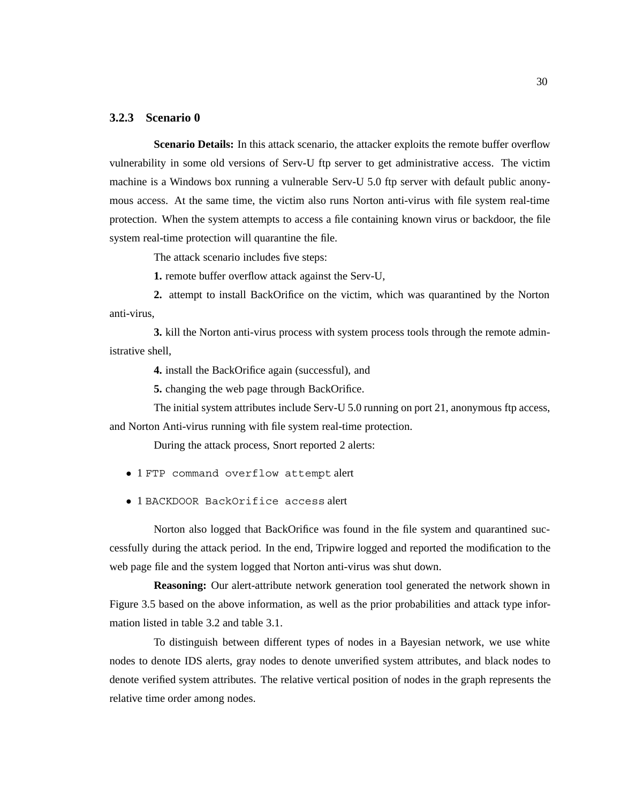### **3.2.3 Scenario 0**

**Scenario Details:** In this attack scenario, the attacker exploits the remote buffer overflow vulnerability in some old versions of Serv-U ftp server to get administrative access. The victim machine is a Windows box running a vulnerable Serv-U 5.0 ftp server with default public anonymous access. At the same time, the victim also runs Norton anti-virus with file system real-time protection. When the system attempts to access a file containing known virus or backdoor, the file system real-time protection will quarantine the file.

The attack scenario includes five steps:

**1.** remote buffer overflow attack against the Serv-U,

**2.** attempt to install BackOrifice on the victim, which was quarantined by the Norton anti-virus,

**3.** kill the Norton anti-virus process with system process tools through the remote administrative shell,

**4.** install the BackOrifice again (successful), and

**5.** changing the web page through BackOrifice.

The initial system attributes include Serv-U 5.0 running on port 21, anonymous ftp access, and Norton Anti-virus running with file system real-time protection.

During the attack process, Snort reported 2 alerts:

- 1 FTP command overflow attempt alert
- 1 BACKDOOR BackOrifice access alert

Norton also logged that BackOrifice was found in the file system and quarantined successfully during the attack period. In the end, Tripwire logged and reported the modification to the web page file and the system logged that Norton anti-virus was shut down.

**Reasoning:** Our alert-attribute network generation tool generated the network shown in Figure 3.5 based on the above information, as well as the prior probabilities and attack type information listed in table 3.2 and table 3.1.

To distinguish between different types of nodes in a Bayesian network, we use white nodes to denote IDS alerts, gray nodes to denote unverified system attributes, and black nodes to denote verified system attributes. The relative vertical position of nodes in the graph represents the relative time order among nodes.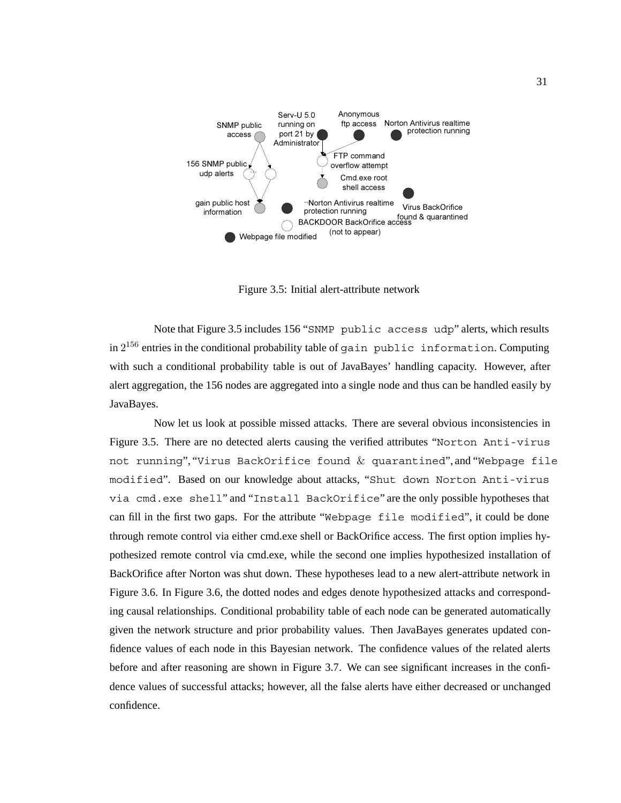

Figure 3.5: Initial alert-attribute network

Note that Figure 3.5 includes 156 "SNMP public access udp" alerts, which results in  $2^{156}$  entries in the conditional probability table of gain public information. Computing with such a conditional probability table is out of JavaBayes' handling capacity. However, after alert aggregation, the 156 nodes are aggregated into a single node and thus can be handled easily by JavaBayes.

Now let us look at possible missed attacks. There are several obvious inconsistencies in Figure 3.5. There are no detected alerts causing the verified attributes "Norton Anti-virus not running", "Virus BackOrifice found  $\&$  quarantined", and "Webpage file modified". Based on our knowledge about attacks, "Shut down Norton Anti-virus via cmd.exe shell" and "Install BackOrifice" are the only possible hypotheses that can fill in the first two gaps. For the attribute "Webpage file modified", it could be done through remote control via either cmd.exe shell or BackOrifice access. The first option implies hypothesized remote control via cmd.exe, while the second one implies hypothesized installation of BackOrifice after Norton was shut down. These hypotheses lead to a new alert-attribute network in Figure 3.6. In Figure 3.6, the dotted nodes and edges denote hypothesized attacks and corresponding causal relationships. Conditional probability table of each node can be generated automatically given the network structure and prior probability values. Then JavaBayes generates updated confidence values of each node in this Bayesian network. The confidence values of the related alerts before and after reasoning are shown in Figure 3.7. We can see significant increases in the confidence values of successful attacks; however, all the false alerts have either decreased or unchanged confidence.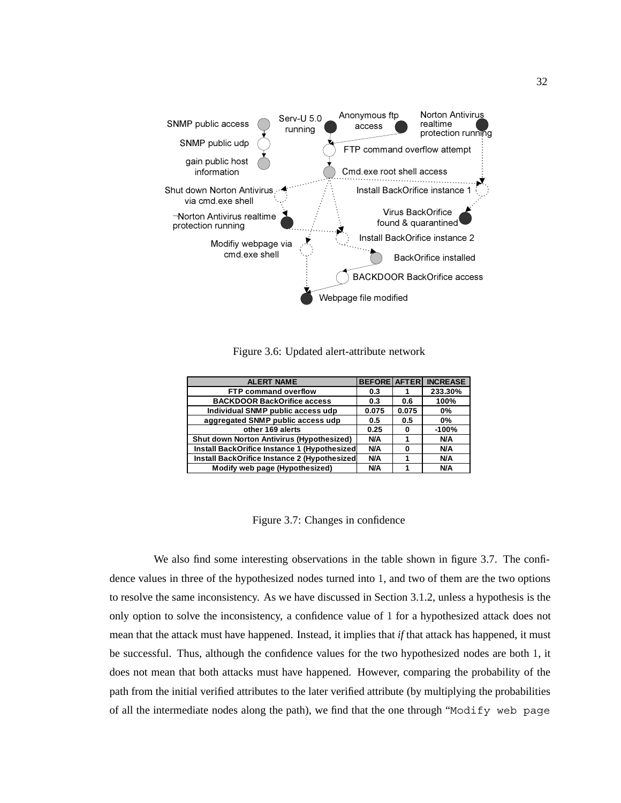

Figure 3.6: Updated alert-attribute network

| <b>ALERT NAME</b>                            | <b>BEFORE AFTER</b> |       | <b>INCREASE</b> |
|----------------------------------------------|---------------------|-------|-----------------|
| <b>FTP command overflow</b>                  | 0.3                 |       | 233.30%         |
| <b>BACKDOOR BackOrifice access</b>           | 0.3                 | 0.6   | 100%            |
| Individual SNMP public access udp            | 0.075               | 0.075 | $0\%$           |
| aggregated SNMP public access udp            | 0.5                 | 0.5   | $0\%$           |
| other 169 alerts                             | 0.25                | 0     | $-100%$         |
| Shut down Norton Antivirus (Hypothesized)    | N/A                 |       | N/A             |
| Install BackOrifice Instance 1 (Hypothesized | <b>N/A</b>          | 0     | N/A             |
| Install BackOrifice Instance 2 (Hypothesized | <b>N/A</b>          |       | N/A             |
| Modify web page (Hypothesized)               | N/A                 |       | N/A             |

Figure 3.7: Changes in confidence

We also find some interesting observations in the table shown in figure 3.7. The confidence values in three of the hypothesized nodes turned into 1, and two of them are the two options to resolve the same inconsistency. As we have discussed in Section 3.1.2, unless a hypothesis is the only option to solve the inconsistency, a confidence value of 1 for a hypothesized attack does not mean that the attack must have happened. Instead, it implies that *if* that attack has happened, it must be successful. Thus, although the confidence values for the two hypothesized nodes are both 1, it does not mean that both attacks must have happened. However, comparing the probability of the path from the initial verified attributes to the later verified attribute (by multiplying the probabilities of all the intermediate nodes along the path), we find that the one through "Modify web page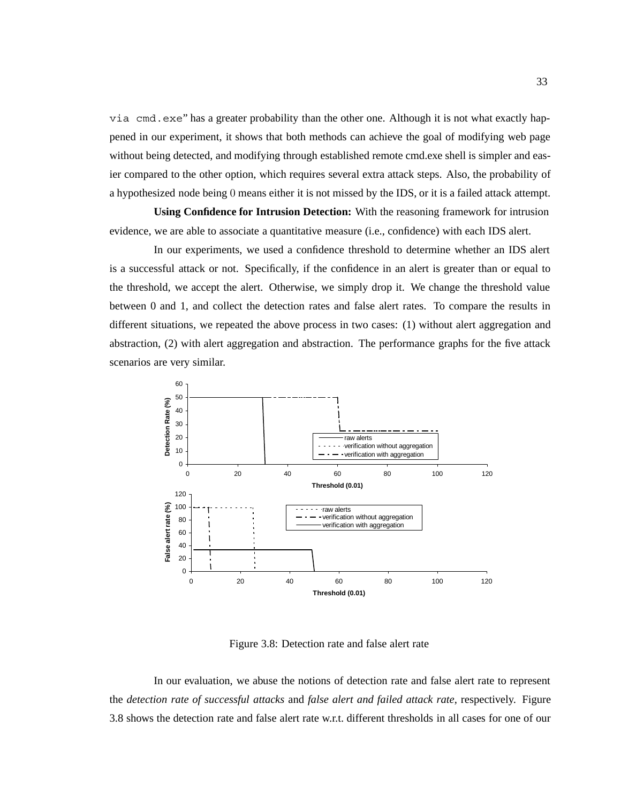via cmd.exe" has a greater probability than the other one. Although it is not what exactly happened in our experiment, it shows that both methods can achieve the goal of modifying web page without being detected, and modifying through established remote cmd.exe shell is simpler and easier compared to the other option, which requires several extra attack steps. Also, the probability of a hypothesized node being 0 means either it is not missed by the IDS, or it is a failed attack attempt.

**Using Confidence for Intrusion Detection:** With the reasoning framework for intrusion evidence, we are able to associate a quantitative measure (i.e., confidence) with each IDS alert.

In our experiments, we used a confidence threshold to determine whether an IDS alert is a successful attack or not. Specifically, if the confidence in an alert is greater than or equal to the threshold, we accept the alert. Otherwise, we simply drop it. We change the threshold value between 0 and 1, and collect the detection rates and false alert rates. To compare the results in different situations, we repeated the above process in two cases: (1) without alert aggregation and abstraction, (2) with alert aggregation and abstraction. The performance graphs for the five attack scenarios are very similar.



Figure 3.8: Detection rate and false alert rate

In our evaluation, we abuse the notions of detection rate and false alert rate to represent the *detection rate of successful attacks* and *false alert and failed attack rate*, respectively. Figure 3.8 shows the detection rate and false alert rate w.r.t. different thresholds in all cases for one of our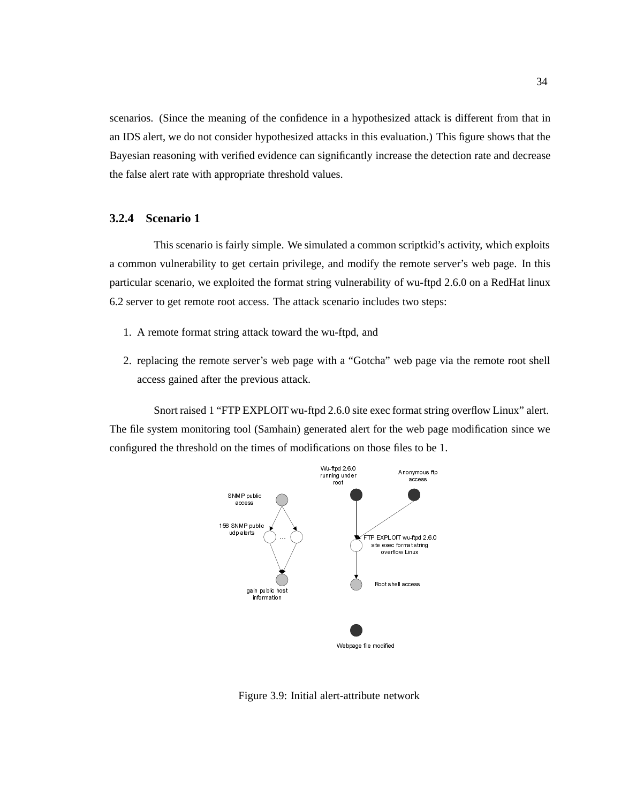scenarios. (Since the meaning of the confidence in a hypothesized attack is different from that in an IDS alert, we do not consider hypothesized attacks in this evaluation.) This figure shows that the Bayesian reasoning with verified evidence can significantly increase the detection rate and decrease the false alert rate with appropriate threshold values.

### **3.2.4 Scenario 1**

This scenario is fairly simple. We simulated a common scriptkid's activity, which exploits a common vulnerability to get certain privilege, and modify the remote server's web page. In this particular scenario, we exploited the format string vulnerability of wu-ftpd 2.6.0 on a RedHat linux 6.2 server to get remote root access. The attack scenario includes two steps:

- 1. A remote format string attack toward the wu-ftpd, and
- 2. replacing the remote server's web page with a "Gotcha" web page via the remote root shell access gained after the previous attack.

Snort raised 1 "FTP EXPLOIT wu-ftpd 2.6.0 site exec format string overflow Linux" alert. The file system monitoring tool (Samhain) generated alert for the web page modification since we configured the threshold on the times of modifications on those files to be 1.



Figure 3.9: Initial alert-attribute network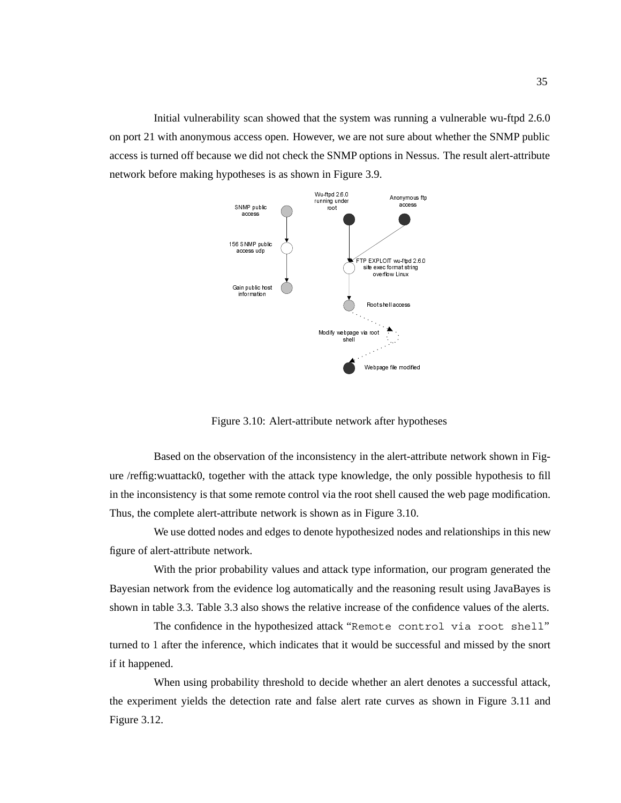Initial vulnerability scan showed that the system was running a vulnerable wu-ftpd 2.6.0 on port 21 with anonymous access open. However, we are not sure about whether the SNMP public access is turned off because we did not check the SNMP options in Nessus. The result alert-attribute network before making hypotheses is as shown in Figure 3.9.



Figure 3.10: Alert-attribute network after hypotheses

Based on the observation of the inconsistency in the alert-attribute network shown in Figure /reffig:wuattack0, together with the attack type knowledge, the only possible hypothesis to fill in the inconsistency is that some remote control via the root shell caused the web page modification. Thus, the complete alert-attribute network is shown as in Figure 3.10.

We use dotted nodes and edges to denote hypothesized nodes and relationships in this new figure of alert-attribute network.

With the prior probability values and attack type information, our program generated the Bayesian network from the evidence log automatically and the reasoning result using JavaBayes is shown in table 3.3. Table 3.3 also shows the relative increase of the confidence values of the alerts.

The confidence in the hypothesized attack "Remote control via root shell" turned to 1 after the inference, which indicates that it would be successful and missed by the snort if it happened.

When using probability threshold to decide whether an alert denotes a successful attack, the experiment yields the detection rate and false alert rate curves as shown in Figure 3.11 and Figure 3.12.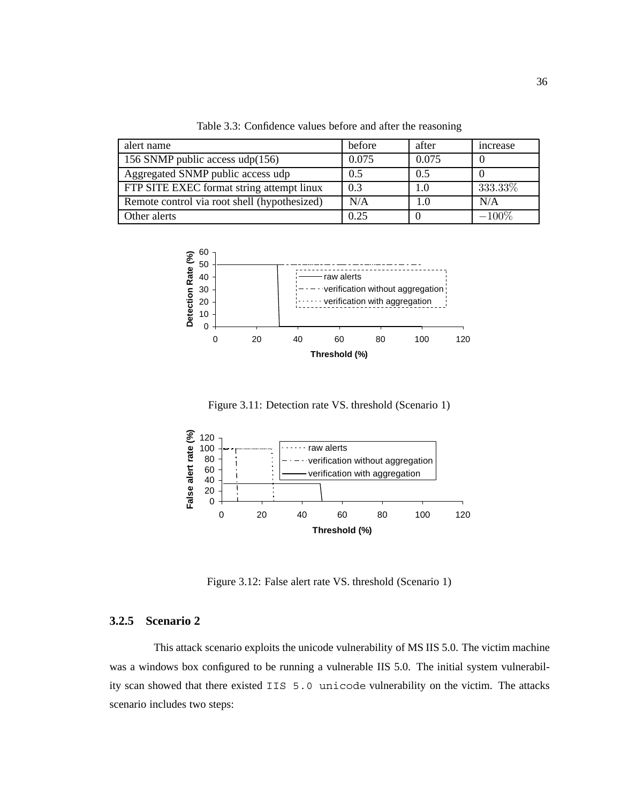| Table 3.3: Confidence values before and after the reasoning |  |  |
|-------------------------------------------------------------|--|--|
|-------------------------------------------------------------|--|--|

| alert name                                   | before | after | <i>ncrease</i> |
|----------------------------------------------|--------|-------|----------------|
| 156 SNMP public access $\text{udp}(156)$     | 0.075  | 0.075 |                |
| Aggregated SNMP public access udp            | 0.5    | 0.5   |                |
| FTP SITE EXEC format string attempt linux    | 0.3    | 1.0   | 333.33%        |
| Remote control via root shell (hypothesized) | N/A    | 1.0   | N/A            |
| Other alerts                                 | 0.25   |       | $-100\%$       |



Figure 3.11: Detection rate VS. threshold (Scenario 1)



Figure 3.12: False alert rate VS. threshold (Scenario 1)

### **3.2.5 Scenario 2**

This attack scenario exploits the unicode vulnerability of MS IIS 5.0. The victim machine was a windows box configured to be running a vulnerable IIS 5.0. The initial system vulnerability scan showed that there existed IIS 5.0 unicode vulnerability on the victim. The attacks scenario includes two steps: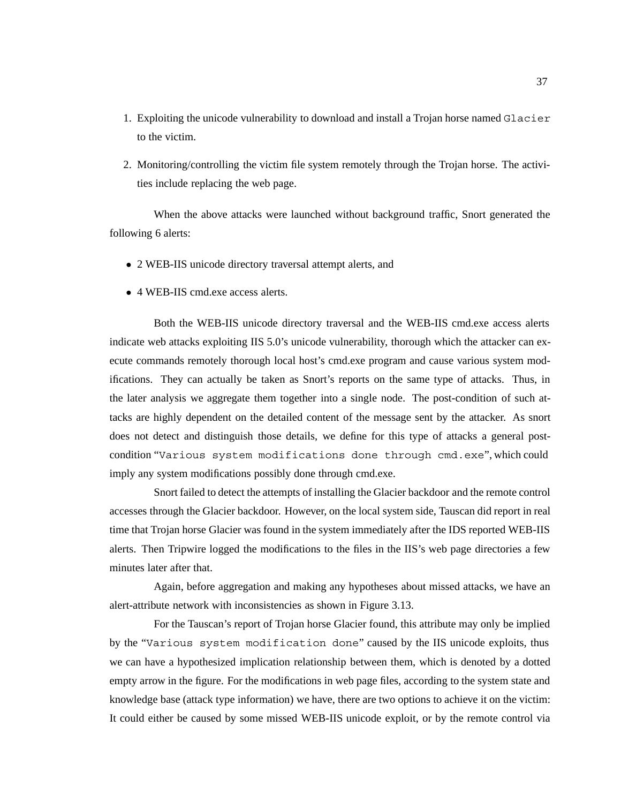- 1. Exploiting the unicode vulnerability to download and install a Trojan horse named Glacier to the victim.
- 2. Monitoring/controlling the victim file system remotely through the Trojan horse. The activities include replacing the web page.

When the above attacks were launched without background traffic, Snort generated the following 6 alerts:

- 2 WEB-IIS unicode directory traversal attempt alerts, and
- 4 WEB-IIS cmd.exe access alerts.

Both the WEB-IIS unicode directory traversal and the WEB-IIS cmd.exe access alerts indicate web attacks exploiting IIS 5.0's unicode vulnerability, thorough which the attacker can execute commands remotely thorough local host's cmd.exe program and cause various system modifications. They can actually be taken as Snort's reports on the same type of attacks. Thus, in the later analysis we aggregate them together into a single node. The post-condition of such attacks are highly dependent on the detailed content of the message sent by the attacker. As snort does not detect and distinguish those details, we define for this type of attacks a general postcondition "Various system modifications done through cmd.exe", which could imply any system modifications possibly done through cmd.exe.

Snort failed to detect the attempts of installing the Glacier backdoor and the remote control accesses through the Glacier backdoor. However, on the local system side, Tauscan did report in real time that Trojan horse Glacier was found in the system immediately after the IDS reported WEB-IIS alerts. Then Tripwire logged the modifications to the files in the IIS's web page directories a few minutes later after that.

Again, before aggregation and making any hypotheses about missed attacks, we have an alert-attribute network with inconsistencies as shown in Figure 3.13.

For the Tauscan's report of Trojan horse Glacier found, this attribute may only be implied by the "Various system modification done" caused by the IIS unicode exploits, thus we can have a hypothesized implication relationship between them, which is denoted by a dotted empty arrow in the figure. For the modifications in web page files, according to the system state and knowledge base (attack type information) we have, there are two options to achieve it on the victim: It could either be caused by some missed WEB-IIS unicode exploit, or by the remote control via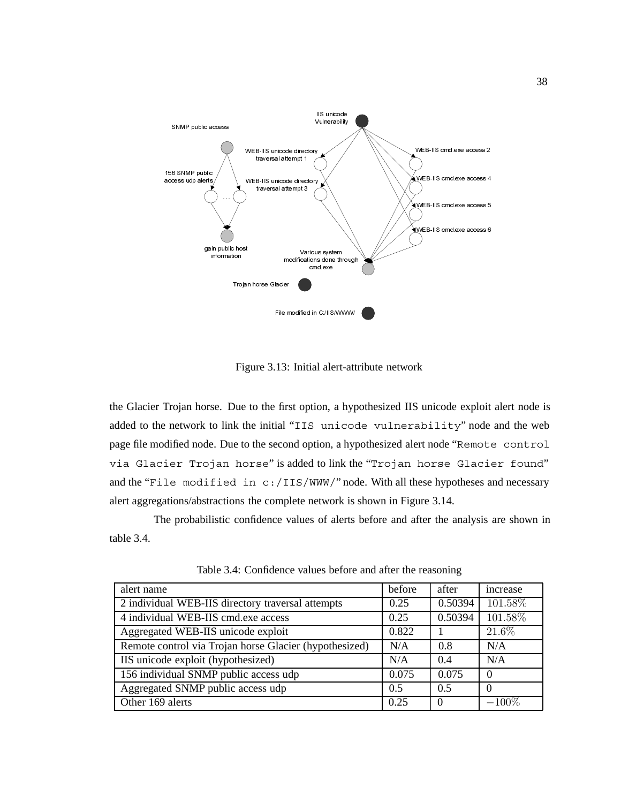

Figure 3.13: Initial alert-attribute network

the Glacier Trojan horse. Due to the first option, a hypothesized IIS unicode exploit alert node is added to the network to link the initial "IIS unicode vulnerability" node and the web page file modified node. Due to the second option, a hypothesized alert node "Remote control via Glacier Trojan horse" is added to link the "Trojan horse Glacier found" and the "File modified in c:/IIS/WWW/" node. With all these hypotheses and necessary alert aggregations/abstractions the complete network is shown in Figure 3.14.

The probabilistic confidence values of alerts before and after the analysis are shown in table 3.4.

| alert name                                             | before | after   | increase |
|--------------------------------------------------------|--------|---------|----------|
| 2 individual WEB-IIS directory traversal attempts      | 0.25   | 0.50394 | 101.58%  |
| 4 individual WEB-IIS cmd.exe access                    | 0.25   | 0.50394 | 101.58%  |
| Aggregated WEB-IIS unicode exploit                     | 0.822  |         | 21.6%    |
| Remote control via Trojan horse Glacier (hypothesized) | N/A    | 0.8     | N/A      |
| IIS unicode exploit (hypothesized)                     | N/A    | 0.4     | N/A      |
| 156 individual SNMP public access udp                  | 0.075  | 0.075   | $\Omega$ |
| Aggregated SNMP public access udp                      | 0.5    | 0.5     | $\Omega$ |
| Other 169 alerts                                       | 0.25   |         | $-100\%$ |

Table 3.4: Confidence values before and after the reasoning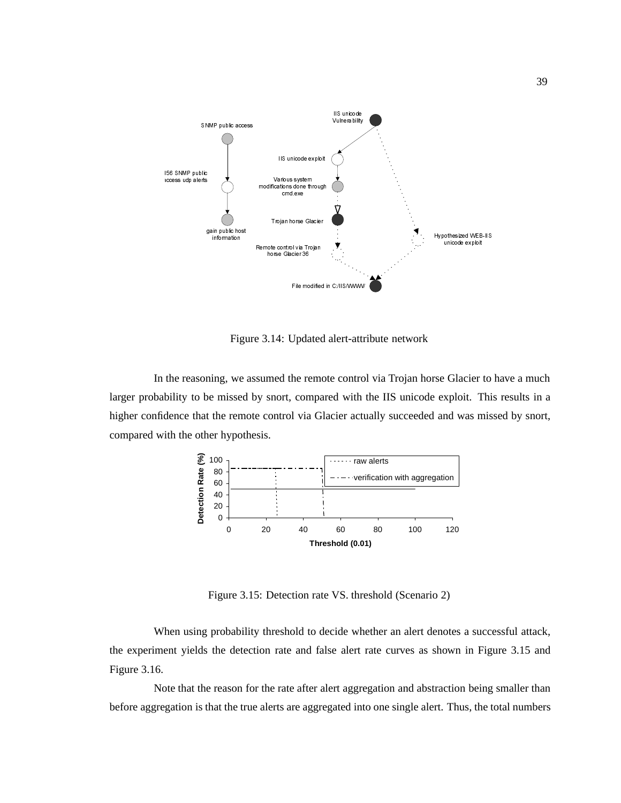

Figure 3.14: Updated alert-attribute network

In the reasoning, we assumed the remote control via Trojan horse Glacier to have a much larger probability to be missed by snort, compared with the IIS unicode exploit. This results in a higher confidence that the remote control via Glacier actually succeeded and was missed by snort, compared with the other hypothesis.



Figure 3.15: Detection rate VS. threshold (Scenario 2)

When using probability threshold to decide whether an alert denotes a successful attack, the experiment yields the detection rate and false alert rate curves as shown in Figure 3.15 and Figure 3.16.

Note that the reason for the rate after alert aggregation and abstraction being smaller than before aggregation is that the true alerts are aggregated into one single alert. Thus, the total numbers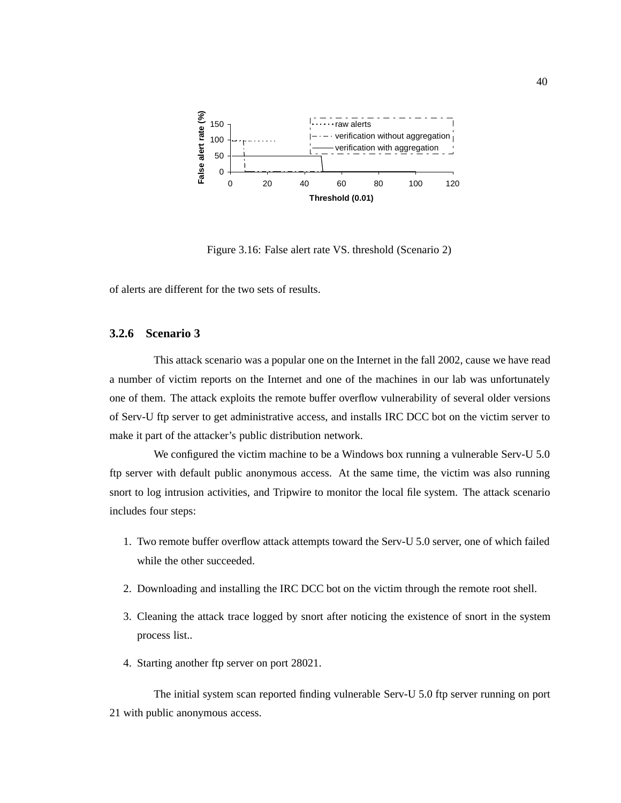

Figure 3.16: False alert rate VS. threshold (Scenario 2)

of alerts are different for the two sets of results.

### **3.2.6 Scenario 3**

This attack scenario was a popular one on the Internet in the fall 2002, cause we have read a number of victim reports on the Internet and one of the machines in our lab was unfortunately one of them. The attack exploits the remote buffer overflow vulnerability of several older versions of Serv-U ftp server to get administrative access, and installs IRC DCC bot on the victim server to make it part of the attacker's public distribution network.

We configured the victim machine to be a Windows box running a vulnerable Serv-U 5.0 ftp server with default public anonymous access. At the same time, the victim was also running snort to log intrusion activities, and Tripwire to monitor the local file system. The attack scenario includes four steps:

- 1. Two remote buffer overflow attack attempts toward the Serv-U 5.0 server, one of which failed while the other succeeded.
- 2. Downloading and installing the IRC DCC bot on the victim through the remote root shell.
- 3. Cleaning the attack trace logged by snort after noticing the existence of snort in the system process list..
- 4. Starting another ftp server on port 28021.

The initial system scan reported finding vulnerable Serv-U 5.0 ftp server running on port 21 with public anonymous access.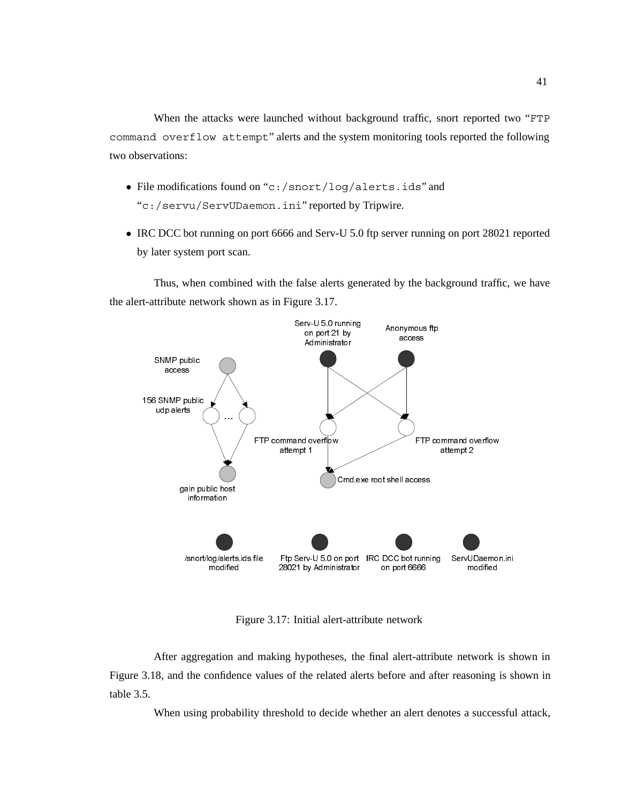When the attacks were launched without background traffic, snort reported two "FTP command overflow attempt" alerts and the system monitoring tools reported the following two observations:

- File modifications found on "c:/snort/log/alerts.ids" and "c:/servu/ServUDaemon.ini" reported by Tripwire.
- IRC DCC bot running on port 6666 and Serv-U 5.0 ftp server running on port 28021 reported by later system port scan.

Thus, when combined with the false alerts generated by the background traffic, we have the alert-attribute network shown as in Figure 3.17.



Figure 3.17: Initial alert-attribute network

After aggregation and making hypotheses, the final alert-attribute network is shown in Figure 3.18, and the confidence values of the related alerts before and after reasoning is shown in table 3.5.

When using probability threshold to decide whether an alert denotes a successful attack,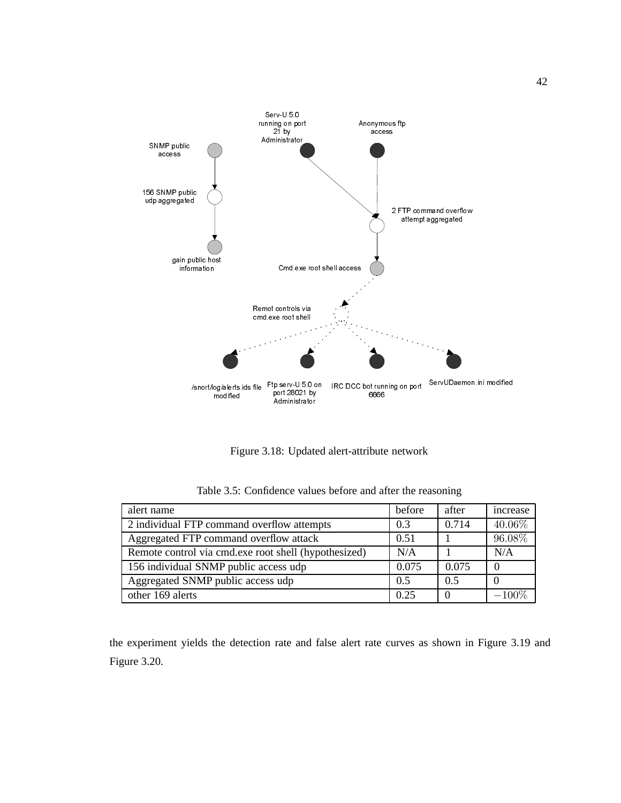

Figure 3.18: Updated alert-attribute network

| alert name                                           | before         | after    | increase |
|------------------------------------------------------|----------------|----------|----------|
| 2 individual FTP command overflow attempts           | 0.3            | 0.714    | 40.06%   |
| Aggregated FTP command overflow attack               | 0.51           |          | 96.08%   |
| Remote control via cmd.exe root shell (hypothesized) | N/A            |          | N/A      |
| 156 individual SNMP public access udp                | 0.075          | 0.075    |          |
| Aggregated SNMP public access udp                    | 0 <sub>5</sub> | 0.5      |          |
| other 169 alerts                                     | 0.25           | $\Omega$ | $-100\%$ |

Table 3.5: Confidence values before and after the reasoning

the experiment yields the detection rate and false alert rate curves as shown in Figure 3.19 and Figure 3.20.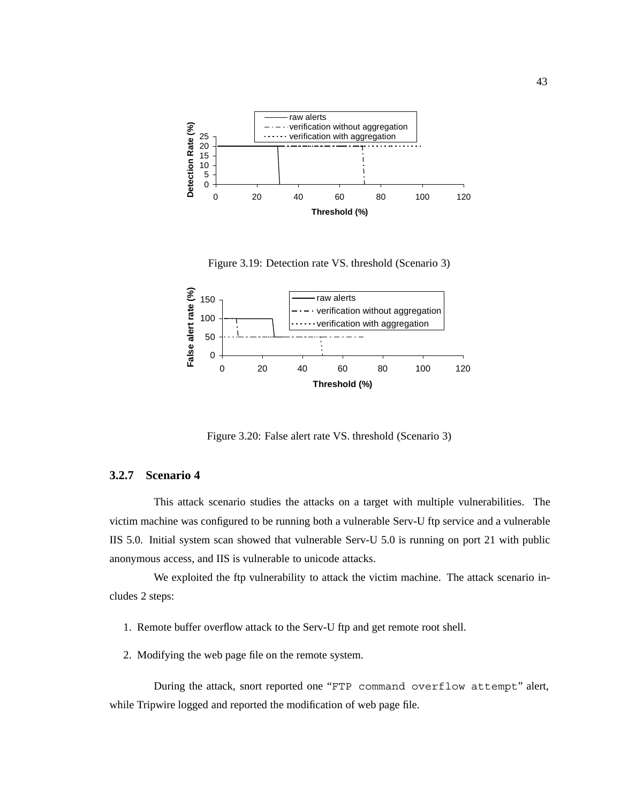

Figure 3.19: Detection rate VS. threshold (Scenario 3)



Figure 3.20: False alert rate VS. threshold (Scenario 3)

### **3.2.7 Scenario 4**

This attack scenario studies the attacks on a target with multiple vulnerabilities. The victim machine was configured to be running both a vulnerable Serv-U ftp service and a vulnerable IIS 5.0. Initial system scan showed that vulnerable Serv-U 5.0 is running on port 21 with public anonymous access, and IIS is vulnerable to unicode attacks.

We exploited the ftp vulnerability to attack the victim machine. The attack scenario includes 2 steps:

- 1. Remote buffer overflow attack to the Serv-U ftp and get remote root shell.
- 2. Modifying the web page file on the remote system.

During the attack, snort reported one "FTP command overflow attempt" alert, while Tripwire logged and reported the modification of web page file.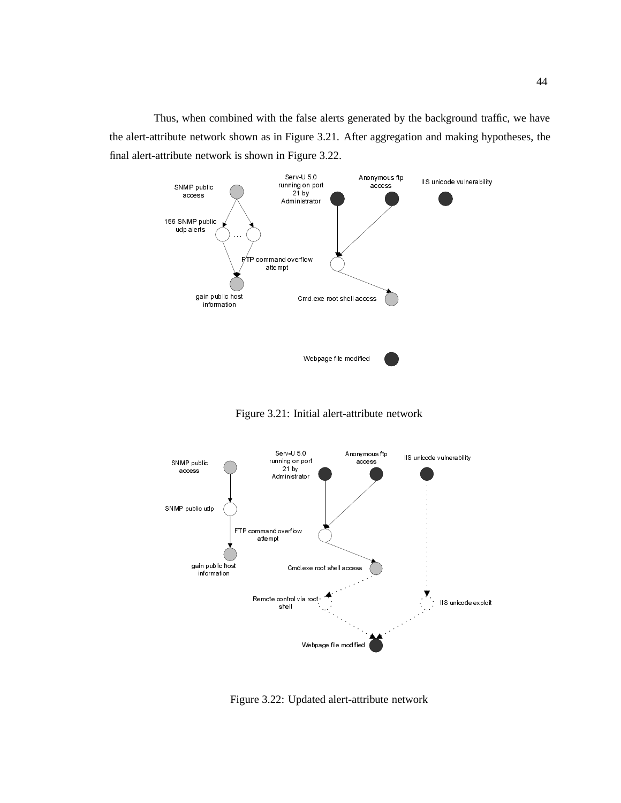Thus, when combined with the false alerts generated by the background traffic, we have the alert-attribute network shown as in Figure 3.21. After aggregation and making hypotheses, the final alert-attribute network is shown in Figure 3.22.



Figure 3.21: Initial alert-attribute network



Figure 3.22: Updated alert-attribute network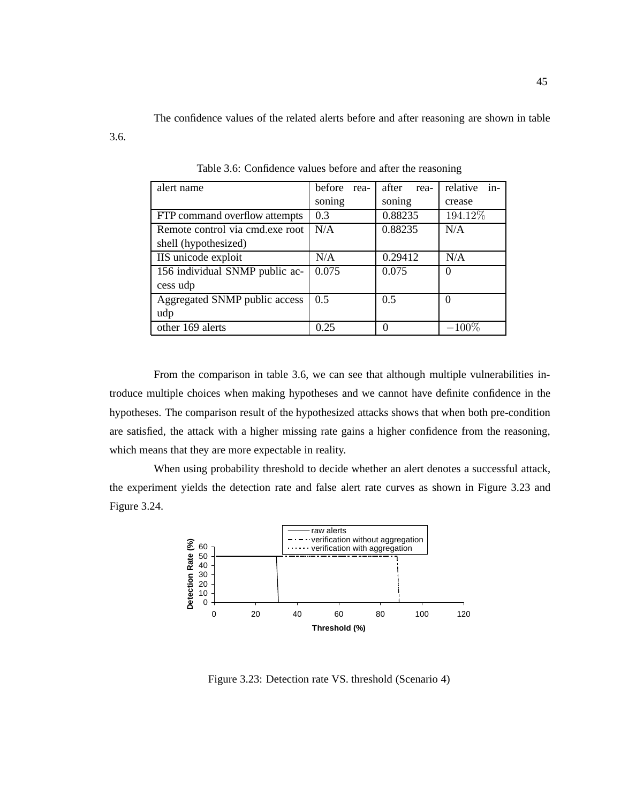The confidence values of the related alerts before and after reasoning are shown in table

| alert name                      | before<br>rea- | after<br>rea- | $in-$<br>relative |
|---------------------------------|----------------|---------------|-------------------|
|                                 | soning         | soning        | crease            |
| FTP command overflow attempts   | 0.3            | 0.88235       | 194.12%           |
| Remote control via cmd.exe root | N/A            | 0.88235       | N/A               |
| shell (hypothesized)            |                |               |                   |
| IIS unicode exploit             | N/A            | 0.29412       | N/A               |
| 156 individual SNMP public ac-  | 0.075          | 0.075         | $\Omega$          |
| cess udp                        |                |               |                   |
| Aggregated SNMP public access   | 0.5            | 0.5           | $\Omega$          |
| udp                             |                |               |                   |
| other 169 alerts                | 0.25           |               | $-100\%$          |

Table 3.6: Confidence values before and after the reasoning

3.6.

From the comparison in table 3.6, we can see that although multiple vulnerabilities introduce multiple choices when making hypotheses and we cannot have definite confidence in the hypotheses. The comparison result of the hypothesized attacks shows that when both pre-condition are satisfied, the attack with a higher missing rate gains a higher confidence from the reasoning, which means that they are more expectable in reality.

When using probability threshold to decide whether an alert denotes a successful attack, the experiment yields the detection rate and false alert rate curves as shown in Figure 3.23 and Figure 3.24.



Figure 3.23: Detection rate VS. threshold (Scenario 4)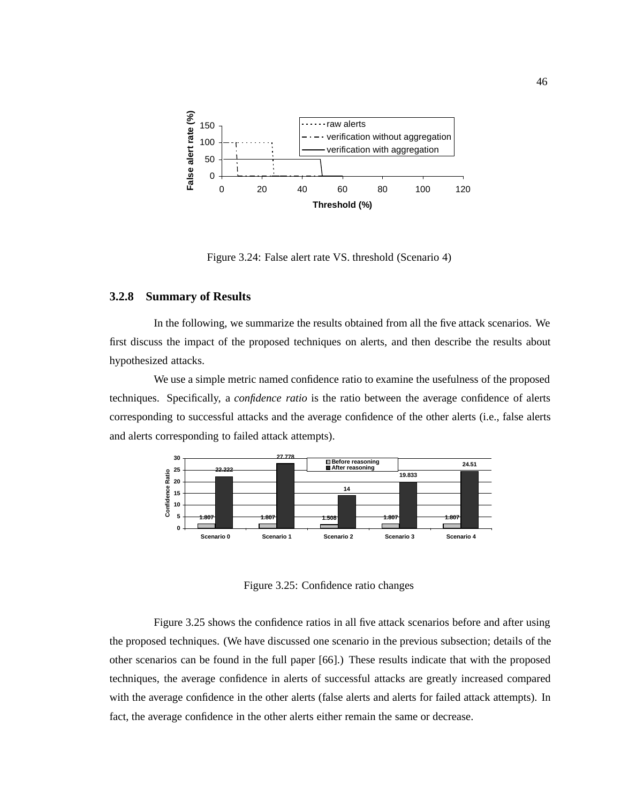

Figure 3.24: False alert rate VS. threshold (Scenario 4)

### **3.2.8 Summary of Results**

In the following, we summarize the results obtained from all the five attack scenarios. We first discuss the impact of the proposed techniques on alerts, and then describe the results about hypothesized attacks.

We use a simple metric named confidence ratio to examine the usefulness of the proposed techniques. Specifically, a *confidence ratio* is the ratio between the average confidence of alerts corresponding to successful attacks and the average confidence of the other alerts (i.e., false alerts and alerts corresponding to failed attack attempts).



Figure 3.25: Confidence ratio changes

Figure 3.25 shows the confidence ratios in all five attack scenarios before and after using the proposed techniques. (We have discussed one scenario in the previous subsection; details of the other scenarios can be found in the full paper [66].) These results indicate that with the proposed techniques, the average confidence in alerts of successful attacks are greatly increased compared with the average confidence in the other alerts (false alerts and alerts for failed attack attempts). In fact, the average confidence in the other alerts either remain the same or decrease.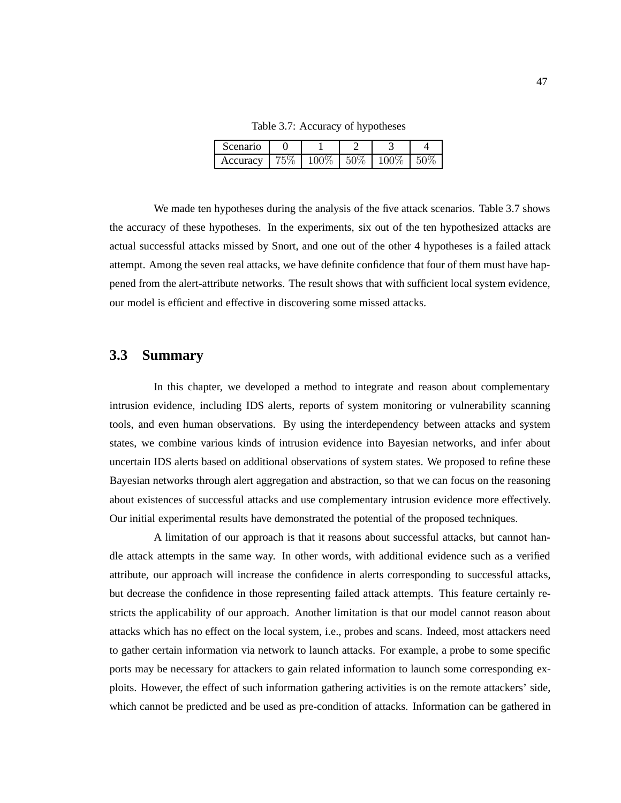Table 3.7: Accuracy of hypotheses

| Scenario |     |       |        |       |  |
|----------|-----|-------|--------|-------|--|
| Accuracy | 755 | 100\% | $50\%$ | 100\% |  |

We made ten hypotheses during the analysis of the five attack scenarios. Table 3.7 shows the accuracy of these hypotheses. In the experiments, six out of the ten hypothesized attacks are actual successful attacks missed by Snort, and one out of the other 4 hypotheses is a failed attack attempt. Among the seven real attacks, we have definite confidence that four of them must have happened from the alert-attribute networks. The result shows that with sufficient local system evidence, our model is efficient and effective in discovering some missed attacks.

### **3.3 Summary**

In this chapter, we developed a method to integrate and reason about complementary intrusion evidence, including IDS alerts, reports of system monitoring or vulnerability scanning tools, and even human observations. By using the interdependency between attacks and system states, we combine various kinds of intrusion evidence into Bayesian networks, and infer about uncertain IDS alerts based on additional observations of system states. We proposed to refine these Bayesian networks through alert aggregation and abstraction, so that we can focus on the reasoning about existences of successful attacks and use complementary intrusion evidence more effectively. Our initial experimental results have demonstrated the potential of the proposed techniques.

A limitation of our approach is that it reasons about successful attacks, but cannot handle attack attempts in the same way. In other words, with additional evidence such as a verified attribute, our approach will increase the confidence in alerts corresponding to successful attacks, but decrease the confidence in those representing failed attack attempts. This feature certainly restricts the applicability of our approach. Another limitation is that our model cannot reason about attacks which has no effect on the local system, i.e., probes and scans. Indeed, most attackers need to gather certain information via network to launch attacks. For example, a probe to some specific ports may be necessary for attackers to gain related information to launch some corresponding exploits. However, the effect of such information gathering activities is on the remote attackers' side, which cannot be predicted and be used as pre-condition of attacks. Information can be gathered in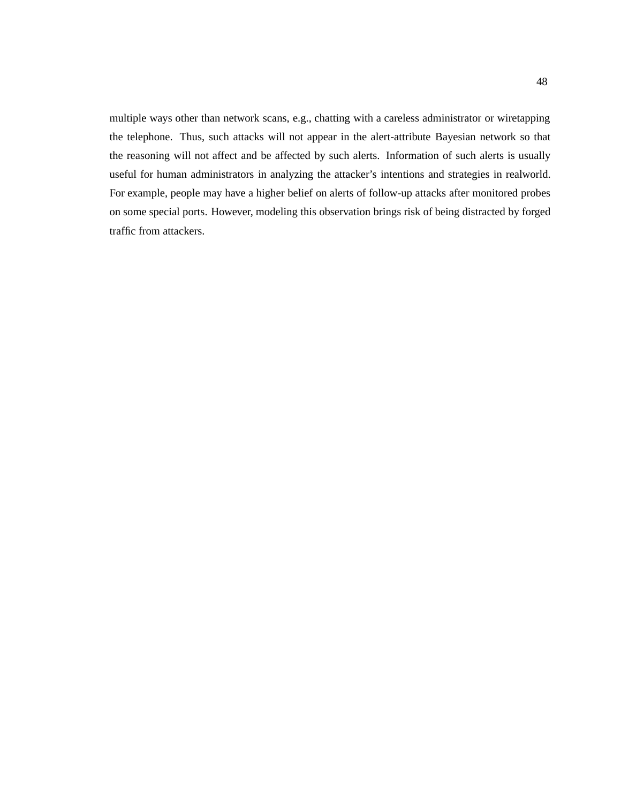multiple ways other than network scans, e.g., chatting with a careless administrator or wiretapping the telephone. Thus, such attacks will not appear in the alert-attribute Bayesian network so that the reasoning will not affect and be affected by such alerts. Information of such alerts is usually useful for human administrators in analyzing the attacker's intentions and strategies in realworld. For example, people may have a higher belief on alerts of follow-up attacks after monitored probes on some special ports. However, modeling this observation brings risk of being distracted by forged traffic from attackers.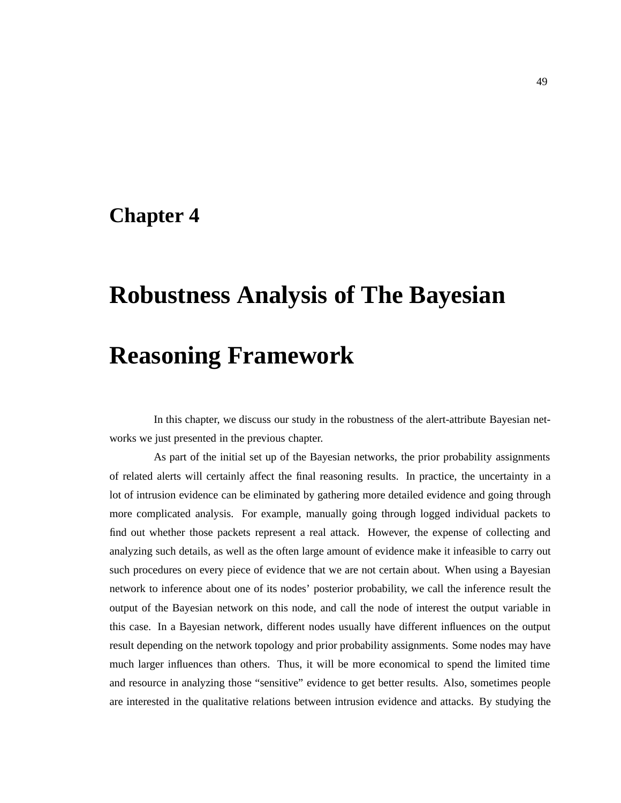### **Chapter 4**

## **Robustness Analysis of The Bayesian**

# **Reasoning Framework**

In this chapter, we discuss our study in the robustness of the alert-attribute Bayesian networks we just presented in the previous chapter.

As part of the initial set up of the Bayesian networks, the prior probability assignments of related alerts will certainly affect the final reasoning results. In practice, the uncertainty in a lot of intrusion evidence can be eliminated by gathering more detailed evidence and going through more complicated analysis. For example, manually going through logged individual packets to find out whether those packets represent a real attack. However, the expense of collecting and analyzing such details, as well as the often large amount of evidence make it infeasible to carry out such procedures on every piece of evidence that we are not certain about. When using a Bayesian network to inference about one of its nodes' posterior probability, we call the inference result the output of the Bayesian network on this node, and call the node of interest the output variable in this case. In a Bayesian network, different nodes usually have different influences on the output result depending on the network topology and prior probability assignments. Some nodes may have much larger influences than others. Thus, it will be more economical to spend the limited time and resource in analyzing those "sensitive" evidence to get better results. Also, sometimes people are interested in the qualitative relations between intrusion evidence and attacks. By studying the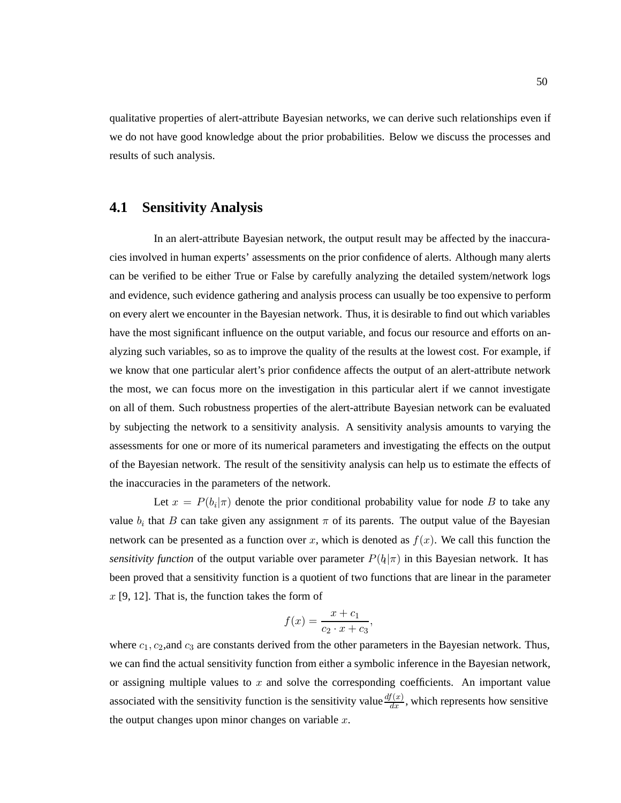qualitative properties of alert-attribute Bayesian networks, we can derive such relationships even if we do not have good knowledge about the prior probabilities. Below we discuss the processes and results of such analysis.

### **4.1 Sensitivity Analysis**

In an alert-attribute Bayesian network, the output result may be affected by the inaccuracies involved in human experts' assessments on the prior confidence of alerts. Although many alerts can be verified to be either True or False by carefully analyzing the detailed system/network logs and evidence, such evidence gathering and analysis process can usually be too expensive to perform on every alert we encounter in the Bayesian network. Thus, it is desirable to find out which variables have the most significant influence on the output variable, and focus our resource and efforts on analyzing such variables, so as to improve the quality of the results at the lowest cost. For example, if we know that one particular alert's prior confidence affects the output of an alert-attribute network the most, we can focus more on the investigation in this particular alert if we cannot investigate on all of them. Such robustness properties of the alert-attribute Bayesian network can be evaluated by subjecting the network to a sensitivity analysis. A sensitivity analysis amounts to varying the assessments for one or more of its numerical parameters and investigating the effects on the output of the Bayesian network. The result of the sensitivity analysis can help us to estimate the effects of the inaccuracies in the parameters of the network.

Let  $x = P(b_i|\pi)$  denote the prior conditional probability value for node B to take any value  $b_i$  that B can take given any assignment  $\pi$  of its parents. The output value of the Bayesian network can be presented as a function over x, which is denoted as  $f(x)$ . We call this function the *sensitivity function* of the output variable over parameter  $P(h|\pi)$  in this Bayesian network. It has been proved that a sensitivity function is a quotient of two functions that are linear in the parameter  $x$  [9, 12]. That is, the function takes the form of

$$
f(x) = \frac{x + c_1}{c_2 \cdot x + c_3}
$$

,

where  $c_1, c_2$ , and  $c_3$  are constants derived from the other parameters in the Bayesian network. Thus, we can find the actual sensitivity function from either a symbolic inference in the Bayesian network, or assigning multiple values to x and solve the corresponding coefficients. An important value associated with the sensitivity function is the sensitivity value  $\frac{df(x)}{dx}$ , which represents how sensitive the output changes upon minor changes on variable  $x$ .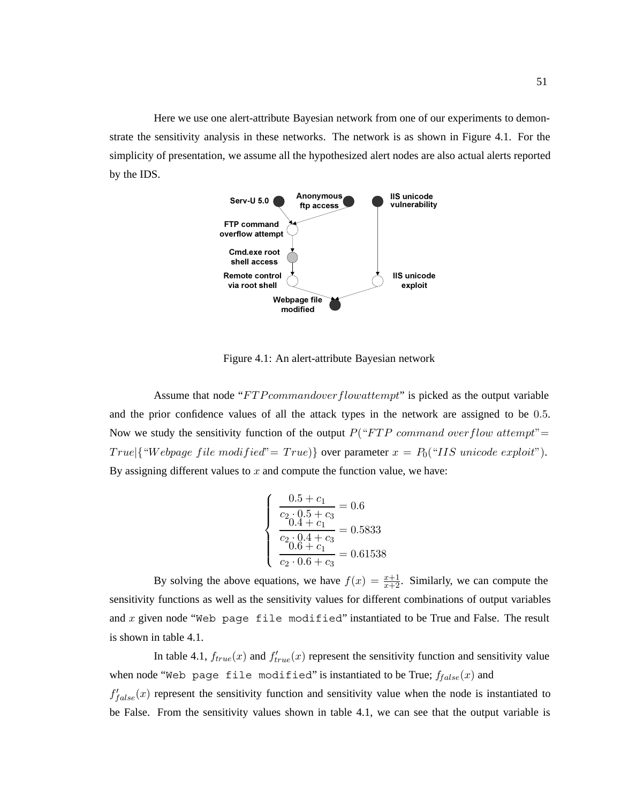Here we use one alert-attribute Bayesian network from one of our experiments to demonstrate the sensitivity analysis in these networks. The network is as shown in Figure 4.1. For the simplicity of presentation, we assume all the hypothesized alert nodes are also actual alerts reported by the IDS.



Figure 4.1: An alert-attribute Bayesian network

Assume that node "FTP commandover flowattempt" is picked as the output variable and the prior confidence values of all the attack types in the network are assigned to be 0.5. Now we study the sensitivity function of the output  $P("FTP command overflow attempt") =$ True|{"Webpage file modified"= True)} over parameter  $x = P_0("IIS unicode exploit").$ By assigning different values to  $x$  and compute the function value, we have:

$$
\begin{cases}\n\frac{0.5 + c_1}{c_2 \cdot 0.5 + c_3} = 0.6\\ \n\frac{0.4 + c_1}{c_2 \cdot 0.4 + c_3} = 0.5833\\ \n\frac{0.6 + c_1}{c_2 \cdot 0.6 + c_3} = 0.61538\n\end{cases}
$$

By solving the above equations, we have  $f(x) = \frac{x+1}{x+2}$ . Similarly, we can compute the sensitivity functions as well as the sensitivity values for different combinations of output variables and  $x$  given node "Web page file modified" instantiated to be True and False. The result is shown in table 4.1.

In table 4.1,  $f_{true}(x)$  and  $f'_{true}(x)$  represent the sensitivity function and sensitivity value when node "Web page file modified" is instantiated to be True; f*false*(x) and  $f_{false}'(x)$  represent the sensitivity function and sensitivity value when the node is instantiated to be False. From the sensitivity values shown in table 4.1, we can see that the output variable is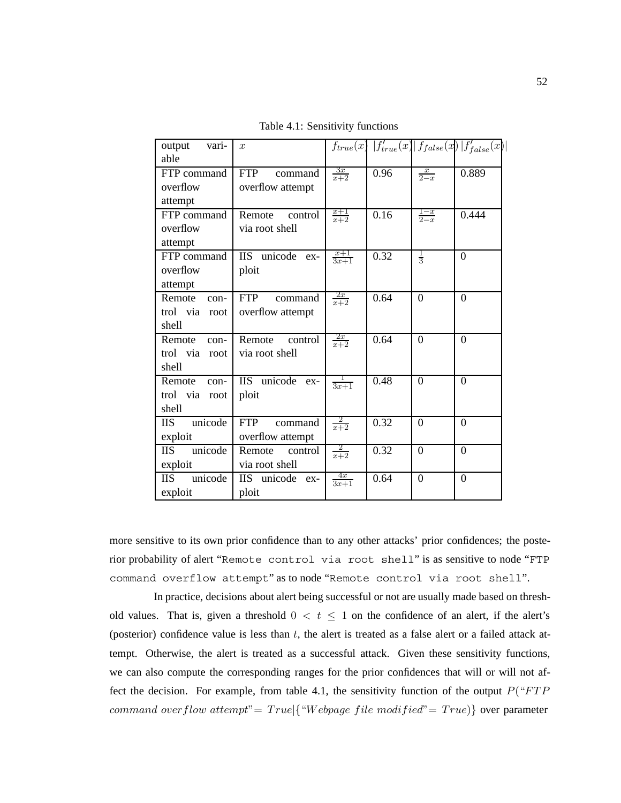| output<br>vari-       | $\mathcal{X}$         |                    |                   |                   | $\overline{f_{true}(x)}$ $\overline{ f'_{true}(x) }$ $f_{false}(x)$ $\overline{ f'_{false}(x) }$ |
|-----------------------|-----------------------|--------------------|-------------------|-------------------|--------------------------------------------------------------------------------------------------|
| able                  |                       |                    |                   |                   |                                                                                                  |
| FTP command           | <b>FTP</b><br>command | $\frac{3x}{x+2}$   | 0.96              | $\frac{x}{2-x}$   | 0.889                                                                                            |
| overflow              | overflow attempt      |                    |                   |                   |                                                                                                  |
| attempt               |                       |                    |                   |                   |                                                                                                  |
| FTP command           | Remote control        | $\frac{x+1}{x+2}$  | 0.16              | $\frac{1-x}{2-x}$ | 0.444                                                                                            |
| overflow              | via root shell        |                    |                   |                   |                                                                                                  |
| attempt               |                       |                    |                   |                   |                                                                                                  |
| FTP command           | IIS unicode ex-       | $\frac{x+1}{3x+1}$ | 0.32              | $\frac{1}{3}$     | $\theta$                                                                                         |
| overflow              | ploit                 |                    |                   |                   |                                                                                                  |
| attempt               |                       |                    |                   |                   |                                                                                                  |
| Remote<br>con-        | FTP<br>command        | $\frac{2x}{x+2}$   | 0.64              | $\Omega$          | $\Omega$                                                                                         |
| trol via root         | overflow attempt      |                    |                   |                   |                                                                                                  |
| shell                 |                       |                    |                   |                   |                                                                                                  |
| Remote<br>con-        | Remote control        | $\frac{2x}{x+2}$   | 0.64              | $\overline{0}$    | $\Omega$                                                                                         |
| trol via root         | via root shell        |                    |                   |                   |                                                                                                  |
| shell                 |                       |                    |                   |                   |                                                                                                  |
| Remote<br>con-        | IIS unicode ex-       | $rac{1}{3x+1}$     | 0.48              | $\Omega$          | $\Omega$                                                                                         |
| trol via root         | ploit                 |                    |                   |                   |                                                                                                  |
| shell                 |                       |                    |                   |                   |                                                                                                  |
| unicode<br><b>IIS</b> | <b>FTP</b><br>command | $\frac{2}{x+2}$    | $\overline{0.32}$ | $\theta$          | $\theta$                                                                                         |
| exploit               | overflow attempt      |                    |                   |                   |                                                                                                  |
| unicode<br><b>IIS</b> | Remote<br>control     | $\frac{2}{x+2}$    | 0.32              | $\overline{0}$    | $\overline{0}$                                                                                   |
| exploit               | via root shell        |                    |                   |                   |                                                                                                  |
| unicode<br><b>IIS</b> | IIS unicode ex-       | $\frac{4x}{3x+1}$  | 0.64              | $\overline{0}$    | $\theta$                                                                                         |
| exploit               | ploit                 |                    |                   |                   |                                                                                                  |

Table 4.1: Sensitivity functions

more sensitive to its own prior confidence than to any other attacks' prior confidences; the posterior probability of alert "Remote control via root shell" is as sensitive to node "FTP command overflow attempt" as to node "Remote control via root shell".

In practice, decisions about alert being successful or not are usually made based on threshold values. That is, given a threshold  $0 < t \leq 1$  on the confidence of an alert, if the alert's (posterior) confidence value is less than  $t$ , the alert is treated as a false alert or a failed attack attempt. Otherwise, the alert is treated as a successful attack. Given these sensitivity functions, we can also compute the corresponding ranges for the prior confidences that will or will not affect the decision. For example, from table 4.1, the sensitivity function of the output  $P("FTP)$ command over flow attempt" =  $True$  {"Webpage file modified" =  $True$ } over parameter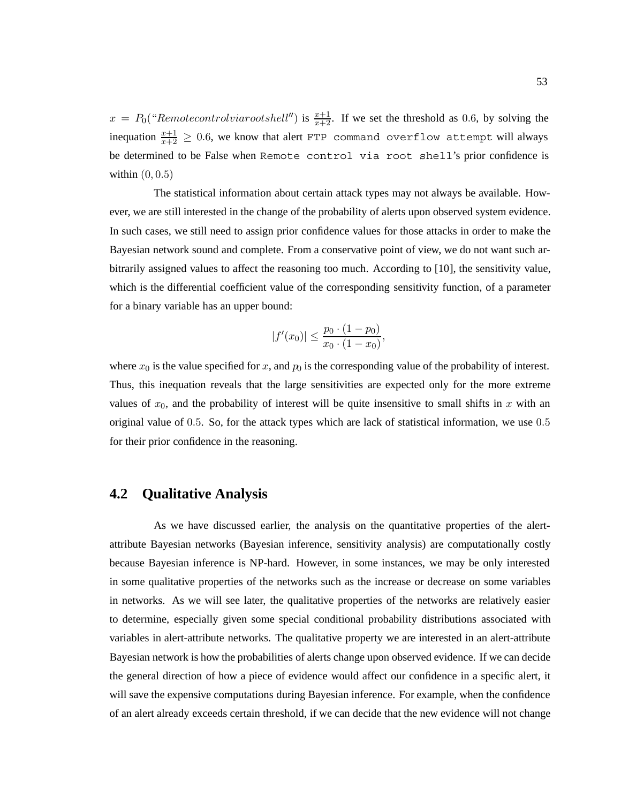$x = P_0$ ("Remotecontrolviarootshell") is  $\frac{x+1}{x+2}$ . If we set the threshold as 0.6, by solving the inequation  $\frac{x+1}{x+2}\geq$  0.6, we know that alert FTP command overflow attempt will always be determined to be False when Remote control via root shell's prior confidence is within  $(0, 0.5)$ 

The statistical information about certain attack types may not always be available. However, we are still interested in the change of the probability of alerts upon observed system evidence. In such cases, we still need to assign prior confidence values for those attacks in order to make the Bayesian network sound and complete. From a conservative point of view, we do not want such arbitrarily assigned values to affect the reasoning too much. According to [10], the sensitivity value, which is the differential coefficient value of the corresponding sensitivity function, of a parameter for a binary variable has an upper bound:

$$
|f'(x_0)| \leq \frac{p_0 \cdot (1 - p_0)}{x_0 \cdot (1 - x_0)},
$$

where  $x_0$  is the value specified for x, and  $p_0$  is the corresponding value of the probability of interest. Thus, this inequation reveals that the large sensitivities are expected only for the more extreme values of  $x_0$ , and the probability of interest will be quite insensitive to small shifts in x with an original value of 0.5. So, for the attack types which are lack of statistical information, we use 0.5 for their prior confidence in the reasoning.

### **4.2 Qualitative Analysis**

As we have discussed earlier, the analysis on the quantitative properties of the alertattribute Bayesian networks (Bayesian inference, sensitivity analysis) are computationally costly because Bayesian inference is NP-hard. However, in some instances, we may be only interested in some qualitative properties of the networks such as the increase or decrease on some variables in networks. As we will see later, the qualitative properties of the networks are relatively easier to determine, especially given some special conditional probability distributions associated with variables in alert-attribute networks. The qualitative property we are interested in an alert-attribute Bayesian network is how the probabilities of alerts change upon observed evidence. If we can decide the general direction of how a piece of evidence would affect our confidence in a specific alert, it will save the expensive computations during Bayesian inference. For example, when the confidence of an alert already exceeds certain threshold, if we can decide that the new evidence will not change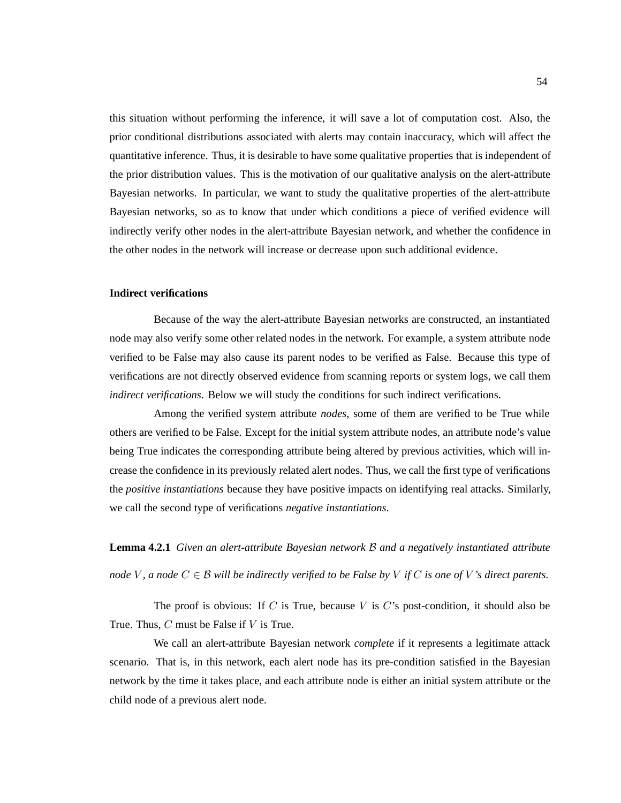this situation without performing the inference, it will save a lot of computation cost. Also, the prior conditional distributions associated with alerts may contain inaccuracy, which will affect the quantitative inference. Thus, it is desirable to have some qualitative properties that is independent of the prior distribution values. This is the motivation of our qualitative analysis on the alert-attribute Bayesian networks. In particular, we want to study the qualitative properties of the alert-attribute Bayesian networks, so as to know that under which conditions a piece of verified evidence will indirectly verify other nodes in the alert-attribute Bayesian network, and whether the confidence in the other nodes in the network will increase or decrease upon such additional evidence.

#### **Indirect verifications**

Because of the way the alert-attribute Bayesian networks are constructed, an instantiated node may also verify some other related nodes in the network. For example, a system attribute node verified to be False may also cause its parent nodes to be verified as False. Because this type of verifications are not directly observed evidence from scanning reports or system logs, we call them *indirect verifications*. Below we will study the conditions for such indirect verifications.

Among the verified system attribute *nodes*, some of them are verified to be True while others are verified to be False. Except for the initial system attribute nodes, an attribute node's value being True indicates the corresponding attribute being altered by previous activities, which will increase the confidence in its previously related alert nodes. Thus, we call the first type of verifications the *positive instantiations* because they have positive impacts on identifying real attacks. Similarly, we call the second type of verifications *negative instantiations*.

**Lemma 4.2.1** *Given an alert-attribute Bayesian network* B *and a negatively instantiated attribute node* V, a node  $C \in \mathcal{B}$  will be indirectly verified to be False by V if C is one of V's direct parents.

The proof is obvious: If C is True, because V is C's post-condition, it should also be True. Thus,  $C$  must be False if  $V$  is True.

We call an alert-attribute Bayesian network *complete* if it represents a legitimate attack scenario. That is, in this network, each alert node has its pre-condition satisfied in the Bayesian network by the time it takes place, and each attribute node is either an initial system attribute or the child node of a previous alert node.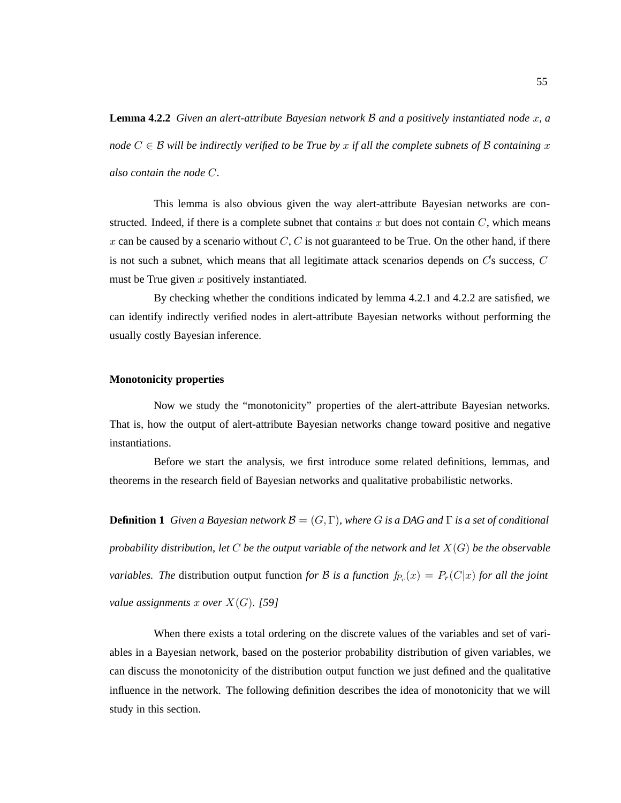**Lemma 4.2.2** *Given an alert-attribute Bayesian network* B *and a positively instantiated node* x*, a node*  $C \in \mathcal{B}$  *will be indirectly verified to be True by* x *if all the complete subnets of*  $\mathcal{B}$  *containing* x *also contain the node* C*.*

This lemma is also obvious given the way alert-attribute Bayesian networks are constructed. Indeed, if there is a complete subnet that contains  $x$  but does not contain  $C$ , which means x can be caused by a scenario without  $C, C$  is not guaranteed to be True. On the other hand, if there is not such a subnet, which means that all legitimate attack scenarios depends on  $C_s$  success,  $C_s$ must be True given  $x$  positively instantiated.

By checking whether the conditions indicated by lemma 4.2.1 and 4.2.2 are satisfied, we can identify indirectly verified nodes in alert-attribute Bayesian networks without performing the usually costly Bayesian inference.

### **Monotonicity properties**

Now we study the "monotonicity" properties of the alert-attribute Bayesian networks. That is, how the output of alert-attribute Bayesian networks change toward positive and negative instantiations.

Before we start the analysis, we first introduce some related definitions, lemmas, and theorems in the research field of Bayesian networks and qualitative probabilistic networks.

**Definition 1** *Given a Bayesian network*  $\mathcal{B} = (G, \Gamma)$ *, where* G *is a DAG and*  $\Gamma$  *is a set of conditional probability distribution, let* C *be the output variable of the network and let* X(G) *be the observable variables. The* distribution output function *for* B *is a function*  $f_{P_r}(x) = P_r(C|x)$  *for all the joint value assignments* x *over* X(G)*. [59]*

When there exists a total ordering on the discrete values of the variables and set of variables in a Bayesian network, based on the posterior probability distribution of given variables, we can discuss the monotonicity of the distribution output function we just defined and the qualitative influence in the network. The following definition describes the idea of monotonicity that we will study in this section.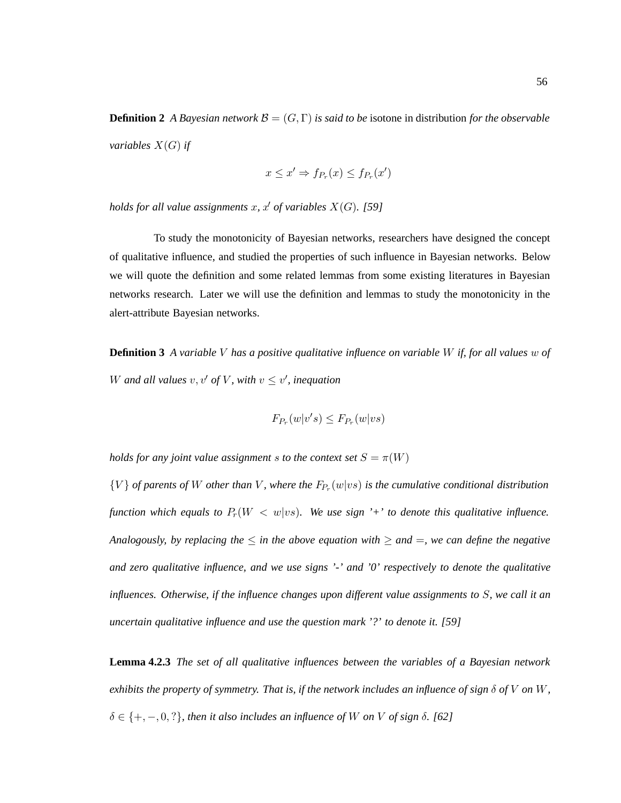**Definition 2** *A Bayesian network*  $\mathcal{B} = (G, \Gamma)$  *is said to be* isotone in distribution *for the observable variables*  $X(G)$  *if* 

$$
x \leq x' \Rightarrow f_{P_r}(x) \leq f_{P_r}(x')
$$

*holds for all value assignments*  $x$ ,  $x'$  *of variables*  $X(G)$ *.* [59]

To study the monotonicity of Bayesian networks, researchers have designed the concept of qualitative influence, and studied the properties of such influence in Bayesian networks. Below we will quote the definition and some related lemmas from some existing literatures in Bayesian networks research. Later we will use the definition and lemmas to study the monotonicity in the alert-attribute Bayesian networks.

**Definition 3** *A variable* V *has a positive qualitative influence on variable* W *if, for all values* w *of* W and all values  $v, v'$  of V, with  $v \leq v'$ , inequation

$$
F_{P_r}(w|v's) \leq F_{P_r}(w|vs)
$$

*holds for any joint value assignment s to the context set*  $S = \pi(W)$ 

 ${V}$  *of parents of* W *other than* V, where the  $F_{P_r}(w|vs)$  is the cumulative conditional distribution *function which equals to*  $P_r(W < w|vs)$ *. We use sign* '+' to denote this qualitative influence. *Analogously, by replacing the*  $\leq$  *in the above equation with*  $\geq$  *and*  $=$ *, we can define the negative and zero qualitative influence, and we use signs '-' and '0' respectively to denote the qualitative influences. Otherwise, if the influence changes upon different value assignments to* S*, we call it an uncertain qualitative influence and use the question mark '?' to denote it. [59]*

**Lemma 4.2.3** *The set of all qualitative influences between the variables of a Bayesian network exhibits the property of symmetry. That is, if the network includes an influence of sign*  $\delta$  *of V on W,*  $\delta \in \{+, -, 0, ?\}$ , then it also includes an influence of W on V of sign  $\delta$ . [62]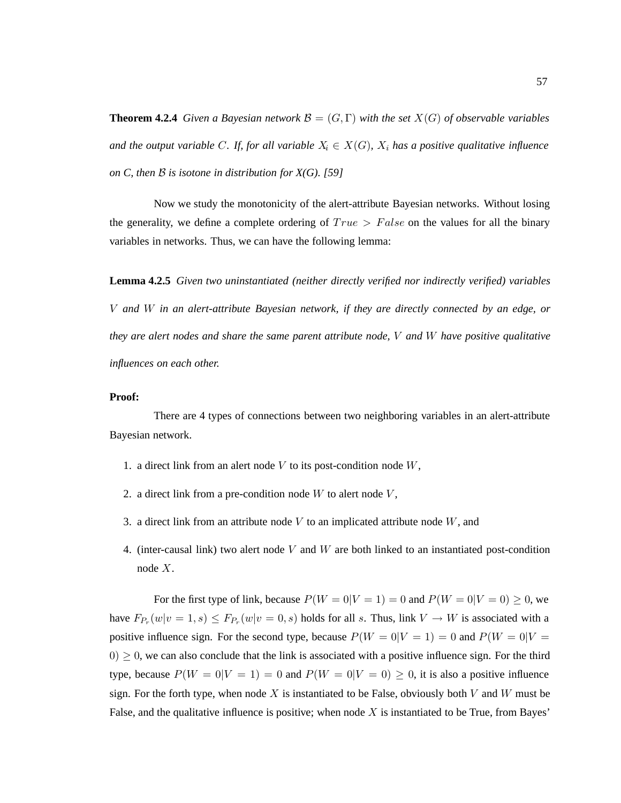**Theorem 4.2.4** *Given a Bayesian network*  $\mathcal{B} = (G, \Gamma)$  *with the set*  $X(G)$  *of observable variables and the output variable C. If, for all variable*  $X_i \in X(G)$ *,*  $X_i$  *has a positive qualitative influence on C, then* B *is isotone in distribution for X(G). [59]*

Now we study the monotonicity of the alert-attribute Bayesian networks. Without losing the generality, we define a complete ordering of  $True > False$  on the values for all the binary variables in networks. Thus, we can have the following lemma:

**Lemma 4.2.5** *Given two uninstantiated (neither directly verified nor indirectly verified) variables* V *and* W *in an alert-attribute Bayesian network, if they are directly connected by an edge, or they are alert nodes and share the same parent attribute node,* V *and* W *have positive qualitative influences on each other.*

### **Proof:**

There are 4 types of connections between two neighboring variables in an alert-attribute Bayesian network.

- 1. a direct link from an alert node  $V$  to its post-condition node  $W$ ,
- 2. a direct link from a pre-condition node  $W$  to alert node  $V$ ,
- 3. a direct link from an attribute node  $V$  to an implicated attribute node  $W$ , and
- 4. (inter-causal link) two alert node  $V$  and  $W$  are both linked to an instantiated post-condition node X.

For the first type of link, because  $P(W = 0|V = 1) = 0$  and  $P(W = 0|V = 0) \ge 0$ , we have  $F_{P_r}(w|v=1,s) \leq F_{P_r}(w|v=0,s)$  holds for all s. Thus, link  $V \to W$  is associated with a positive influence sign. For the second type, because  $P(W = 0|V = 1) = 0$  and  $P(W = 0|V = 1)$  $0 \geq 0$ , we can also conclude that the link is associated with a positive influence sign. For the third type, because  $P(W = 0|V = 1) = 0$  and  $P(W = 0|V = 0) \ge 0$ , it is also a positive influence sign. For the forth type, when node X is instantiated to be False, obviously both V and W must be False, and the qualitative influence is positive; when node  $X$  is instantiated to be True, from Bayes'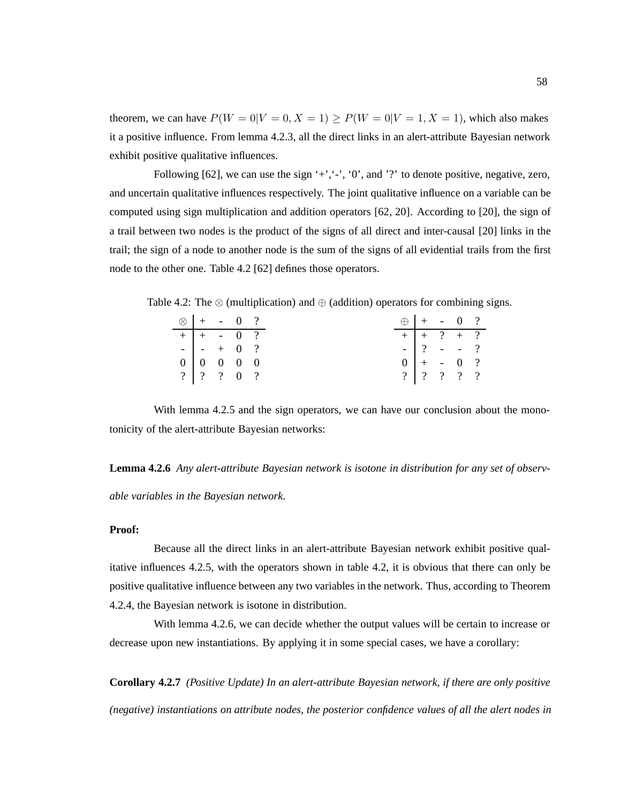theorem, we can have  $P(W = 0|V = 0, X = 1) \ge P(W = 0|V = 1, X = 1)$ , which also makes it a positive influence. From lemma 4.2.3, all the direct links in an alert-attribute Bayesian network exhibit positive qualitative influences.

Following [62], we can use the sign '+','-', '0', and '?' to denote positive, negative, zero, and uncertain qualitative influences respectively. The joint qualitative influence on a variable can be computed using sign multiplication and addition operators [62, 20]. According to [20], the sign of a trail between two nodes is the product of the signs of all direct and inter-causal [20] links in the trail; the sign of a node to another node is the sum of the signs of all evidential trails from the first node to the other one. Table 4.2 [62] defines those operators.

Table 4.2: The  $\otimes$  (multiplication) and  $\oplus$  (addition) operators for combining signs.

| $\otimes$ + - 0 ? |                                                  |  |  |  | $\oplus$ + - 0 ?                                 |  |
|-------------------|--------------------------------------------------|--|--|--|--------------------------------------------------|--|
|                   | $+$   + - 0 ?                                    |  |  |  | $+$   + ? + ?                                    |  |
|                   | $  +$ 0 ?                                        |  |  |  | $-1$ ? $-2$                                      |  |
|                   | $0 \mid 0 \quad 0 \quad 0 \quad 0$               |  |  |  | $0 + - 0$ ?                                      |  |
|                   | $? \begin{array}{ccc} ? & ? & 0 & ? \end{array}$ |  |  |  | $? \begin{array}{ccc} ? & ? & ? & ? \end{array}$ |  |

With lemma 4.2.5 and the sign operators, we can have our conclusion about the monotonicity of the alert-attribute Bayesian networks:

**Lemma 4.2.6** *Any alert-attribute Bayesian network is isotone in distribution for any set of observable variables in the Bayesian network.*

#### **Proof:**

Because all the direct links in an alert-attribute Bayesian network exhibit positive qualitative influences 4.2.5, with the operators shown in table 4.2, it is obvious that there can only be positive qualitative influence between any two variables in the network. Thus, according to Theorem 4.2.4, the Bayesian network is isotone in distribution.

With lemma 4.2.6, we can decide whether the output values will be certain to increase or decrease upon new instantiations. By applying it in some special cases, we have a corollary:

**Corollary 4.2.7** *(Positive Update) In an alert-attribute Bayesian network, if there are only positive (negative) instantiations on attribute nodes, the posterior confidence values of all the alert nodes in*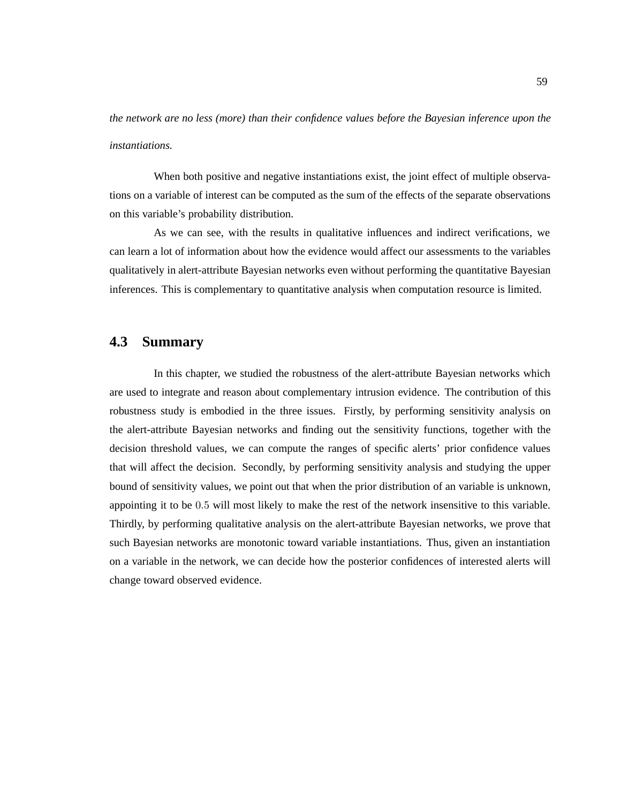*the network are no less (more) than their confidence values before the Bayesian inference upon the instantiations.*

When both positive and negative instantiations exist, the joint effect of multiple observations on a variable of interest can be computed as the sum of the effects of the separate observations on this variable's probability distribution.

As we can see, with the results in qualitative influences and indirect verifications, we can learn a lot of information about how the evidence would affect our assessments to the variables qualitatively in alert-attribute Bayesian networks even without performing the quantitative Bayesian inferences. This is complementary to quantitative analysis when computation resource is limited.

### **4.3 Summary**

In this chapter, we studied the robustness of the alert-attribute Bayesian networks which are used to integrate and reason about complementary intrusion evidence. The contribution of this robustness study is embodied in the three issues. Firstly, by performing sensitivity analysis on the alert-attribute Bayesian networks and finding out the sensitivity functions, together with the decision threshold values, we can compute the ranges of specific alerts' prior confidence values that will affect the decision. Secondly, by performing sensitivity analysis and studying the upper bound of sensitivity values, we point out that when the prior distribution of an variable is unknown, appointing it to be 0.5 will most likely to make the rest of the network insensitive to this variable. Thirdly, by performing qualitative analysis on the alert-attribute Bayesian networks, we prove that such Bayesian networks are monotonic toward variable instantiations. Thus, given an instantiation on a variable in the network, we can decide how the posterior confidences of interested alerts will change toward observed evidence.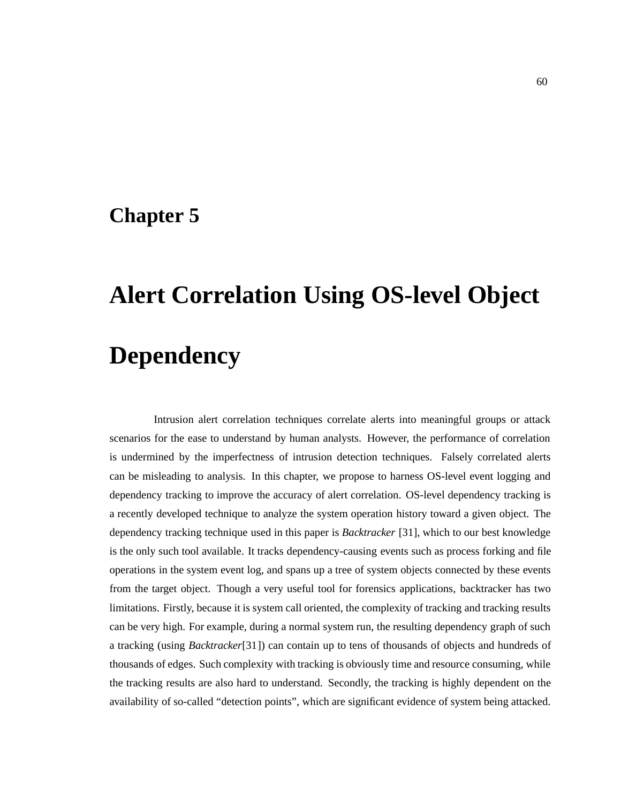### **Chapter 5**

# **Alert Correlation Using OS-level Object Dependency**

Intrusion alert correlation techniques correlate alerts into meaningful groups or attack scenarios for the ease to understand by human analysts. However, the performance of correlation is undermined by the imperfectness of intrusion detection techniques. Falsely correlated alerts can be misleading to analysis. In this chapter, we propose to harness OS-level event logging and dependency tracking to improve the accuracy of alert correlation. OS-level dependency tracking is a recently developed technique to analyze the system operation history toward a given object. The dependency tracking technique used in this paper is *Backtracker* [31], which to our best knowledge is the only such tool available. It tracks dependency-causing events such as process forking and file operations in the system event log, and spans up a tree of system objects connected by these events from the target object. Though a very useful tool for forensics applications, backtracker has two limitations. Firstly, because it is system call oriented, the complexity of tracking and tracking results can be very high. For example, during a normal system run, the resulting dependency graph of such a tracking (using *Backtracker*[31]) can contain up to tens of thousands of objects and hundreds of thousands of edges. Such complexity with tracking is obviously time and resource consuming, while the tracking results are also hard to understand. Secondly, the tracking is highly dependent on the availability of so-called "detection points", which are significant evidence of system being attacked.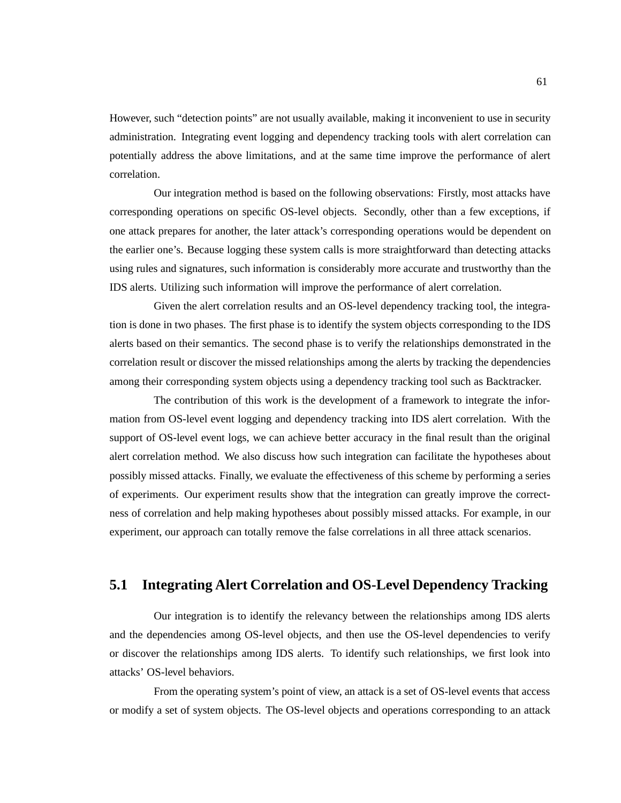However, such "detection points" are not usually available, making it inconvenient to use in security administration. Integrating event logging and dependency tracking tools with alert correlation can potentially address the above limitations, and at the same time improve the performance of alert correlation.

Our integration method is based on the following observations: Firstly, most attacks have corresponding operations on specific OS-level objects. Secondly, other than a few exceptions, if one attack prepares for another, the later attack's corresponding operations would be dependent on the earlier one's. Because logging these system calls is more straightforward than detecting attacks using rules and signatures, such information is considerably more accurate and trustworthy than the IDS alerts. Utilizing such information will improve the performance of alert correlation.

Given the alert correlation results and an OS-level dependency tracking tool, the integration is done in two phases. The first phase is to identify the system objects corresponding to the IDS alerts based on their semantics. The second phase is to verify the relationships demonstrated in the correlation result or discover the missed relationships among the alerts by tracking the dependencies among their corresponding system objects using a dependency tracking tool such as Backtracker.

The contribution of this work is the development of a framework to integrate the information from OS-level event logging and dependency tracking into IDS alert correlation. With the support of OS-level event logs, we can achieve better accuracy in the final result than the original alert correlation method. We also discuss how such integration can facilitate the hypotheses about possibly missed attacks. Finally, we evaluate the effectiveness of this scheme by performing a series of experiments. Our experiment results show that the integration can greatly improve the correctness of correlation and help making hypotheses about possibly missed attacks. For example, in our experiment, our approach can totally remove the false correlations in all three attack scenarios.

# **5.1 Integrating Alert Correlation and OS-Level Dependency Tracking**

Our integration is to identify the relevancy between the relationships among IDS alerts and the dependencies among OS-level objects, and then use the OS-level dependencies to verify or discover the relationships among IDS alerts. To identify such relationships, we first look into attacks' OS-level behaviors.

From the operating system's point of view, an attack is a set of OS-level events that access or modify a set of system objects. The OS-level objects and operations corresponding to an attack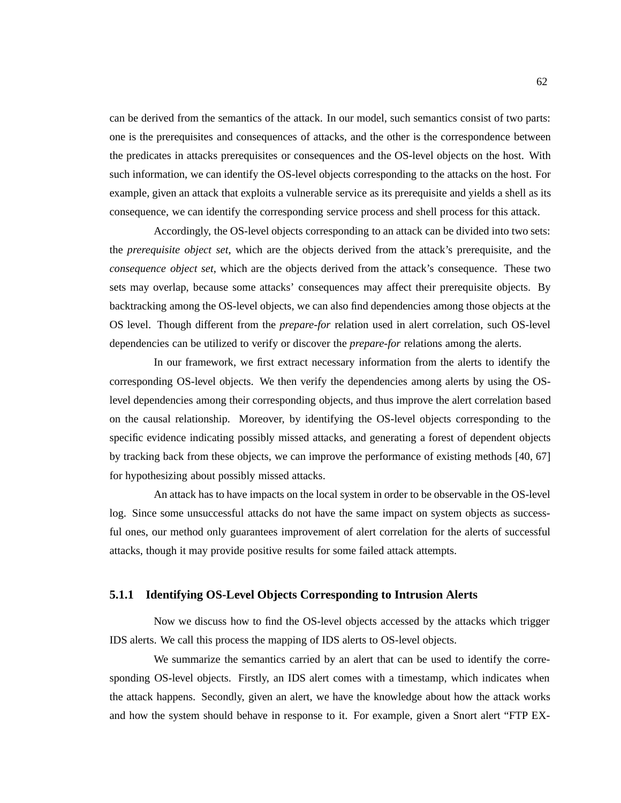can be derived from the semantics of the attack. In our model, such semantics consist of two parts: one is the prerequisites and consequences of attacks, and the other is the correspondence between the predicates in attacks prerequisites or consequences and the OS-level objects on the host. With such information, we can identify the OS-level objects corresponding to the attacks on the host. For example, given an attack that exploits a vulnerable service as its prerequisite and yields a shell as its consequence, we can identify the corresponding service process and shell process for this attack.

Accordingly, the OS-level objects corresponding to an attack can be divided into two sets: the *prerequisite object set*, which are the objects derived from the attack's prerequisite, and the *consequence object set*, which are the objects derived from the attack's consequence. These two sets may overlap, because some attacks' consequences may affect their prerequisite objects. By backtracking among the OS-level objects, we can also find dependencies among those objects at the OS level. Though different from the *prepare-for* relation used in alert correlation, such OS-level dependencies can be utilized to verify or discover the *prepare-for* relations among the alerts.

In our framework, we first extract necessary information from the alerts to identify the corresponding OS-level objects. We then verify the dependencies among alerts by using the OSlevel dependencies among their corresponding objects, and thus improve the alert correlation based on the causal relationship. Moreover, by identifying the OS-level objects corresponding to the specific evidence indicating possibly missed attacks, and generating a forest of dependent objects by tracking back from these objects, we can improve the performance of existing methods [40, 67] for hypothesizing about possibly missed attacks.

An attack has to have impacts on the local system in order to be observable in the OS-level log. Since some unsuccessful attacks do not have the same impact on system objects as successful ones, our method only guarantees improvement of alert correlation for the alerts of successful attacks, though it may provide positive results for some failed attack attempts.

#### **5.1.1 Identifying OS-Level Objects Corresponding to Intrusion Alerts**

Now we discuss how to find the OS-level objects accessed by the attacks which trigger IDS alerts. We call this process the mapping of IDS alerts to OS-level objects.

We summarize the semantics carried by an alert that can be used to identify the corresponding OS-level objects. Firstly, an IDS alert comes with a timestamp, which indicates when the attack happens. Secondly, given an alert, we have the knowledge about how the attack works and how the system should behave in response to it. For example, given a Snort alert "FTP EX-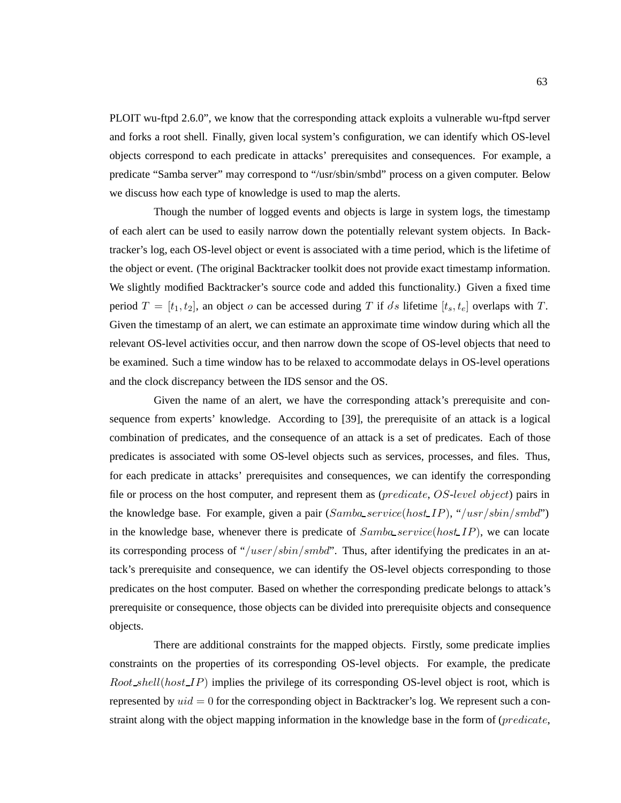PLOIT wu-ftpd 2.6.0", we know that the corresponding attack exploits a vulnerable wu-ftpd server and forks a root shell. Finally, given local system's configuration, we can identify which OS-level objects correspond to each predicate in attacks' prerequisites and consequences. For example, a predicate "Samba server" may correspond to "/usr/sbin/smbd" process on a given computer. Below we discuss how each type of knowledge is used to map the alerts.

Though the number of logged events and objects is large in system logs, the timestamp of each alert can be used to easily narrow down the potentially relevant system objects. In Backtracker's log, each OS-level object or event is associated with a time period, which is the lifetime of the object or event. (The original Backtracker toolkit does not provide exact timestamp information. We slightly modified Backtracker's source code and added this functionality.) Given a fixed time period  $T = [t_1, t_2]$ , an object o can be accessed during T if  $ds$  lifetime  $[t_s, t_e]$  overlaps with T. Given the timestamp of an alert, we can estimate an approximate time window during which all the relevant OS-level activities occur, and then narrow down the scope of OS-level objects that need to be examined. Such a time window has to be relaxed to accommodate delays in OS-level operations and the clock discrepancy between the IDS sensor and the OS.

Given the name of an alert, we have the corresponding attack's prerequisite and consequence from experts' knowledge. According to [39], the prerequisite of an attack is a logical combination of predicates, and the consequence of an attack is a set of predicates. Each of those predicates is associated with some OS-level objects such as services, processes, and files. Thus, for each predicate in attacks' prerequisites and consequences, we can identify the corresponding file or process on the host computer, and represent them as (*predicate, OS-level object*) pairs in the knowledge base. For example, given a pair  $(Samba\_service(host\_IP), \frac{m}{s}$ in the knowledge base, whenever there is predicate of  $Samba$  service(host IP), we can locate its corresponding process of "/ $user/shin/smbd$ ". Thus, after identifying the predicates in an attack's prerequisite and consequence, we can identify the OS-level objects corresponding to those predicates on the host computer. Based on whether the corresponding predicate belongs to attack's prerequisite or consequence, those objects can be divided into prerequisite objects and consequence objects.

There are additional constraints for the mapped objects. Firstly, some predicate implies constraints on the properties of its corresponding OS-level objects. For example, the predicate  $Root\_shell(host\_IP)$  implies the privilege of its corresponding OS-level object is root, which is represented by  $uid = 0$  for the corresponding object in Backtracker's log. We represent such a constraint along with the object mapping information in the knowledge base in the form of (predicate,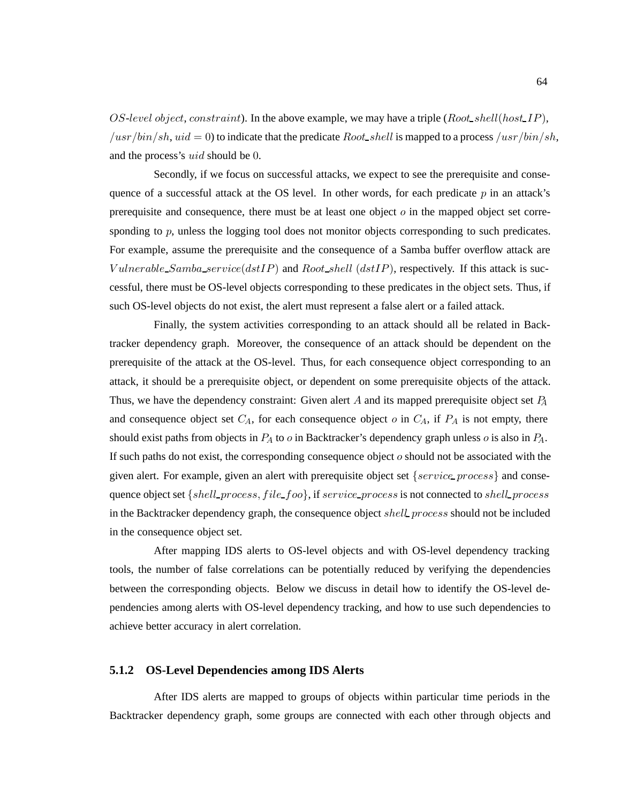OS-level object, constraint). In the above example, we may have a triple  $(Root\_shell (host\_IP)$ ,  $/usr/bin/sh, uid = 0$ ) to indicate that the predicate *Root\_shell* is mapped to a process  $/usr/bin/sh$ , and the process's uid should be 0.

Secondly, if we focus on successful attacks, we expect to see the prerequisite and consequence of a successful attack at the OS level. In other words, for each predicate  $p$  in an attack's prerequisite and consequence, there must be at least one object  $o$  in the mapped object set corresponding to p, unless the logging tool does not monitor objects corresponding to such predicates. For example, assume the prerequisite and the consequence of a Samba buffer overflow attack are Vulnerable Samba service( $dstIP$ ) and Root shell ( $dstIP$ ), respectively. If this attack is successful, there must be OS-level objects corresponding to these predicates in the object sets. Thus, if such OS-level objects do not exist, the alert must represent a false alert or a failed attack.

Finally, the system activities corresponding to an attack should all be related in Backtracker dependency graph. Moreover, the consequence of an attack should be dependent on the prerequisite of the attack at the OS-level. Thus, for each consequence object corresponding to an attack, it should be a prerequisite object, or dependent on some prerequisite objects of the attack. Thus, we have the dependency constraint: Given alert A and its mapped prerequisite object set P*<sup>A</sup>* and consequence object set  $C_A$ , for each consequence object  $o$  in  $C_A$ , if  $P_A$  is not empty, there should exist paths from objects in P*<sup>A</sup>* to o in Backtracker's dependency graph unless o is also in P*A*. If such paths do not exist, the corresponding consequence object  $o$  should not be associated with the given alert. For example, given an alert with prerequisite object set  $\{service\_process\}$  and consequence object set  $\{shell-process, file\_foo\}$ , if service process is not connected to shell process in the Backtracker dependency graph, the consequence object shell process should not be included in the consequence object set.

After mapping IDS alerts to OS-level objects and with OS-level dependency tracking tools, the number of false correlations can be potentially reduced by verifying the dependencies between the corresponding objects. Below we discuss in detail how to identify the OS-level dependencies among alerts with OS-level dependency tracking, and how to use such dependencies to achieve better accuracy in alert correlation.

# **5.1.2 OS-Level Dependencies among IDS Alerts**

After IDS alerts are mapped to groups of objects within particular time periods in the Backtracker dependency graph, some groups are connected with each other through objects and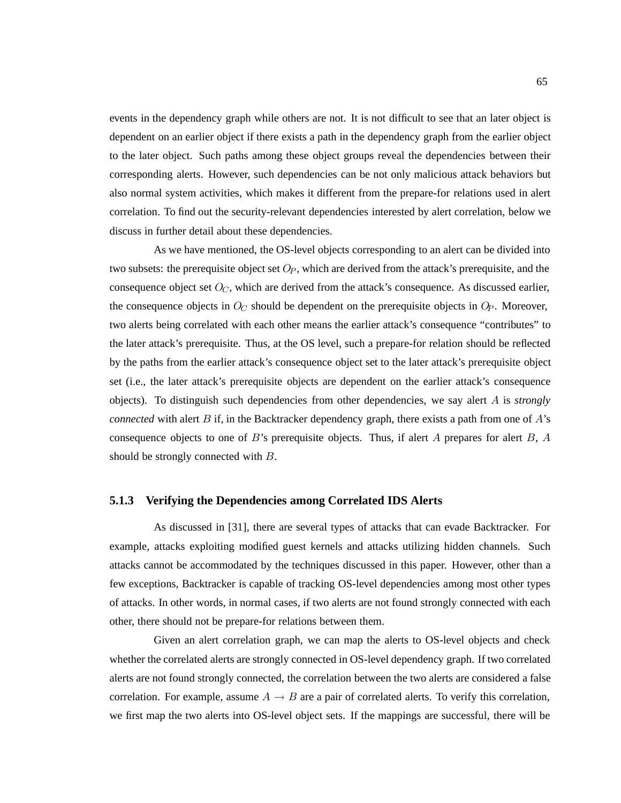events in the dependency graph while others are not. It is not difficult to see that an later object is dependent on an earlier object if there exists a path in the dependency graph from the earlier object to the later object. Such paths among these object groups reveal the dependencies between their corresponding alerts. However, such dependencies can be not only malicious attack behaviors but also normal system activities, which makes it different from the prepare-for relations used in alert correlation. To find out the security-relevant dependencies interested by alert correlation, below we discuss in further detail about these dependencies.

As we have mentioned, the OS-level objects corresponding to an alert can be divided into two subsets: the prerequisite object set  $O_P$ , which are derived from the attack's prerequisite, and the consequence object set  $O_C$ , which are derived from the attack's consequence. As discussed earlier, the consequence objects in O*<sup>C</sup>* should be dependent on the prerequisite objects in O*<sup>P</sup>* . Moreover, two alerts being correlated with each other means the earlier attack's consequence "contributes" to the later attack's prerequisite. Thus, at the OS level, such a prepare-for relation should be reflected by the paths from the earlier attack's consequence object set to the later attack's prerequisite object set (i.e., the later attack's prerequisite objects are dependent on the earlier attack's consequence objects). To distinguish such dependencies from other dependencies, we say alert A is *strongly connected* with alert B if, in the Backtracker dependency graph, there exists a path from one of  $A$ 's consequence objects to one of B's prerequisite objects. Thus, if alert A prepares for alert  $B$ ,  $A$ should be strongly connected with B.

# **5.1.3 Verifying the Dependencies among Correlated IDS Alerts**

As discussed in [31], there are several types of attacks that can evade Backtracker. For example, attacks exploiting modified guest kernels and attacks utilizing hidden channels. Such attacks cannot be accommodated by the techniques discussed in this paper. However, other than a few exceptions, Backtracker is capable of tracking OS-level dependencies among most other types of attacks. In other words, in normal cases, if two alerts are not found strongly connected with each other, there should not be prepare-for relations between them.

Given an alert correlation graph, we can map the alerts to OS-level objects and check whether the correlated alerts are strongly connected in OS-level dependency graph. If two correlated alerts are not found strongly connected, the correlation between the two alerts are considered a false correlation. For example, assume  $A \rightarrow B$  are a pair of correlated alerts. To verify this correlation, we first map the two alerts into OS-level object sets. If the mappings are successful, there will be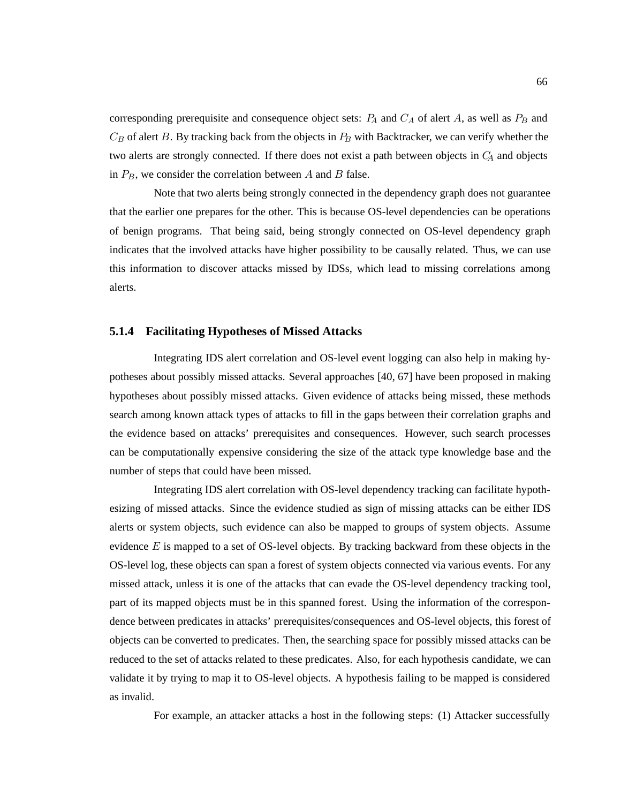corresponding prerequisite and consequence object sets: P*<sup>A</sup>* and C*<sup>A</sup>* of alert A, as well as P*<sup>B</sup>* and  $C_B$  of alert B. By tracking back from the objects in  $P_B$  with Backtracker, we can verify whether the two alerts are strongly connected. If there does not exist a path between objects in C*<sup>A</sup>* and objects in  $P_B$ , we consider the correlation between  $A$  and  $B$  false.

Note that two alerts being strongly connected in the dependency graph does not guarantee that the earlier one prepares for the other. This is because OS-level dependencies can be operations of benign programs. That being said, being strongly connected on OS-level dependency graph indicates that the involved attacks have higher possibility to be causally related. Thus, we can use this information to discover attacks missed by IDSs, which lead to missing correlations among alerts.

# **5.1.4 Facilitating Hypotheses of Missed Attacks**

Integrating IDS alert correlation and OS-level event logging can also help in making hypotheses about possibly missed attacks. Several approaches [40, 67] have been proposed in making hypotheses about possibly missed attacks. Given evidence of attacks being missed, these methods search among known attack types of attacks to fill in the gaps between their correlation graphs and the evidence based on attacks' prerequisites and consequences. However, such search processes can be computationally expensive considering the size of the attack type knowledge base and the number of steps that could have been missed.

Integrating IDS alert correlation with OS-level dependency tracking can facilitate hypothesizing of missed attacks. Since the evidence studied as sign of missing attacks can be either IDS alerts or system objects, such evidence can also be mapped to groups of system objects. Assume evidence  $E$  is mapped to a set of OS-level objects. By tracking backward from these objects in the OS-level log, these objects can span a forest of system objects connected via various events. For any missed attack, unless it is one of the attacks that can evade the OS-level dependency tracking tool, part of its mapped objects must be in this spanned forest. Using the information of the correspondence between predicates in attacks' prerequisites/consequences and OS-level objects, this forest of objects can be converted to predicates. Then, the searching space for possibly missed attacks can be reduced to the set of attacks related to these predicates. Also, for each hypothesis candidate, we can validate it by trying to map it to OS-level objects. A hypothesis failing to be mapped is considered as invalid.

For example, an attacker attacks a host in the following steps: (1) Attacker successfully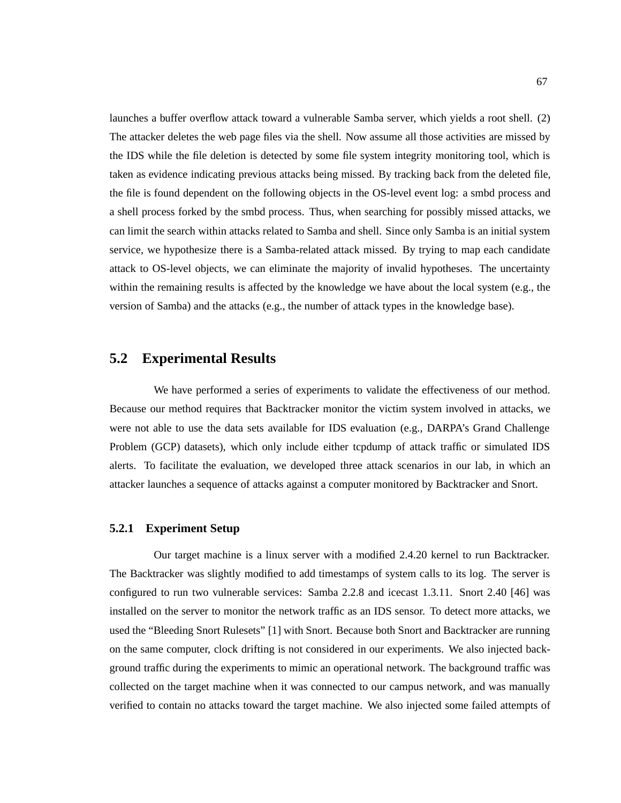launches a buffer overflow attack toward a vulnerable Samba server, which yields a root shell. (2) The attacker deletes the web page files via the shell. Now assume all those activities are missed by the IDS while the file deletion is detected by some file system integrity monitoring tool, which is taken as evidence indicating previous attacks being missed. By tracking back from the deleted file, the file is found dependent on the following objects in the OS-level event log: a smbd process and a shell process forked by the smbd process. Thus, when searching for possibly missed attacks, we can limit the search within attacks related to Samba and shell. Since only Samba is an initial system service, we hypothesize there is a Samba-related attack missed. By trying to map each candidate attack to OS-level objects, we can eliminate the majority of invalid hypotheses. The uncertainty within the remaining results is affected by the knowledge we have about the local system (e.g., the version of Samba) and the attacks (e.g., the number of attack types in the knowledge base).

# **5.2 Experimental Results**

We have performed a series of experiments to validate the effectiveness of our method. Because our method requires that Backtracker monitor the victim system involved in attacks, we were not able to use the data sets available for IDS evaluation (e.g., DARPA's Grand Challenge Problem (GCP) datasets), which only include either tcpdump of attack traffic or simulated IDS alerts. To facilitate the evaluation, we developed three attack scenarios in our lab, in which an attacker launches a sequence of attacks against a computer monitored by Backtracker and Snort.

#### **5.2.1 Experiment Setup**

Our target machine is a linux server with a modified 2.4.20 kernel to run Backtracker. The Backtracker was slightly modified to add timestamps of system calls to its log. The server is configured to run two vulnerable services: Samba 2.2.8 and icecast 1.3.11. Snort 2.40 [46] was installed on the server to monitor the network traffic as an IDS sensor. To detect more attacks, we used the "Bleeding Snort Rulesets" [1] with Snort. Because both Snort and Backtracker are running on the same computer, clock drifting is not considered in our experiments. We also injected background traffic during the experiments to mimic an operational network. The background traffic was collected on the target machine when it was connected to our campus network, and was manually verified to contain no attacks toward the target machine. We also injected some failed attempts of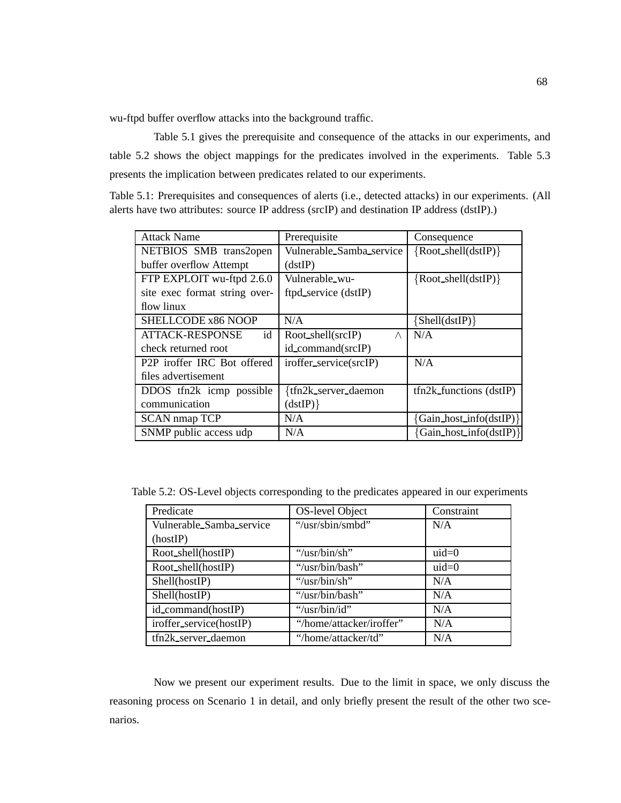wu-ftpd buffer overflow attacks into the background traffic.

Table 5.1 gives the prerequisite and consequence of the attacks in our experiments, and table 5.2 shows the object mappings for the predicates involved in the experiments. Table 5.3 presents the implication between predicates related to our experiments.

Table 5.1: Prerequisites and consequences of alerts (i.e., detected attacks) in our experiments. (All alerts have two attributes: source IP address (srcIP) and destination IP address (dstIP).)

| <b>Attack Name</b>            | Prerequisite                  | Consequence                    |
|-------------------------------|-------------------------------|--------------------------------|
| NETBIOS SMB trans2open        | Vulnerable_Samba_service      | $\{Root\_shell(dstIP)\}$       |
| buffer overflow Attempt       | (dstIP)                       |                                |
| FTP EXPLOIT wu-ftpd 2.6.0     | Vulnerable_wu-                | $\{Root\_shell(dstIP)\}$       |
| site exec format string over- | ftpd_service (dstIP)          |                                |
| flow linux                    |                               |                                |
| SHELLCODE x86 NOOP            | N/A                           | $\{Shell(dstIP)\}$             |
| id<br><b>ATTACK-RESPONSE</b>  | Root_shell(srcIP)<br>$\wedge$ | N/A                            |
| check returned root           | id_command(srcIP)             |                                |
| P2P iroffer IRC Bot offered   | iroffer_service(srcIP)        | N/A                            |
| files advertisement           |                               |                                |
| DDOS tfn2k icmp possible      | {tfn2k_server_daemon          | tfn2k_functions (dstIP)        |
| communication                 | (dstIP)                       |                                |
| <b>SCAN</b> nmap TCP          | N/A                           | $\{Gain\_host\_info(dstIP)\}\$ |
| SNMP public access udp        | N/A                           | $\{Gain\_host\_info(dstIP)\}$  |

Table 5.2: OS-Level objects corresponding to the predicates appeared in our experiments

| Predicate                | OS-level Object          | Constraint |
|--------------------------|--------------------------|------------|
| Vulnerable_Samba_service | "/usr/sbin/smbd"         | N/A        |
| (hostIP)                 |                          |            |
| Root_shell(hostIP)       | "/usr/bin/sh"            | $uid=0$    |
| Root_shell(hostIP)       | "/usr/bin/bash"          | $uid=0$    |
| Shell(hostIP)            | "/usr/bin/sh"            | N/A        |
| Shell(hostIP)            | "/usr/bin/bash"          | N/A        |
| id_command(hostIP)       | "/usr/bin/id"            | N/A        |
| iroffer_service(hostIP)  | "/home/attacker/iroffer" | N/A        |
| tfn2k_server_daemon      | "/home/attacker/td"      | N/A        |

Now we present our experiment results. Due to the limit in space, we only discuss the reasoning process on Scenario 1 in detail, and only briefly present the result of the other two scenarios.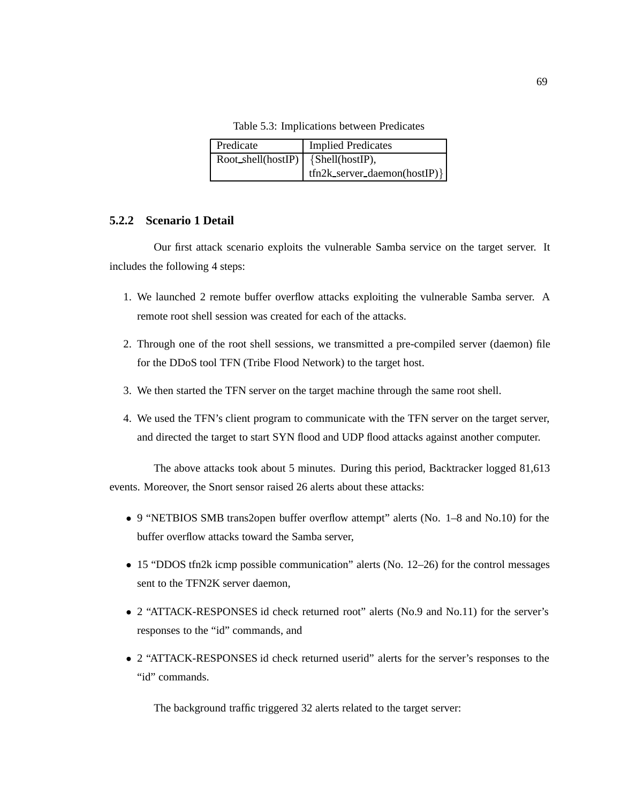Table 5.3: Implications between Predicates

| Predicate                                                         | <b>Implied Predicates</b>        |  |
|-------------------------------------------------------------------|----------------------------------|--|
| Root_shell(hostIP) $\left[ \text{Shell}(\text{hostIP}) \right]$ , |                                  |  |
|                                                                   | $tfn2k$ _server_daemon(hostIP) } |  |

## **5.2.2 Scenario 1 Detail**

Our first attack scenario exploits the vulnerable Samba service on the target server. It includes the following 4 steps:

- 1. We launched 2 remote buffer overflow attacks exploiting the vulnerable Samba server. A remote root shell session was created for each of the attacks.
- 2. Through one of the root shell sessions, we transmitted a pre-compiled server (daemon) file for the DDoS tool TFN (Tribe Flood Network) to the target host.
- 3. We then started the TFN server on the target machine through the same root shell.
- 4. We used the TFN's client program to communicate with the TFN server on the target server, and directed the target to start SYN flood and UDP flood attacks against another computer.

The above attacks took about 5 minutes. During this period, Backtracker logged 81,613 events. Moreover, the Snort sensor raised 26 alerts about these attacks:

- 9 "NETBIOS SMB trans2open buffer overflow attempt" alerts (No. 1–8 and No.10) for the buffer overflow attacks toward the Samba server,
- 15 "DDOS tfn2k icmp possible communication" alerts (No. 12–26) for the control messages sent to the TFN2K server daemon,
- 2 "ATTACK-RESPONSES id check returned root" alerts (No.9 and No.11) for the server's responses to the "id" commands, and
- 2 "ATTACK-RESPONSES id check returned userid" alerts for the server's responses to the "id" commands.

The background traffic triggered 32 alerts related to the target server: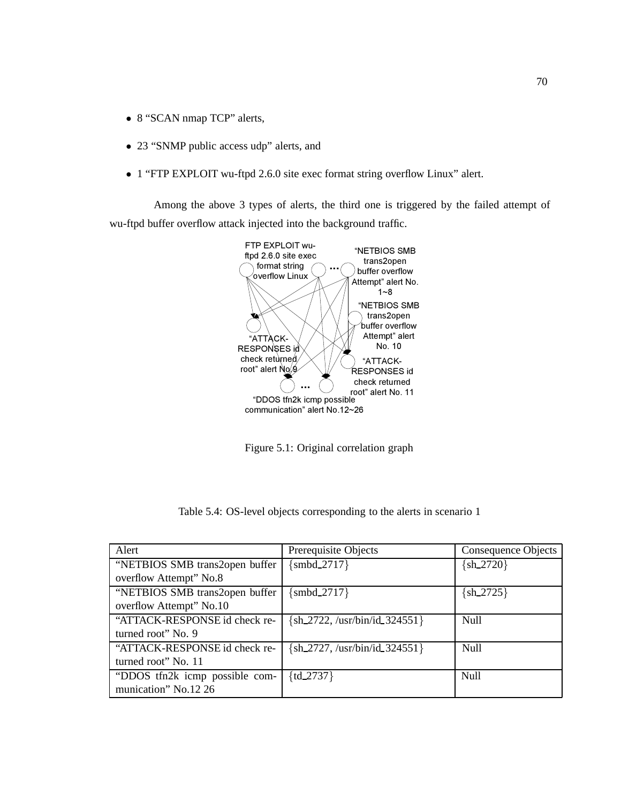- 8 "SCAN nmap TCP" alerts,
- 23 "SNMP public access udp" alerts, and
- 1 "FTP EXPLOIT wu-ftpd 2.6.0 site exec format string overflow Linux" alert.

Among the above 3 types of alerts, the third one is triggered by the failed attempt of wu-ftpd buffer overflow attack injected into the background traffic.



Figure 5.1: Original correlation graph

| Alert                          | Prerequisite Objects                | Consequence Objects |
|--------------------------------|-------------------------------------|---------------------|
| "NETBIOS SMB trans2open buffer | ${smbd_2717}$                       | $\{sh_2 7 2 0\}$    |
| overflow Attempt" No.8         |                                     |                     |
| "NETBIOS SMB trans2open buffer | $\{smbd_2717\}$                     | $\{sh_2 7 2 5\}$    |
| overflow Attempt" No.10        |                                     |                     |
| "ATTACK-RESPONSE id check re-  | ${s h_2722}$ , /usr/bin/id_324551}  | <b>Null</b>         |
| turned root" No. 9             |                                     |                     |
| "ATTACK-RESPONSE id check re-  | $\{sh_2 727, /usr/bin/id_3 24551\}$ | <b>Null</b>         |
| turned root" No. 11            |                                     |                     |
| "DDOS tfn2k icmp possible com- | $\{td_2737\}$                       | <b>Null</b>         |
| munication" No.12 26           |                                     |                     |

Table 5.4: OS-level objects corresponding to the alerts in scenario 1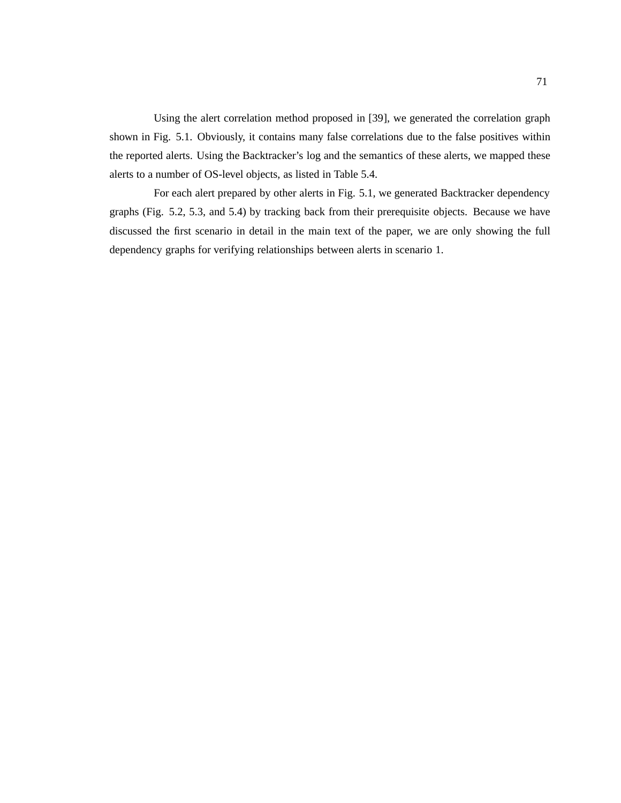Using the alert correlation method proposed in [39], we generated the correlation graph shown in Fig. 5.1. Obviously, it contains many false correlations due to the false positives within the reported alerts. Using the Backtracker's log and the semantics of these alerts, we mapped these alerts to a number of OS-level objects, as listed in Table 5.4.

For each alert prepared by other alerts in Fig. 5.1, we generated Backtracker dependency graphs (Fig. 5.2, 5.3, and 5.4) by tracking back from their prerequisite objects. Because we have discussed the first scenario in detail in the main text of the paper, we are only showing the full dependency graphs for verifying relationships between alerts in scenario 1.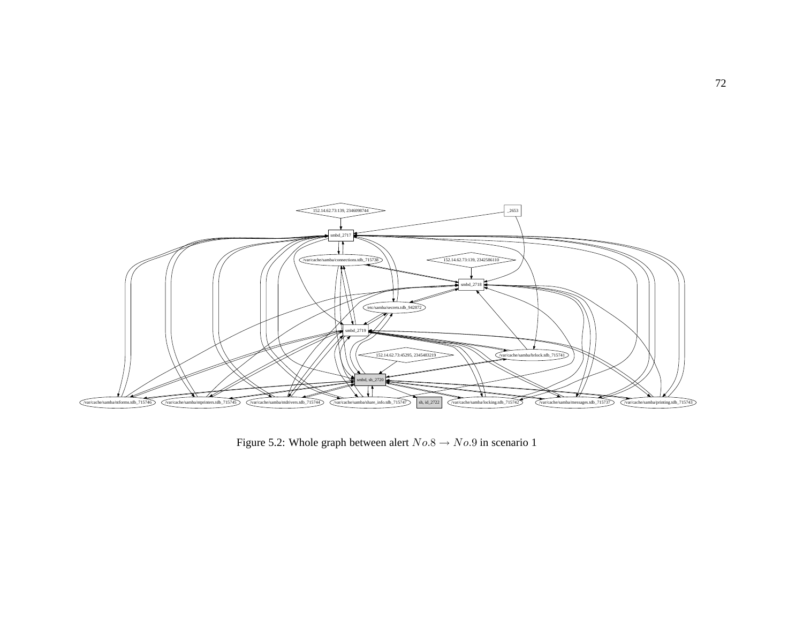

Figure 5.2: Whole graph between alert  $No.8 \rightarrow No.9$  in scenario 1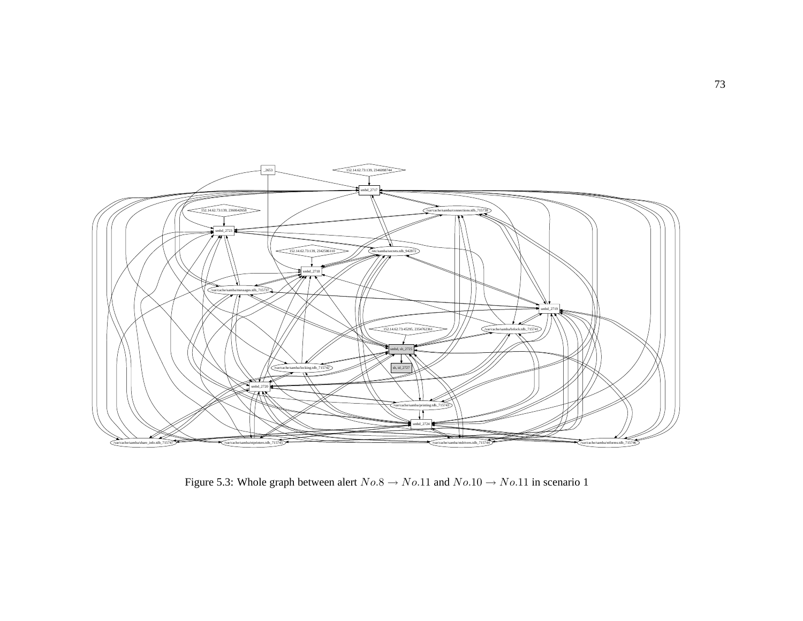

Figure 5.3: Whole graph between alert  $No.8 \rightarrow No.11$  and  $No.10 \rightarrow No.11$  in scenario 1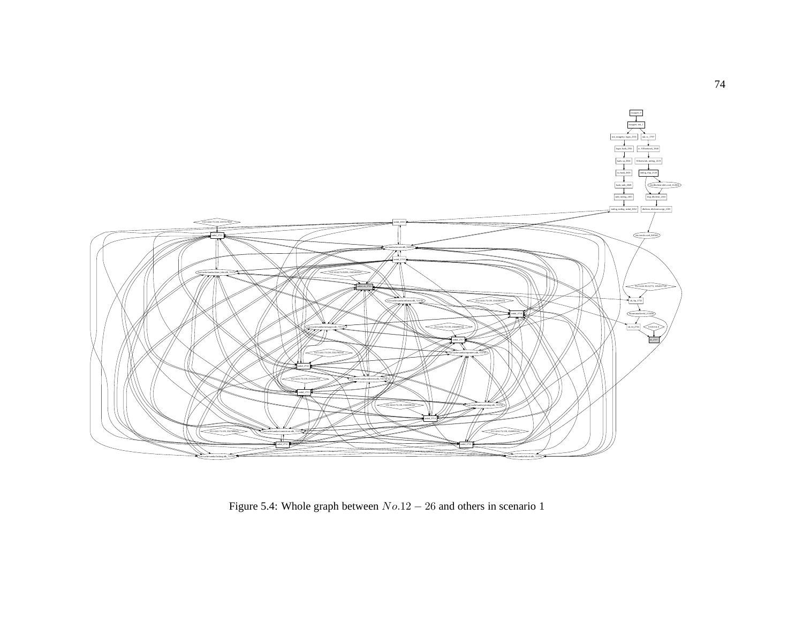

Figure 5.4: Whole graph between No.12 <sup>−</sup> 26 and others in scenario 1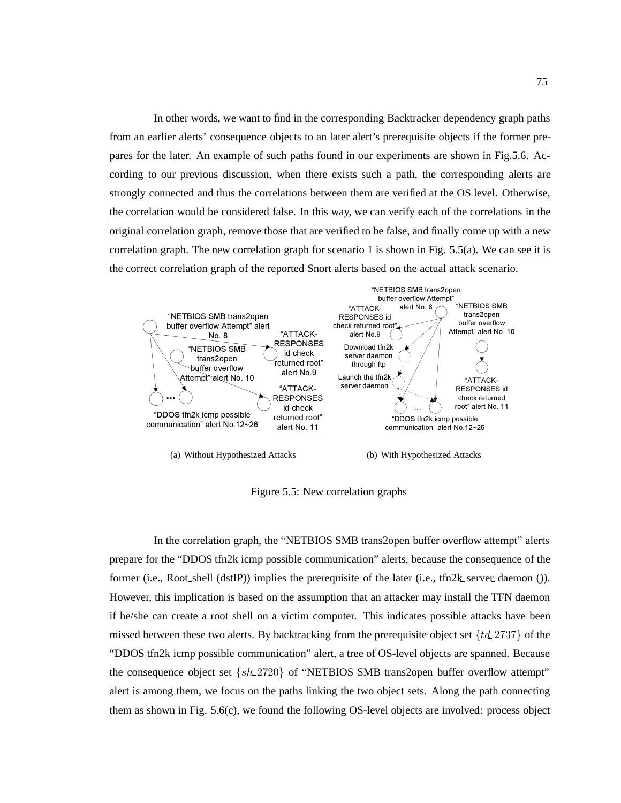In other words, we want to find in the corresponding Backtracker dependency graph paths from an earlier alerts' consequence objects to an later alert's prerequisite objects if the former prepares for the later. An example of such paths found in our experiments are shown in Fig.5.6. According to our previous discussion, when there exists such a path, the corresponding alerts are strongly connected and thus the correlations between them are verified at the OS level. Otherwise, the correlation would be considered false. In this way, we can verify each of the correlations in the original correlation graph, remove those that are verified to be false, and finally come up with a new correlation graph. The new correlation graph for scenario 1 is shown in Fig. 5.5(a). We can see it is the correct correlation graph of the reported Snort alerts based on the actual attack scenario.



Figure 5.5: New correlation graphs

In the correlation graph, the "NETBIOS SMB trans2open buffer overflow attempt" alerts prepare for the "DDOS tfn2k icmp possible communication" alerts, because the consequence of the former (i.e., Root\_shell (dstIP)) implies the prerequisite of the later (i.e., tfn2k server daemon ()). However, this implication is based on the assumption that an attacker may install the TFN daemon if he/she can create a root shell on a victim computer. This indicates possible attacks have been missed between these two alerts. By backtracking from the prerequisite object set  $\{td$  2737 $\}$  of the "DDOS tfn2k icmp possible communication" alert, a tree of OS-level objects are spanned. Because the consequence object set  $\{sh_2 2720\}$  of "NETBIOS SMB trans2open buffer overflow attempt" alert is among them, we focus on the paths linking the two object sets. Along the path connecting them as shown in Fig. 5.6(c), we found the following OS-level objects are involved: process object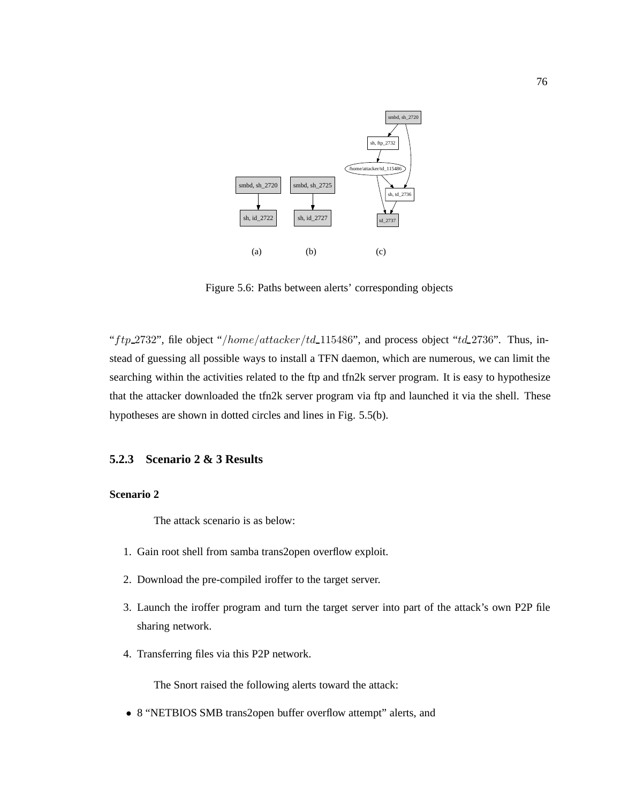

Figure 5.6: Paths between alerts' corresponding objects

" $ftp_2732"$ , file object " $/home/attacker/td_115486"$ , and process object " $td_2736"$ . Thus, instead of guessing all possible ways to install a TFN daemon, which are numerous, we can limit the searching within the activities related to the ftp and tfn2k server program. It is easy to hypothesize that the attacker downloaded the tfn2k server program via ftp and launched it via the shell. These hypotheses are shown in dotted circles and lines in Fig. 5.5(b).

# **5.2.3 Scenario 2 & 3 Results**

#### **Scenario 2**

The attack scenario is as below:

- 1. Gain root shell from samba trans2open overflow exploit.
- 2. Download the pre-compiled iroffer to the target server.
- 3. Launch the iroffer program and turn the target server into part of the attack's own P2P file sharing network.
- 4. Transferring files via this P2P network.

The Snort raised the following alerts toward the attack:

• 8 "NETBIOS SMB trans2open buffer overflow attempt" alerts, and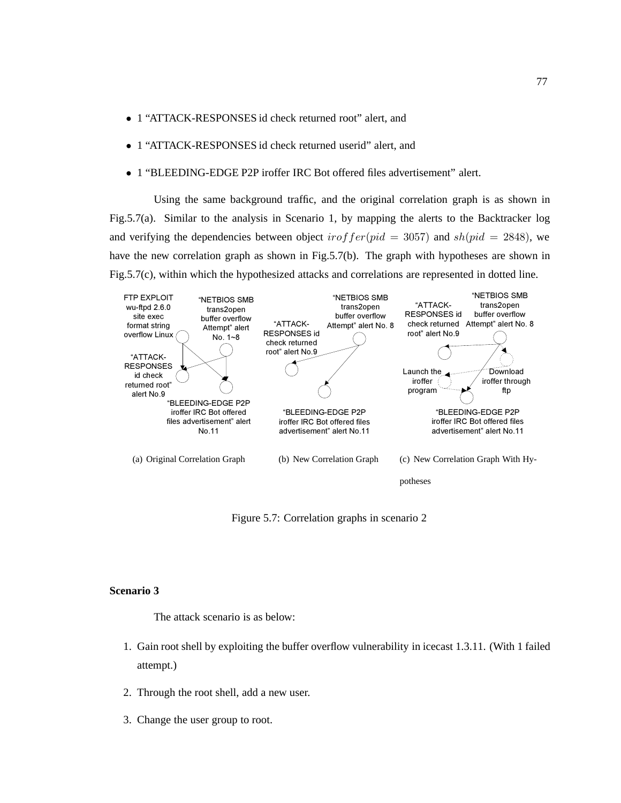- 1 "ATTACK-RESPONSES id check returned root" alert, and
- 1 "ATTACK-RESPONSES id check returned userid" alert, and
- 1 "BLEEDING-EDGE P2P iroffer IRC Bot offered files advertisement" alert.

Using the same background traffic, and the original correlation graph is as shown in Fig.5.7(a). Similar to the analysis in Scenario 1, by mapping the alerts to the Backtracker log and verifying the dependencies between object irof  $fer(pid = 3057)$  and  $sh(pid = 2848)$ , we have the new correlation graph as shown in Fig.5.7(b). The graph with hypotheses are shown in Fig.5.7(c), within which the hypothesized attacks and correlations are represented in dotted line.



Figure 5.7: Correlation graphs in scenario 2

#### **Scenario 3**

The attack scenario is as below:

- 1. Gain root shell by exploiting the buffer overflow vulnerability in icecast 1.3.11. (With 1 failed attempt.)
- 2. Through the root shell, add a new user.
- 3. Change the user group to root.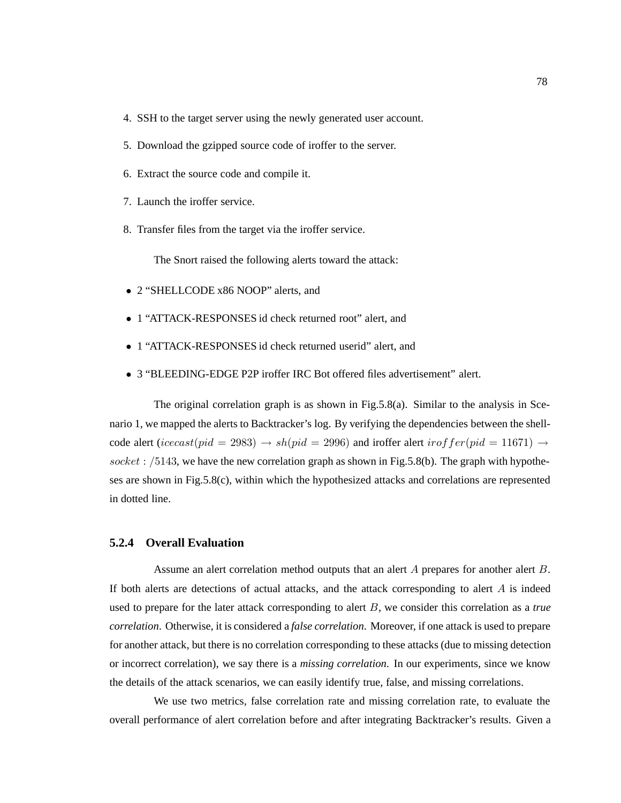- 4. SSH to the target server using the newly generated user account.
- 5. Download the gzipped source code of iroffer to the server.
- 6. Extract the source code and compile it.
- 7. Launch the iroffer service.
- 8. Transfer files from the target via the iroffer service.

The Snort raised the following alerts toward the attack:

- 2 "SHELLCODE x86 NOOP" alerts, and
- 1 "ATTACK-RESPONSES id check returned root" alert, and
- 1 "ATTACK-RESPONSES id check returned userid" alert, and
- 3 "BLEEDING-EDGE P2P iroffer IRC Bot offered files advertisement" alert.

The original correlation graph is as shown in Fig.5.8(a). Similar to the analysis in Scenario 1, we mapped the alerts to Backtracker's log. By verifying the dependencies between the shellcode alert (icecast(pid = 2983)  $\rightarrow sh(pid = 2996)$  and iroffer alert irof fer(pid = 11671)  $\rightarrow$ socket :  $/5143$ , we have the new correlation graph as shown in Fig.5.8(b). The graph with hypotheses are shown in Fig.5.8(c), within which the hypothesized attacks and correlations are represented in dotted line.

# **5.2.4 Overall Evaluation**

Assume an alert correlation method outputs that an alert A prepares for another alert B. If both alerts are detections of actual attacks, and the attack corresponding to alert  $A$  is indeed used to prepare for the later attack corresponding to alert B, we consider this correlation as a *true correlation*. Otherwise, it is considered a *false correlation*. Moreover, if one attack is used to prepare for another attack, but there is no correlation corresponding to these attacks (due to missing detection or incorrect correlation), we say there is a *missing correlation*. In our experiments, since we know the details of the attack scenarios, we can easily identify true, false, and missing correlations.

We use two metrics, false correlation rate and missing correlation rate, to evaluate the overall performance of alert correlation before and after integrating Backtracker's results. Given a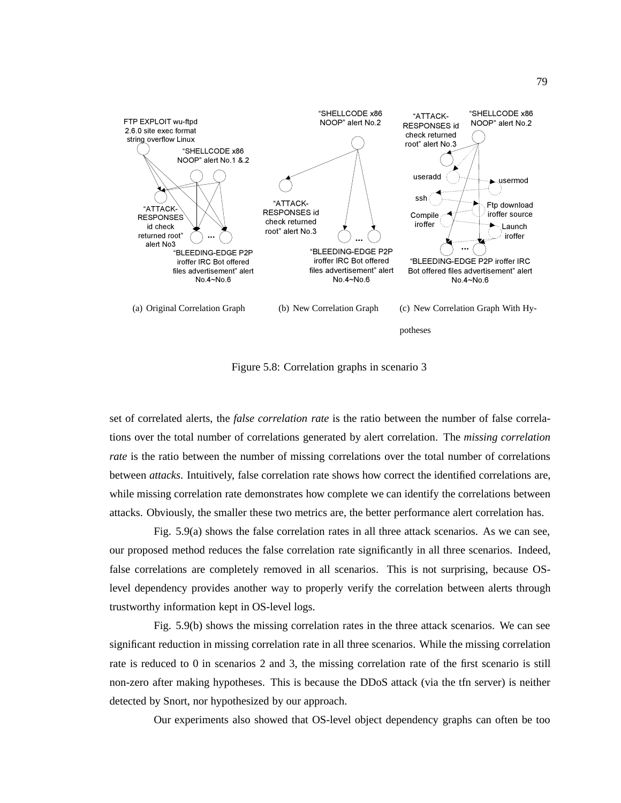

Figure 5.8: Correlation graphs in scenario 3

set of correlated alerts, the *false correlation rate* is the ratio between the number of false correlations over the total number of correlations generated by alert correlation. The *missing correlation rate* is the ratio between the number of missing correlations over the total number of correlations between *attacks*. Intuitively, false correlation rate shows how correct the identified correlations are, while missing correlation rate demonstrates how complete we can identify the correlations between attacks. Obviously, the smaller these two metrics are, the better performance alert correlation has.

Fig. 5.9(a) shows the false correlation rates in all three attack scenarios. As we can see, our proposed method reduces the false correlation rate significantly in all three scenarios. Indeed, false correlations are completely removed in all scenarios. This is not surprising, because OSlevel dependency provides another way to properly verify the correlation between alerts through trustworthy information kept in OS-level logs.

Fig. 5.9(b) shows the missing correlation rates in the three attack scenarios. We can see significant reduction in missing correlation rate in all three scenarios. While the missing correlation rate is reduced to 0 in scenarios 2 and 3, the missing correlation rate of the first scenario is still non-zero after making hypotheses. This is because the DDoS attack (via the tfn server) is neither detected by Snort, nor hypothesized by our approach.

Our experiments also showed that OS-level object dependency graphs can often be too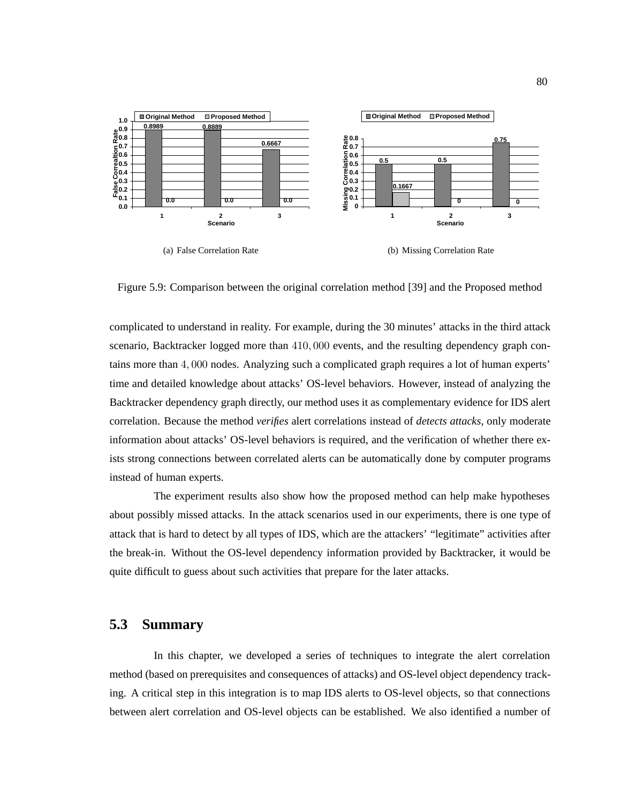

Figure 5.9: Comparison between the original correlation method [39] and the Proposed method

complicated to understand in reality. For example, during the 30 minutes' attacks in the third attack scenario, Backtracker logged more than 410, 000 events, and the resulting dependency graph contains more than 4, 000 nodes. Analyzing such a complicated graph requires a lot of human experts' time and detailed knowledge about attacks' OS-level behaviors. However, instead of analyzing the Backtracker dependency graph directly, our method uses it as complementary evidence for IDS alert correlation. Because the method *verifies* alert correlations instead of *detects attacks*, only moderate information about attacks' OS-level behaviors is required, and the verification of whether there exists strong connections between correlated alerts can be automatically done by computer programs instead of human experts.

The experiment results also show how the proposed method can help make hypotheses about possibly missed attacks. In the attack scenarios used in our experiments, there is one type of attack that is hard to detect by all types of IDS, which are the attackers' "legitimate" activities after the break-in. Without the OS-level dependency information provided by Backtracker, it would be quite difficult to guess about such activities that prepare for the later attacks.

# **5.3 Summary**

In this chapter, we developed a series of techniques to integrate the alert correlation method (based on prerequisites and consequences of attacks) and OS-level object dependency tracking. A critical step in this integration is to map IDS alerts to OS-level objects, so that connections between alert correlation and OS-level objects can be established. We also identified a number of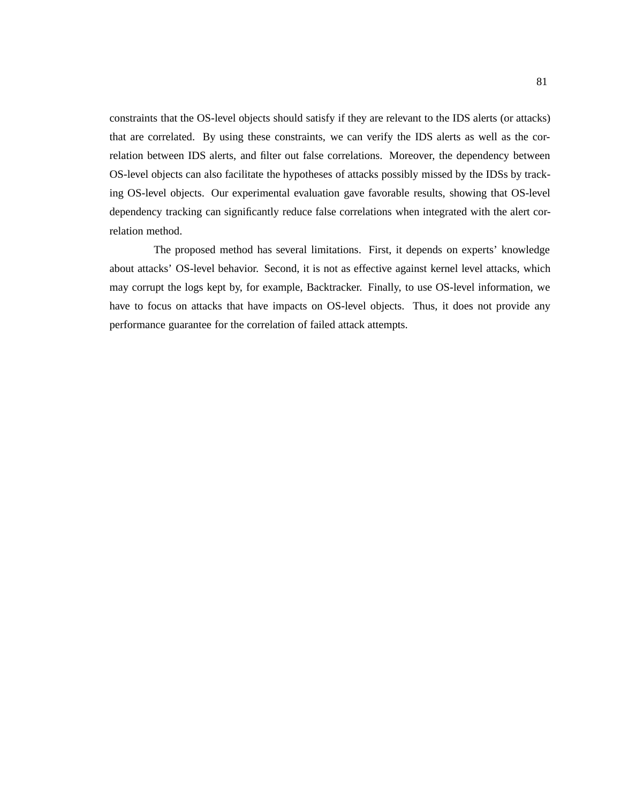constraints that the OS-level objects should satisfy if they are relevant to the IDS alerts (or attacks) that are correlated. By using these constraints, we can verify the IDS alerts as well as the correlation between IDS alerts, and filter out false correlations. Moreover, the dependency between OS-level objects can also facilitate the hypotheses of attacks possibly missed by the IDSs by tracking OS-level objects. Our experimental evaluation gave favorable results, showing that OS-level dependency tracking can significantly reduce false correlations when integrated with the alert correlation method.

The proposed method has several limitations. First, it depends on experts' knowledge about attacks' OS-level behavior. Second, it is not as effective against kernel level attacks, which may corrupt the logs kept by, for example, Backtracker. Finally, to use OS-level information, we have to focus on attacks that have impacts on OS-level objects. Thus, it does not provide any performance guarantee for the correlation of failed attack attempts.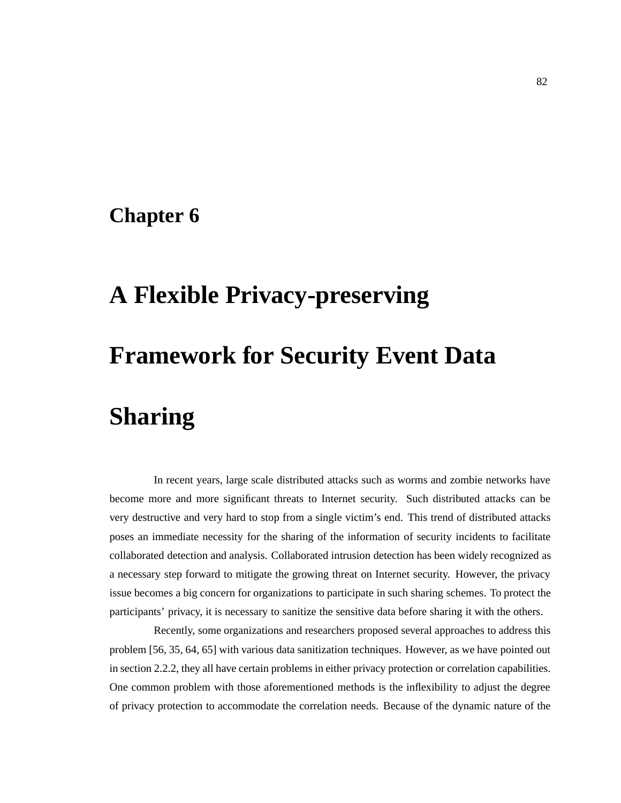# **Chapter 6**

# **A Flexible Privacy-preserving Framework for Security Event Data Sharing**

In recent years, large scale distributed attacks such as worms and zombie networks have become more and more significant threats to Internet security. Such distributed attacks can be very destructive and very hard to stop from a single victim's end. This trend of distributed attacks poses an immediate necessity for the sharing of the information of security incidents to facilitate collaborated detection and analysis. Collaborated intrusion detection has been widely recognized as a necessary step forward to mitigate the growing threat on Internet security. However, the privacy issue becomes a big concern for organizations to participate in such sharing schemes. To protect the participants' privacy, it is necessary to sanitize the sensitive data before sharing it with the others.

Recently, some organizations and researchers proposed several approaches to address this problem [56, 35, 64, 65] with various data sanitization techniques. However, as we have pointed out in section 2.2.2, they all have certain problems in either privacy protection or correlation capabilities. One common problem with those aforementioned methods is the inflexibility to adjust the degree of privacy protection to accommodate the correlation needs. Because of the dynamic nature of the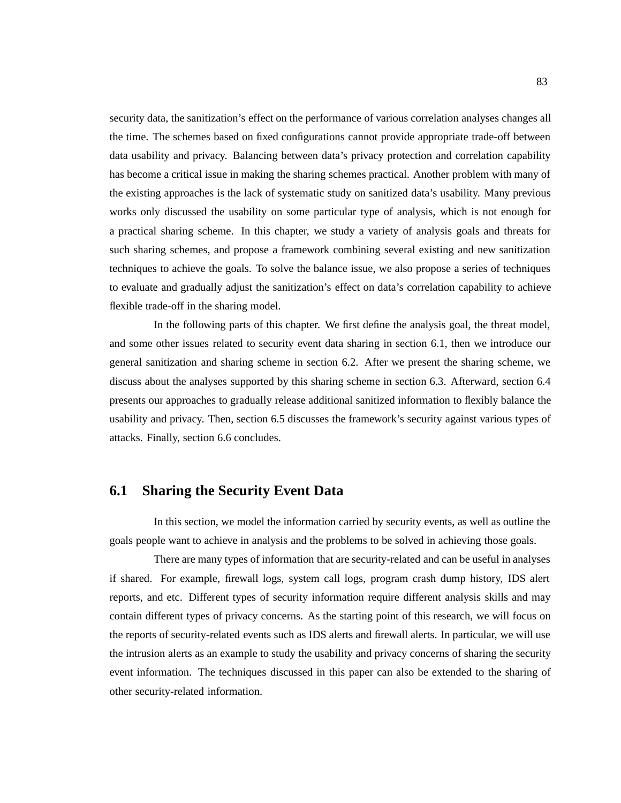security data, the sanitization's effect on the performance of various correlation analyses changes all the time. The schemes based on fixed configurations cannot provide appropriate trade-off between data usability and privacy. Balancing between data's privacy protection and correlation capability has become a critical issue in making the sharing schemes practical. Another problem with many of the existing approaches is the lack of systematic study on sanitized data's usability. Many previous works only discussed the usability on some particular type of analysis, which is not enough for a practical sharing scheme. In this chapter, we study a variety of analysis goals and threats for such sharing schemes, and propose a framework combining several existing and new sanitization techniques to achieve the goals. To solve the balance issue, we also propose a series of techniques to evaluate and gradually adjust the sanitization's effect on data's correlation capability to achieve flexible trade-off in the sharing model.

In the following parts of this chapter. We first define the analysis goal, the threat model, and some other issues related to security event data sharing in section 6.1, then we introduce our general sanitization and sharing scheme in section 6.2. After we present the sharing scheme, we discuss about the analyses supported by this sharing scheme in section 6.3. Afterward, section 6.4 presents our approaches to gradually release additional sanitized information to flexibly balance the usability and privacy. Then, section 6.5 discusses the framework's security against various types of attacks. Finally, section 6.6 concludes.

# **6.1 Sharing the Security Event Data**

In this section, we model the information carried by security events, as well as outline the goals people want to achieve in analysis and the problems to be solved in achieving those goals.

There are many types of information that are security-related and can be useful in analyses if shared. For example, firewall logs, system call logs, program crash dump history, IDS alert reports, and etc. Different types of security information require different analysis skills and may contain different types of privacy concerns. As the starting point of this research, we will focus on the reports of security-related events such as IDS alerts and firewall alerts. In particular, we will use the intrusion alerts as an example to study the usability and privacy concerns of sharing the security event information. The techniques discussed in this paper can also be extended to the sharing of other security-related information.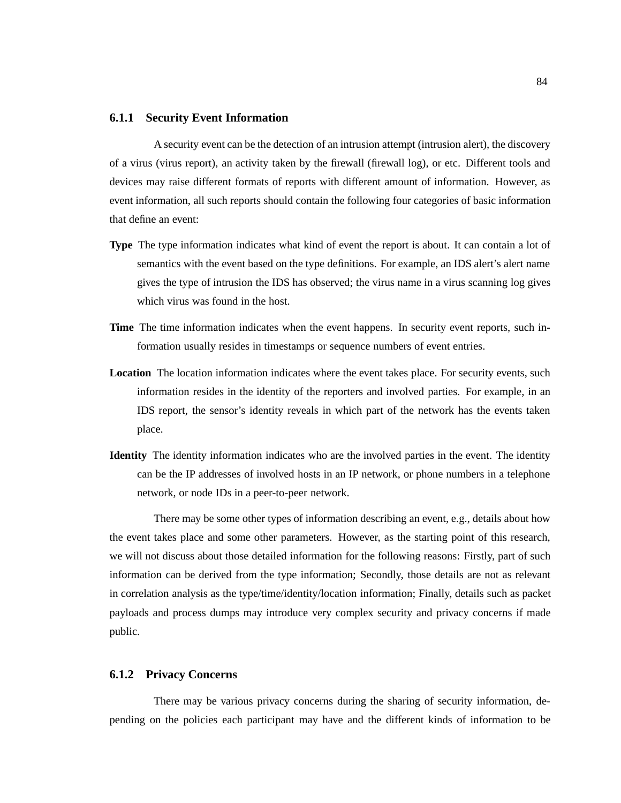# **6.1.1 Security Event Information**

A security event can be the detection of an intrusion attempt (intrusion alert), the discovery of a virus (virus report), an activity taken by the firewall (firewall log), or etc. Different tools and devices may raise different formats of reports with different amount of information. However, as event information, all such reports should contain the following four categories of basic information that define an event:

- **Type** The type information indicates what kind of event the report is about. It can contain a lot of semantics with the event based on the type definitions. For example, an IDS alert's alert name gives the type of intrusion the IDS has observed; the virus name in a virus scanning log gives which virus was found in the host.
- **Time** The time information indicates when the event happens. In security event reports, such information usually resides in timestamps or sequence numbers of event entries.
- **Location** The location information indicates where the event takes place. For security events, such information resides in the identity of the reporters and involved parties. For example, in an IDS report, the sensor's identity reveals in which part of the network has the events taken place.
- **Identity** The identity information indicates who are the involved parties in the event. The identity can be the IP addresses of involved hosts in an IP network, or phone numbers in a telephone network, or node IDs in a peer-to-peer network.

There may be some other types of information describing an event, e.g., details about how the event takes place and some other parameters. However, as the starting point of this research, we will not discuss about those detailed information for the following reasons: Firstly, part of such information can be derived from the type information; Secondly, those details are not as relevant in correlation analysis as the type/time/identity/location information; Finally, details such as packet payloads and process dumps may introduce very complex security and privacy concerns if made public.

# **6.1.2 Privacy Concerns**

There may be various privacy concerns during the sharing of security information, depending on the policies each participant may have and the different kinds of information to be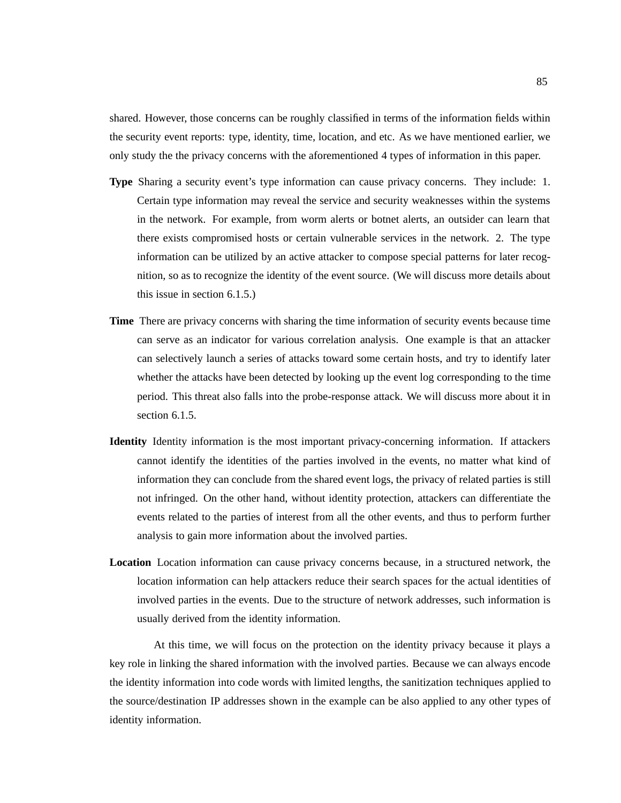shared. However, those concerns can be roughly classified in terms of the information fields within the security event reports: type, identity, time, location, and etc. As we have mentioned earlier, we only study the the privacy concerns with the aforementioned 4 types of information in this paper.

- **Type** Sharing a security event's type information can cause privacy concerns. They include: 1. Certain type information may reveal the service and security weaknesses within the systems in the network. For example, from worm alerts or botnet alerts, an outsider can learn that there exists compromised hosts or certain vulnerable services in the network. 2. The type information can be utilized by an active attacker to compose special patterns for later recognition, so as to recognize the identity of the event source. (We will discuss more details about this issue in section 6.1.5.)
- **Time** There are privacy concerns with sharing the time information of security events because time can serve as an indicator for various correlation analysis. One example is that an attacker can selectively launch a series of attacks toward some certain hosts, and try to identify later whether the attacks have been detected by looking up the event log corresponding to the time period. This threat also falls into the probe-response attack. We will discuss more about it in section 6.1.5.
- **Identity** Identity information is the most important privacy-concerning information. If attackers cannot identify the identities of the parties involved in the events, no matter what kind of information they can conclude from the shared event logs, the privacy of related parties is still not infringed. On the other hand, without identity protection, attackers can differentiate the events related to the parties of interest from all the other events, and thus to perform further analysis to gain more information about the involved parties.
- **Location** Location information can cause privacy concerns because, in a structured network, the location information can help attackers reduce their search spaces for the actual identities of involved parties in the events. Due to the structure of network addresses, such information is usually derived from the identity information.

At this time, we will focus on the protection on the identity privacy because it plays a key role in linking the shared information with the involved parties. Because we can always encode the identity information into code words with limited lengths, the sanitization techniques applied to the source/destination IP addresses shown in the example can be also applied to any other types of identity information.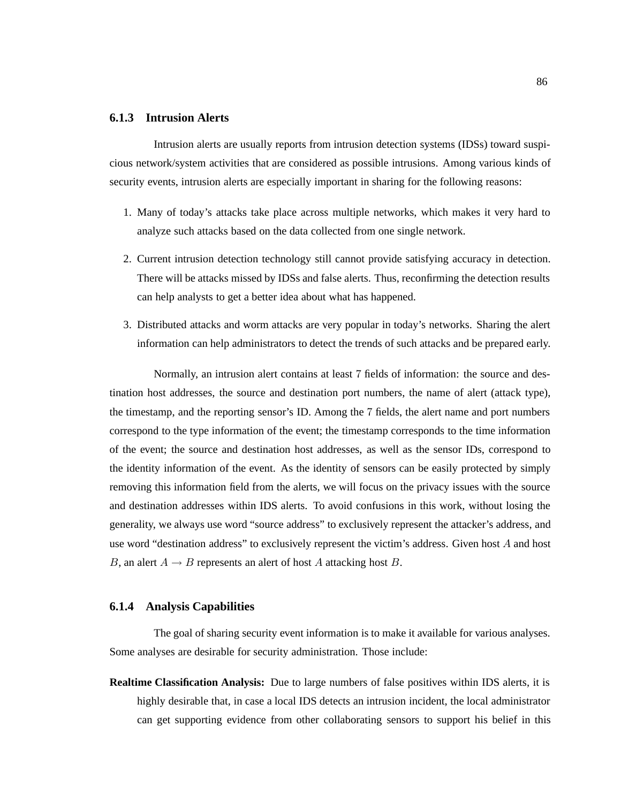# **6.1.3 Intrusion Alerts**

Intrusion alerts are usually reports from intrusion detection systems (IDSs) toward suspicious network/system activities that are considered as possible intrusions. Among various kinds of security events, intrusion alerts are especially important in sharing for the following reasons:

- 1. Many of today's attacks take place across multiple networks, which makes it very hard to analyze such attacks based on the data collected from one single network.
- 2. Current intrusion detection technology still cannot provide satisfying accuracy in detection. There will be attacks missed by IDSs and false alerts. Thus, reconfirming the detection results can help analysts to get a better idea about what has happened.
- 3. Distributed attacks and worm attacks are very popular in today's networks. Sharing the alert information can help administrators to detect the trends of such attacks and be prepared early.

Normally, an intrusion alert contains at least 7 fields of information: the source and destination host addresses, the source and destination port numbers, the name of alert (attack type), the timestamp, and the reporting sensor's ID. Among the 7 fields, the alert name and port numbers correspond to the type information of the event; the timestamp corresponds to the time information of the event; the source and destination host addresses, as well as the sensor IDs, correspond to the identity information of the event. As the identity of sensors can be easily protected by simply removing this information field from the alerts, we will focus on the privacy issues with the source and destination addresses within IDS alerts. To avoid confusions in this work, without losing the generality, we always use word "source address" to exclusively represent the attacker's address, and use word "destination address" to exclusively represent the victim's address. Given host A and host B, an alert  $A \rightarrow B$  represents an alert of host A attacking host B.

#### **6.1.4 Analysis Capabilities**

The goal of sharing security event information is to make it available for various analyses. Some analyses are desirable for security administration. Those include:

**Realtime Classification Analysis:** Due to large numbers of false positives within IDS alerts, it is highly desirable that, in case a local IDS detects an intrusion incident, the local administrator can get supporting evidence from other collaborating sensors to support his belief in this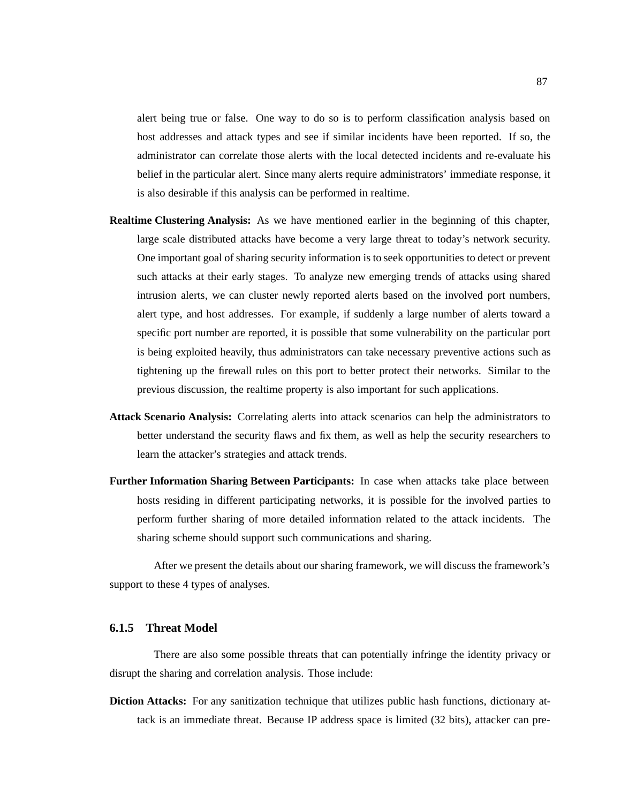alert being true or false. One way to do so is to perform classification analysis based on host addresses and attack types and see if similar incidents have been reported. If so, the administrator can correlate those alerts with the local detected incidents and re-evaluate his belief in the particular alert. Since many alerts require administrators' immediate response, it is also desirable if this analysis can be performed in realtime.

- **Realtime Clustering Analysis:** As we have mentioned earlier in the beginning of this chapter, large scale distributed attacks have become a very large threat to today's network security. One important goal of sharing security information is to seek opportunities to detect or prevent such attacks at their early stages. To analyze new emerging trends of attacks using shared intrusion alerts, we can cluster newly reported alerts based on the involved port numbers, alert type, and host addresses. For example, if suddenly a large number of alerts toward a specific port number are reported, it is possible that some vulnerability on the particular port is being exploited heavily, thus administrators can take necessary preventive actions such as tightening up the firewall rules on this port to better protect their networks. Similar to the previous discussion, the realtime property is also important for such applications.
- **Attack Scenario Analysis:** Correlating alerts into attack scenarios can help the administrators to better understand the security flaws and fix them, as well as help the security researchers to learn the attacker's strategies and attack trends.
- **Further Information Sharing Between Participants:** In case when attacks take place between hosts residing in different participating networks, it is possible for the involved parties to perform further sharing of more detailed information related to the attack incidents. The sharing scheme should support such communications and sharing.

After we present the details about our sharing framework, we will discuss the framework's support to these 4 types of analyses.

# **6.1.5 Threat Model**

There are also some possible threats that can potentially infringe the identity privacy or disrupt the sharing and correlation analysis. Those include:

**Diction Attacks:** For any sanitization technique that utilizes public hash functions, dictionary attack is an immediate threat. Because IP address space is limited (32 bits), attacker can pre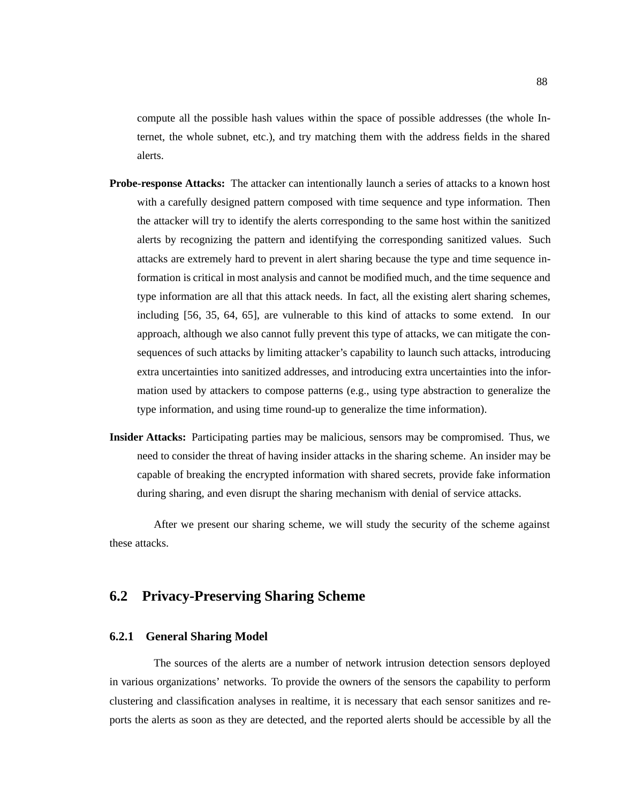compute all the possible hash values within the space of possible addresses (the whole Internet, the whole subnet, etc.), and try matching them with the address fields in the shared alerts.

- **Probe-response Attacks:** The attacker can intentionally launch a series of attacks to a known host with a carefully designed pattern composed with time sequence and type information. Then the attacker will try to identify the alerts corresponding to the same host within the sanitized alerts by recognizing the pattern and identifying the corresponding sanitized values. Such attacks are extremely hard to prevent in alert sharing because the type and time sequence information is critical in most analysis and cannot be modified much, and the time sequence and type information are all that this attack needs. In fact, all the existing alert sharing schemes, including [56, 35, 64, 65], are vulnerable to this kind of attacks to some extend. In our approach, although we also cannot fully prevent this type of attacks, we can mitigate the consequences of such attacks by limiting attacker's capability to launch such attacks, introducing extra uncertainties into sanitized addresses, and introducing extra uncertainties into the information used by attackers to compose patterns (e.g., using type abstraction to generalize the type information, and using time round-up to generalize the time information).
- **Insider Attacks:** Participating parties may be malicious, sensors may be compromised. Thus, we need to consider the threat of having insider attacks in the sharing scheme. An insider may be capable of breaking the encrypted information with shared secrets, provide fake information during sharing, and even disrupt the sharing mechanism with denial of service attacks.

After we present our sharing scheme, we will study the security of the scheme against these attacks.

# **6.2 Privacy-Preserving Sharing Scheme**

# **6.2.1 General Sharing Model**

The sources of the alerts are a number of network intrusion detection sensors deployed in various organizations' networks. To provide the owners of the sensors the capability to perform clustering and classification analyses in realtime, it is necessary that each sensor sanitizes and reports the alerts as soon as they are detected, and the reported alerts should be accessible by all the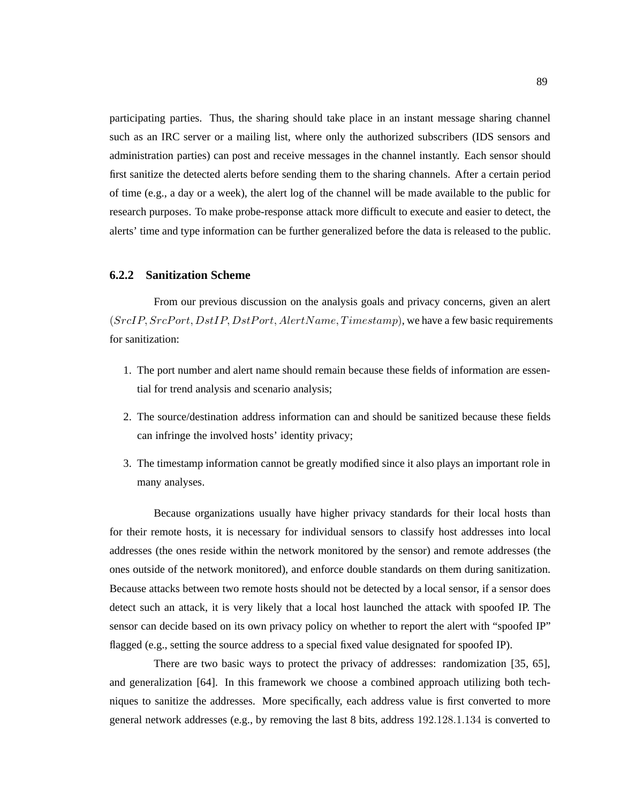participating parties. Thus, the sharing should take place in an instant message sharing channel such as an IRC server or a mailing list, where only the authorized subscribers (IDS sensors and administration parties) can post and receive messages in the channel instantly. Each sensor should first sanitize the detected alerts before sending them to the sharing channels. After a certain period of time (e.g., a day or a week), the alert log of the channel will be made available to the public for research purposes. To make probe-response attack more difficult to execute and easier to detect, the alerts' time and type information can be further generalized before the data is released to the public.

# **6.2.2 Sanitization Scheme**

From our previous discussion on the analysis goals and privacy concerns, given an alert  $(SrclP, SrcPort, DstIP, DstPort, AlertName, Timestamp),$  we have a few basic requirements for sanitization:

- 1. The port number and alert name should remain because these fields of information are essential for trend analysis and scenario analysis;
- 2. The source/destination address information can and should be sanitized because these fields can infringe the involved hosts' identity privacy;
- 3. The timestamp information cannot be greatly modified since it also plays an important role in many analyses.

Because organizations usually have higher privacy standards for their local hosts than for their remote hosts, it is necessary for individual sensors to classify host addresses into local addresses (the ones reside within the network monitored by the sensor) and remote addresses (the ones outside of the network monitored), and enforce double standards on them during sanitization. Because attacks between two remote hosts should not be detected by a local sensor, if a sensor does detect such an attack, it is very likely that a local host launched the attack with spoofed IP. The sensor can decide based on its own privacy policy on whether to report the alert with "spoofed IP" flagged (e.g., setting the source address to a special fixed value designated for spoofed IP).

There are two basic ways to protect the privacy of addresses: randomization [35, 65], and generalization [64]. In this framework we choose a combined approach utilizing both techniques to sanitize the addresses. More specifically, each address value is first converted to more general network addresses (e.g., by removing the last 8 bits, address 192.128.1.134 is converted to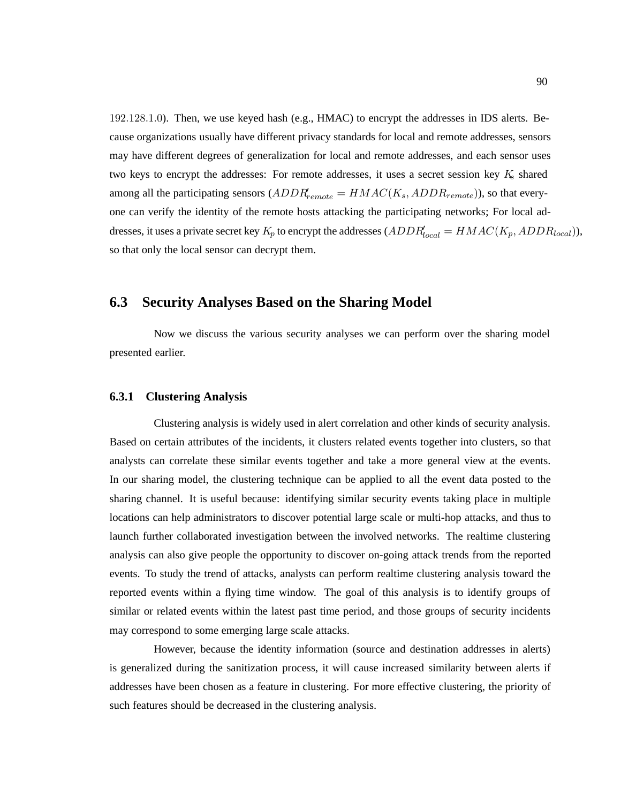192.128.1.0). Then, we use keyed hash (e.g., HMAC) to encrypt the addresses in IDS alerts. Because organizations usually have different privacy standards for local and remote addresses, sensors may have different degrees of generalization for local and remote addresses, and each sensor uses two keys to encrypt the addresses: For remote addresses, it uses a secret session key  $K_s$  shared among all the participating sensors  $(ADDR_{remote} = HMAC(K_s, ADDR_{remote}))$ , so that everyone can verify the identity of the remote hosts attacking the participating networks; For local addresses, it uses a private secret key  $K_p$  to encrypt the addresses  $(ADDR'_{local} = HMAC(K_p, ADDR_{local})),$ so that only the local sensor can decrypt them.

# **6.3 Security Analyses Based on the Sharing Model**

Now we discuss the various security analyses we can perform over the sharing model presented earlier.

## **6.3.1 Clustering Analysis**

Clustering analysis is widely used in alert correlation and other kinds of security analysis. Based on certain attributes of the incidents, it clusters related events together into clusters, so that analysts can correlate these similar events together and take a more general view at the events. In our sharing model, the clustering technique can be applied to all the event data posted to the sharing channel. It is useful because: identifying similar security events taking place in multiple locations can help administrators to discover potential large scale or multi-hop attacks, and thus to launch further collaborated investigation between the involved networks. The realtime clustering analysis can also give people the opportunity to discover on-going attack trends from the reported events. To study the trend of attacks, analysts can perform realtime clustering analysis toward the reported events within a flying time window. The goal of this analysis is to identify groups of similar or related events within the latest past time period, and those groups of security incidents may correspond to some emerging large scale attacks.

However, because the identity information (source and destination addresses in alerts) is generalized during the sanitization process, it will cause increased similarity between alerts if addresses have been chosen as a feature in clustering. For more effective clustering, the priority of such features should be decreased in the clustering analysis.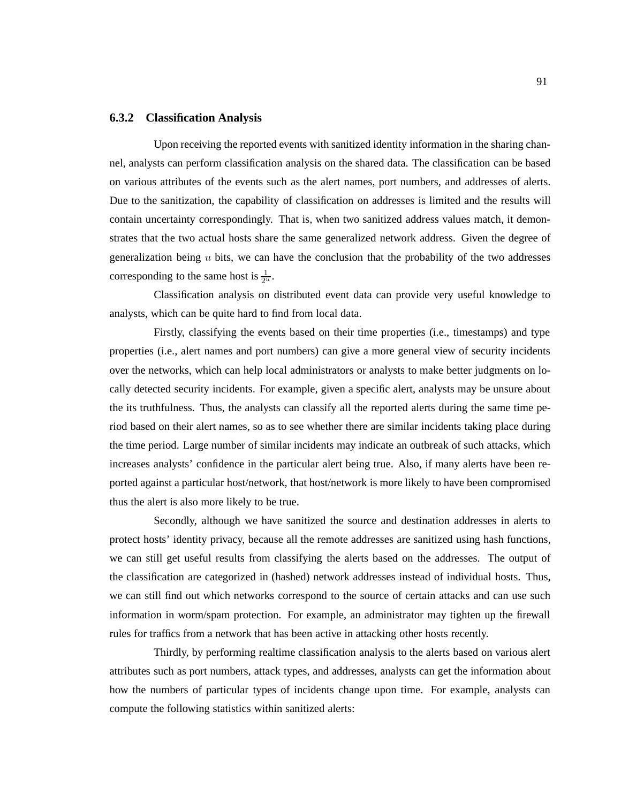# **6.3.2 Classification Analysis**

Upon receiving the reported events with sanitized identity information in the sharing channel, analysts can perform classification analysis on the shared data. The classification can be based on various attributes of the events such as the alert names, port numbers, and addresses of alerts. Due to the sanitization, the capability of classification on addresses is limited and the results will contain uncertainty correspondingly. That is, when two sanitized address values match, it demonstrates that the two actual hosts share the same generalized network address. Given the degree of generalization being  $u$  bits, we can have the conclusion that the probability of the two addresses corresponding to the same host is  $\frac{1}{2^u}$ .

Classification analysis on distributed event data can provide very useful knowledge to analysts, which can be quite hard to find from local data.

Firstly, classifying the events based on their time properties (i.e., timestamps) and type properties (i.e., alert names and port numbers) can give a more general view of security incidents over the networks, which can help local administrators or analysts to make better judgments on locally detected security incidents. For example, given a specific alert, analysts may be unsure about the its truthfulness. Thus, the analysts can classify all the reported alerts during the same time period based on their alert names, so as to see whether there are similar incidents taking place during the time period. Large number of similar incidents may indicate an outbreak of such attacks, which increases analysts' confidence in the particular alert being true. Also, if many alerts have been reported against a particular host/network, that host/network is more likely to have been compromised thus the alert is also more likely to be true.

Secondly, although we have sanitized the source and destination addresses in alerts to protect hosts' identity privacy, because all the remote addresses are sanitized using hash functions, we can still get useful results from classifying the alerts based on the addresses. The output of the classification are categorized in (hashed) network addresses instead of individual hosts. Thus, we can still find out which networks correspond to the source of certain attacks and can use such information in worm/spam protection. For example, an administrator may tighten up the firewall rules for traffics from a network that has been active in attacking other hosts recently.

Thirdly, by performing realtime classification analysis to the alerts based on various alert attributes such as port numbers, attack types, and addresses, analysts can get the information about how the numbers of particular types of incidents change upon time. For example, analysts can compute the following statistics within sanitized alerts: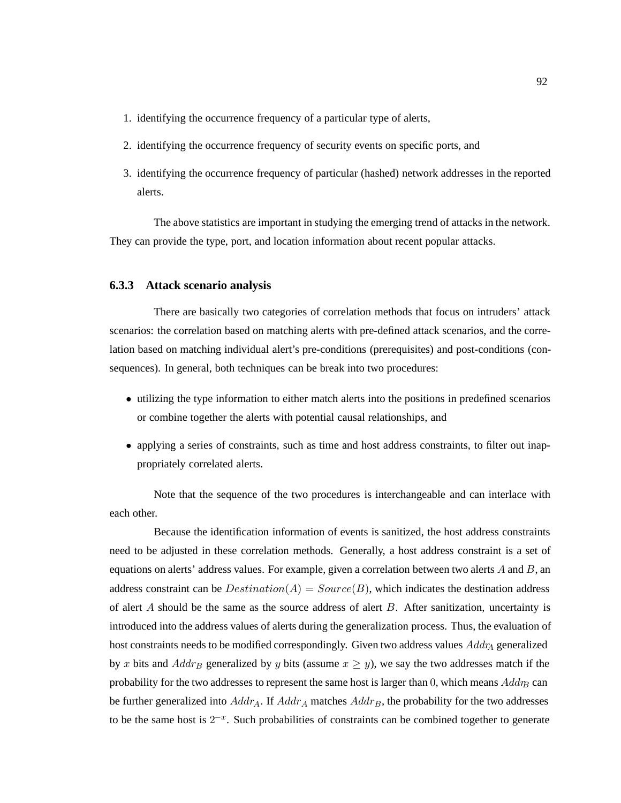- 1. identifying the occurrence frequency of a particular type of alerts,
- 2. identifying the occurrence frequency of security events on specific ports, and
- 3. identifying the occurrence frequency of particular (hashed) network addresses in the reported alerts.

The above statistics are important in studying the emerging trend of attacks in the network. They can provide the type, port, and location information about recent popular attacks.

# **6.3.3 Attack scenario analysis**

There are basically two categories of correlation methods that focus on intruders' attack scenarios: the correlation based on matching alerts with pre-defined attack scenarios, and the correlation based on matching individual alert's pre-conditions (prerequisites) and post-conditions (consequences). In general, both techniques can be break into two procedures:

- utilizing the type information to either match alerts into the positions in predefined scenarios or combine together the alerts with potential causal relationships, and
- applying a series of constraints, such as time and host address constraints, to filter out inappropriately correlated alerts.

Note that the sequence of the two procedures is interchangeable and can interlace with each other.

Because the identification information of events is sanitized, the host address constraints need to be adjusted in these correlation methods. Generally, a host address constraint is a set of equations on alerts' address values. For example, given a correlation between two alerts  $A$  and  $B$ , an address constraint can be  $Destination(A) = Source(B)$ , which indicates the destination address of alert  $A$  should be the same as the source address of alert  $B$ . After sanitization, uncertainty is introduced into the address values of alerts during the generalization process. Thus, the evaluation of host constraints needs to be modified correspondingly. Given two address values Addr*<sup>A</sup>* generalized by x bits and  $Addr_B$  generalized by y bits (assume  $x \geq y$ ), we say the two addresses match if the probability for the two addresses to represent the same host is larger than 0, which means  $\text{Add}_{B}$  can be further generalized into Addr*A*. If Addr*<sup>A</sup>* matches Addr*B*, the probability for the two addresses to be the same host is 2−*x*. Such probabilities of constraints can be combined together to generate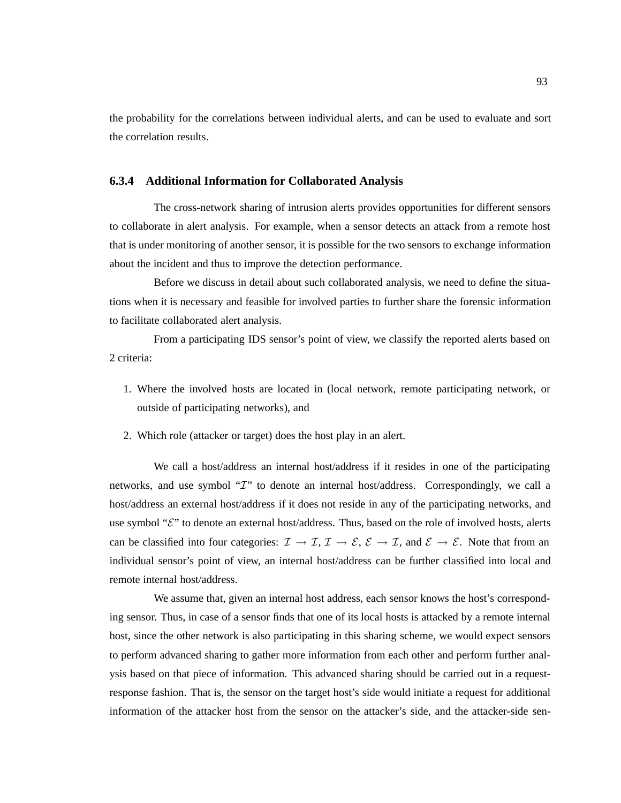the probability for the correlations between individual alerts, and can be used to evaluate and sort the correlation results.

# **6.3.4 Additional Information for Collaborated Analysis**

The cross-network sharing of intrusion alerts provides opportunities for different sensors to collaborate in alert analysis. For example, when a sensor detects an attack from a remote host that is under monitoring of another sensor, it is possible for the two sensors to exchange information about the incident and thus to improve the detection performance.

Before we discuss in detail about such collaborated analysis, we need to define the situations when it is necessary and feasible for involved parties to further share the forensic information to facilitate collaborated alert analysis.

From a participating IDS sensor's point of view, we classify the reported alerts based on 2 criteria:

- 1. Where the involved hosts are located in (local network, remote participating network, or outside of participating networks), and
- 2. Which role (attacker or target) does the host play in an alert.

We call a host/address an internal host/address if it resides in one of the participating networks, and use symbol "*T*" to denote an internal host/address. Correspondingly, we call a host/address an external host/address if it does not reside in any of the participating networks, and use symbol " $\mathcal{E}$ " to denote an external host/address. Thus, based on the role of involved hosts, alerts can be classified into four categories:  $\mathcal{I} \to \mathcal{I}$ ,  $\mathcal{I} \to \mathcal{E}$ ,  $\mathcal{E} \to \mathcal{I}$ , and  $\mathcal{E} \to \mathcal{E}$ . Note that from an individual sensor's point of view, an internal host/address can be further classified into local and remote internal host/address.

We assume that, given an internal host address, each sensor knows the host's corresponding sensor. Thus, in case of a sensor finds that one of its local hosts is attacked by a remote internal host, since the other network is also participating in this sharing scheme, we would expect sensors to perform advanced sharing to gather more information from each other and perform further analysis based on that piece of information. This advanced sharing should be carried out in a requestresponse fashion. That is, the sensor on the target host's side would initiate a request for additional information of the attacker host from the sensor on the attacker's side, and the attacker-side sen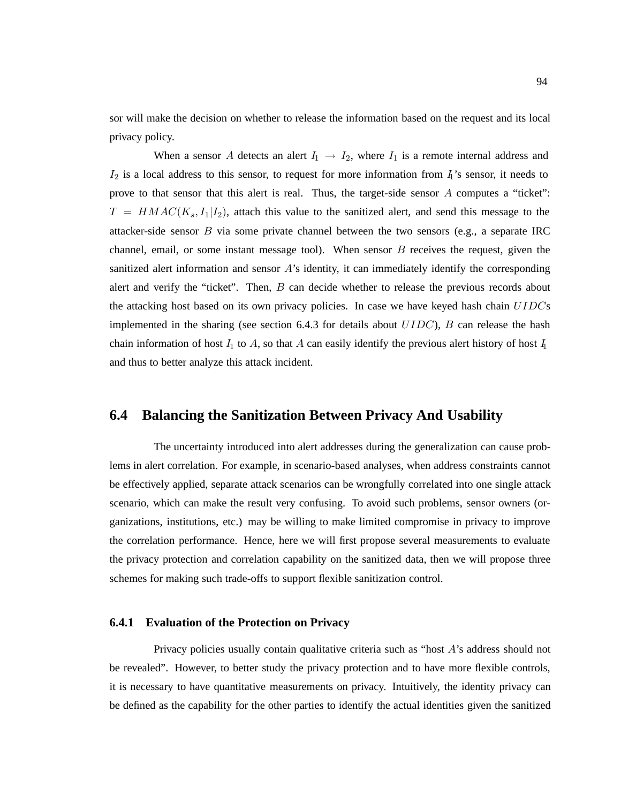sor will make the decision on whether to release the information based on the request and its local privacy policy.

When a sensor A detects an alert  $I_1 \rightarrow I_2$ , where  $I_1$  is a remote internal address and  $I_2$  is a local address to this sensor, to request for more information from  $I_1$ 's sensor, it needs to prove to that sensor that this alert is real. Thus, the target-side sensor  $A$  computes a "ticket":  $T = HMAC(K<sub>s</sub>, I<sub>1</sub>|I<sub>2</sub>)$ , attach this value to the sanitized alert, and send this message to the attacker-side sensor  $B$  via some private channel between the two sensors (e.g., a separate IRC channel, email, or some instant message tool). When sensor  $B$  receives the request, given the sanitized alert information and sensor A's identity, it can immediately identify the corresponding alert and verify the "ticket". Then,  $B$  can decide whether to release the previous records about the attacking host based on its own privacy policies. In case we have keyed hash chain UIDCs implemented in the sharing (see section 6.4.3 for details about  $UIDC$ ), B can release the hash chain information of host  $I_1$  to A, so that A can easily identify the previous alert history of host  $I_1$ and thus to better analyze this attack incident.

# **6.4 Balancing the Sanitization Between Privacy And Usability**

The uncertainty introduced into alert addresses during the generalization can cause problems in alert correlation. For example, in scenario-based analyses, when address constraints cannot be effectively applied, separate attack scenarios can be wrongfully correlated into one single attack scenario, which can make the result very confusing. To avoid such problems, sensor owners (organizations, institutions, etc.) may be willing to make limited compromise in privacy to improve the correlation performance. Hence, here we will first propose several measurements to evaluate the privacy protection and correlation capability on the sanitized data, then we will propose three schemes for making such trade-offs to support flexible sanitization control.

#### **6.4.1 Evaluation of the Protection on Privacy**

Privacy policies usually contain qualitative criteria such as "host A's address should not be revealed". However, to better study the privacy protection and to have more flexible controls, it is necessary to have quantitative measurements on privacy. Intuitively, the identity privacy can be defined as the capability for the other parties to identify the actual identities given the sanitized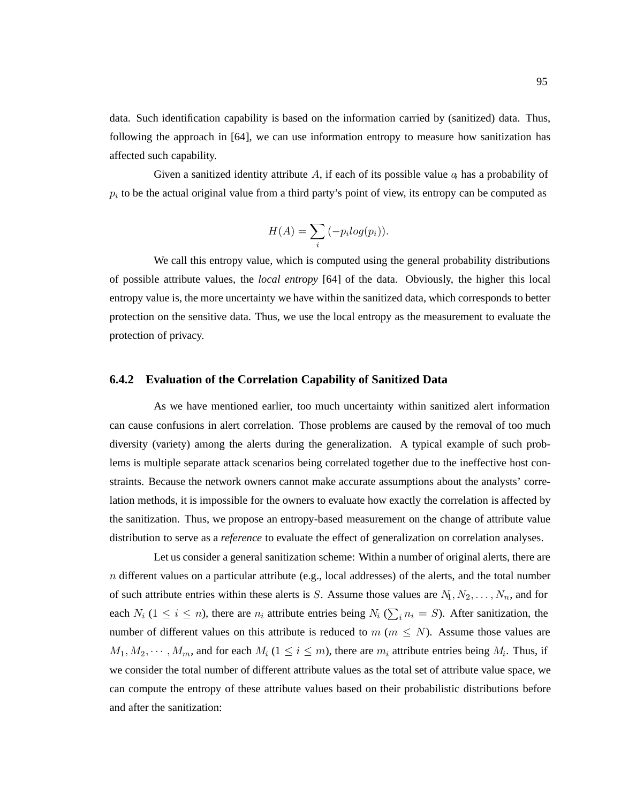data. Such identification capability is based on the information carried by (sanitized) data. Thus, following the approach in [64], we can use information entropy to measure how sanitization has affected such capability.

Given a sanitized identity attribute A, if each of its possible value  $a_i$  has a probability of  $p_i$  to be the actual original value from a third party's point of view, its entropy can be computed as

$$
H(A) = \sum_{i} \left(-p_i log(p_i)\right).
$$

We call this entropy value, which is computed using the general probability distributions of possible attribute values, the *local entropy* [64] of the data. Obviously, the higher this local entropy value is, the more uncertainty we have within the sanitized data, which corresponds to better protection on the sensitive data. Thus, we use the local entropy as the measurement to evaluate the protection of privacy.

#### **6.4.2 Evaluation of the Correlation Capability of Sanitized Data**

As we have mentioned earlier, too much uncertainty within sanitized alert information can cause confusions in alert correlation. Those problems are caused by the removal of too much diversity (variety) among the alerts during the generalization. A typical example of such problems is multiple separate attack scenarios being correlated together due to the ineffective host constraints. Because the network owners cannot make accurate assumptions about the analysts' correlation methods, it is impossible for the owners to evaluate how exactly the correlation is affected by the sanitization. Thus, we propose an entropy-based measurement on the change of attribute value distribution to serve as a *reference* to evaluate the effect of generalization on correlation analyses.

Let us consider a general sanitization scheme: Within a number of original alerts, there are n different values on a particular attribute (e.g., local addresses) of the alerts, and the total number of such attribute entries within these alerts is S. Assume those values are  $N_1, N_2, \ldots, N_n$ , and for each  $N_i$  ( $1 \le i \le n$ ), there are  $n_i$  attribute entries being  $N_i$  ( $\sum_i n_i = S$ ). After sanitization, the number of different values on this attribute is reduced to  $m$  ( $m \leq N$ ). Assume those values are  $M_1, M_2, \cdots, M_m$ , and for each  $M_i$  ( $1 \le i \le m$ ), there are  $m_i$  attribute entries being  $M_i$ . Thus, if we consider the total number of different attribute values as the total set of attribute value space, we can compute the entropy of these attribute values based on their probabilistic distributions before and after the sanitization: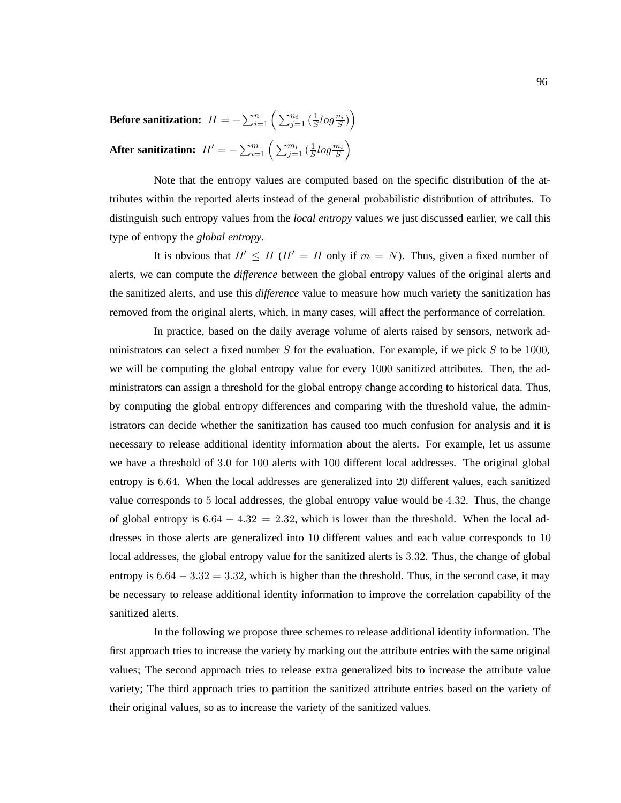**Before sanitization:**  $H = -\sum_{i=1}^{n} \left( \sum_{j=1}^{n_i} \left( \frac{1}{S} log \frac{n_i}{S} \right) \right)$ After sanitization:  $H' = -\sum_{i=1}^{m} \left( \sum_{j=1}^{m_i} \left( \frac{1}{S} log \frac{m_i}{S} \right) \right)$ 

Note that the entropy values are computed based on the specific distribution of the attributes within the reported alerts instead of the general probabilistic distribution of attributes. To distinguish such entropy values from the *local entropy* values we just discussed earlier, we call this type of entropy the *global entropy*.

It is obvious that  $H' \leq H$  ( $H' = H$  only if  $m = N$ ). Thus, given a fixed number of alerts, we can compute the *difference* between the global entropy values of the original alerts and the sanitized alerts, and use this *difference* value to measure how much variety the sanitization has removed from the original alerts, which, in many cases, will affect the performance of correlation.

In practice, based on the daily average volume of alerts raised by sensors, network administrators can select a fixed number  $S$  for the evaluation. For example, if we pick  $S$  to be 1000, we will be computing the global entropy value for every 1000 sanitized attributes. Then, the administrators can assign a threshold for the global entropy change according to historical data. Thus, by computing the global entropy differences and comparing with the threshold value, the administrators can decide whether the sanitization has caused too much confusion for analysis and it is necessary to release additional identity information about the alerts. For example, let us assume we have a threshold of 3.0 for 100 alerts with 100 different local addresses. The original global entropy is 6.64. When the local addresses are generalized into 20 different values, each sanitized value corresponds to 5 local addresses, the global entropy value would be 4.32. Thus, the change of global entropy is  $6.64 - 4.32 = 2.32$ , which is lower than the threshold. When the local addresses in those alerts are generalized into 10 different values and each value corresponds to 10 local addresses, the global entropy value for the sanitized alerts is 3.32. Thus, the change of global entropy is  $6.64 - 3.32 = 3.32$ , which is higher than the threshold. Thus, in the second case, it may be necessary to release additional identity information to improve the correlation capability of the sanitized alerts.

In the following we propose three schemes to release additional identity information. The first approach tries to increase the variety by marking out the attribute entries with the same original values; The second approach tries to release extra generalized bits to increase the attribute value variety; The third approach tries to partition the sanitized attribute entries based on the variety of their original values, so as to increase the variety of the sanitized values.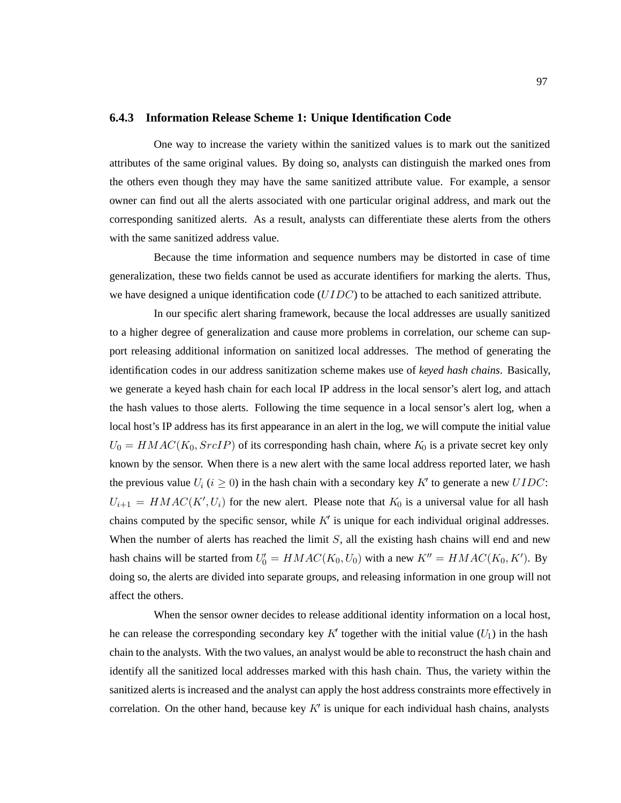#### **6.4.3 Information Release Scheme 1: Unique Identification Code**

One way to increase the variety within the sanitized values is to mark out the sanitized attributes of the same original values. By doing so, analysts can distinguish the marked ones from the others even though they may have the same sanitized attribute value. For example, a sensor owner can find out all the alerts associated with one particular original address, and mark out the corresponding sanitized alerts. As a result, analysts can differentiate these alerts from the others with the same sanitized address value.

Because the time information and sequence numbers may be distorted in case of time generalization, these two fields cannot be used as accurate identifiers for marking the alerts. Thus, we have designed a unique identification code  $(UIDC)$  to be attached to each sanitized attribute.

In our specific alert sharing framework, because the local addresses are usually sanitized to a higher degree of generalization and cause more problems in correlation, our scheme can support releasing additional information on sanitized local addresses. The method of generating the identification codes in our address sanitization scheme makes use of *keyed hash chains*. Basically, we generate a keyed hash chain for each local IP address in the local sensor's alert log, and attach the hash values to those alerts. Following the time sequence in a local sensor's alert log, when a local host's IP address has its first appearance in an alert in the log, we will compute the initial value  $U_0 = HMAC(K_0, SrcIP)$  of its corresponding hash chain, where  $K_0$  is a private secret key only known by the sensor. When there is a new alert with the same local address reported later, we hash the previous value  $U_i$  ( $i \geq 0$ ) in the hash chain with a secondary key  $K'$  to generate a new  $UIDC$ :  $U_{i+1} = HMAC(K', U_i)$  for the new alert. Please note that  $K_0$  is a universal value for all hash chains computed by the specific sensor, while  $K'$  is unique for each individual original addresses. When the number of alerts has reached the limit  $S$ , all the existing hash chains will end and new hash chains will be started from  $U_0' = HMAC(K_0, U_0)$  with a new  $K'' = HMAC(K_0, K')$ . By doing so, the alerts are divided into separate groups, and releasing information in one group will not affect the others.

When the sensor owner decides to release additional identity information on a local host, he can release the corresponding secondary key  $K'$  together with the initial value  $(U_1)$  in the hash chain to the analysts. With the two values, an analyst would be able to reconstruct the hash chain and identify all the sanitized local addresses marked with this hash chain. Thus, the variety within the sanitized alerts is increased and the analyst can apply the host address constraints more effectively in correlation. On the other hand, because key  $K'$  is unique for each individual hash chains, analysts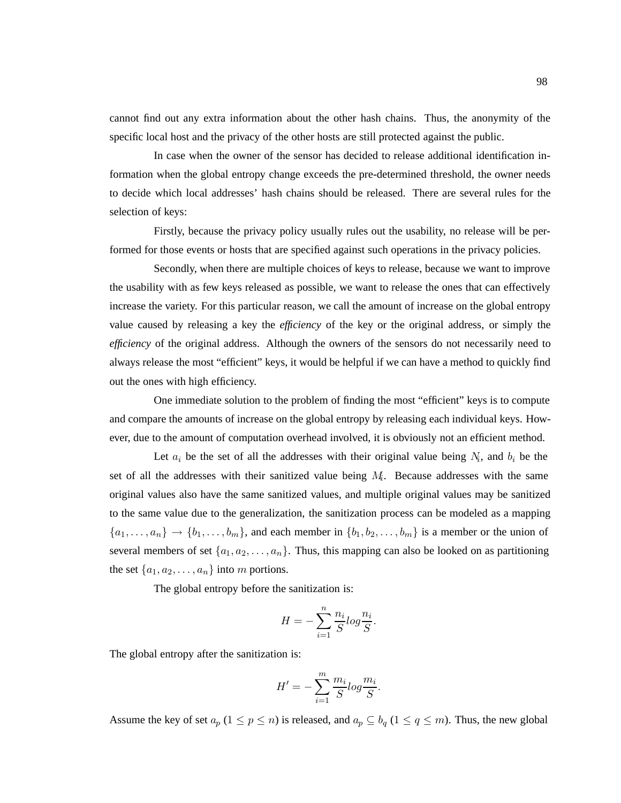cannot find out any extra information about the other hash chains. Thus, the anonymity of the specific local host and the privacy of the other hosts are still protected against the public.

In case when the owner of the sensor has decided to release additional identification information when the global entropy change exceeds the pre-determined threshold, the owner needs to decide which local addresses' hash chains should be released. There are several rules for the selection of keys:

Firstly, because the privacy policy usually rules out the usability, no release will be performed for those events or hosts that are specified against such operations in the privacy policies.

Secondly, when there are multiple choices of keys to release, because we want to improve the usability with as few keys released as possible, we want to release the ones that can effectively increase the variety. For this particular reason, we call the amount of increase on the global entropy value caused by releasing a key the *efficiency* of the key or the original address, or simply the *efficiency* of the original address. Although the owners of the sensors do not necessarily need to always release the most "efficient" keys, it would be helpful if we can have a method to quickly find out the ones with high efficiency.

One immediate solution to the problem of finding the most "efficient" keys is to compute and compare the amounts of increase on the global entropy by releasing each individual keys. However, due to the amount of computation overhead involved, it is obviously not an efficient method.

Let  $a_i$  be the set of all the addresses with their original value being  $N_i$ , and  $b_i$  be the set of all the addresses with their sanitized value being M*i*. Because addresses with the same original values also have the same sanitized values, and multiple original values may be sanitized to the same value due to the generalization, the sanitization process can be modeled as a mapping  ${a_1,\ldots,a_n} \rightarrow {b_1,\ldots,b_m}$ , and each member in  ${b_1,b_2,\ldots,b_m}$  is a member or the union of several members of set  $\{a_1, a_2, \ldots, a_n\}$ . Thus, this mapping can also be looked on as partitioning the set  $\{a_1, a_2, \ldots, a_n\}$  into m portions.

The global entropy before the sanitization is:

$$
H = -\sum_{i=1}^{n} \frac{n_i}{S} \log \frac{n_i}{S}.
$$

The global entropy after the sanitization is:

$$
H' = -\sum_{i=1}^{m} \frac{m_i}{S} log \frac{m_i}{S}.
$$

Assume the key of set  $a_p$  ( $1 \le p \le n$ ) is released, and  $a_p \subseteq b_q$  ( $1 \le q \le m$ ). Thus, the new global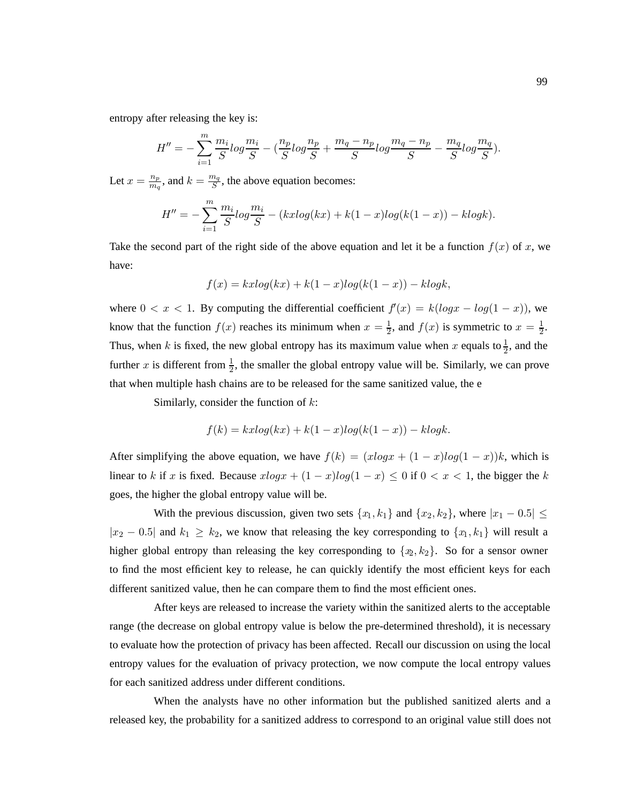entropy after releasing the key is:

$$
H'' = -\sum_{i=1}^{m} \frac{m_i}{S} log \frac{m_i}{S} - \left(\frac{n_p}{S} log \frac{n_p}{S} + \frac{m_q - n_p}{S} log \frac{m_q - n_p}{S} - \frac{m_q}{S} log \frac{m_q}{S}\right).
$$

Let  $x = \frac{n_p}{m_q}$ , and  $k = \frac{m_q}{S}$ , the above equation becomes:

$$
H'' = -\sum_{i=1}^{m} \frac{m_i}{S} log \frac{m_i}{S} - (kxlog(kx) + k(1-x)log(k(1-x)) - klogk).
$$

Take the second part of the right side of the above equation and let it be a function  $f(x)$  of x, we have:

$$
f(x) = kxlog(kx) + k(1-x)log(k(1-x)) - klogk,
$$

where  $0 < x < 1$ . By computing the differential coefficient  $f'(x) = k(logx - log(1 - x))$ , we know that the function  $f(x)$  reaches its minimum when  $x = \frac{1}{2}$ , and  $f(x)$  is symmetric to  $x = \frac{1}{2}$ . Thus, when k is fixed, the new global entropy has its maximum value when x equals to  $\frac{1}{2}$ , and the further x is different from  $\frac{1}{2}$ , the smaller the global entropy value will be. Similarly, we can prove that when multiple hash chains are to be released for the same sanitized value, the e

Similarly, consider the function of  $k$ :

$$
f(k) = kxlog(kx) + k(1-x)log(k(1-x)) - klogk.
$$

After simplifying the above equation, we have  $f(k)=(xlog x + (1 - x)log(1 - x))k$ , which is linear to k if x is fixed. Because  $xlogx + (1 - x)log(1 - x) \le 0$  if  $0 < x < 1$ , the bigger the k goes, the higher the global entropy value will be.

With the previous discussion, given two sets  $\{x_1, k_1\}$  and  $\{x_2, k_2\}$ , where  $|x_1 - 0.5| \le$  $|x_2 - 0.5|$  and  $k_1 \ge k_2$ , we know that releasing the key corresponding to  $\{x_1, k_1\}$  will result a higher global entropy than releasing the key corresponding to  $\{x_2, k_2\}$ . So for a sensor owner to find the most efficient key to release, he can quickly identify the most efficient keys for each different sanitized value, then he can compare them to find the most efficient ones.

After keys are released to increase the variety within the sanitized alerts to the acceptable range (the decrease on global entropy value is below the pre-determined threshold), it is necessary to evaluate how the protection of privacy has been affected. Recall our discussion on using the local entropy values for the evaluation of privacy protection, we now compute the local entropy values for each sanitized address under different conditions.

When the analysts have no other information but the published sanitized alerts and a released key, the probability for a sanitized address to correspond to an original value still does not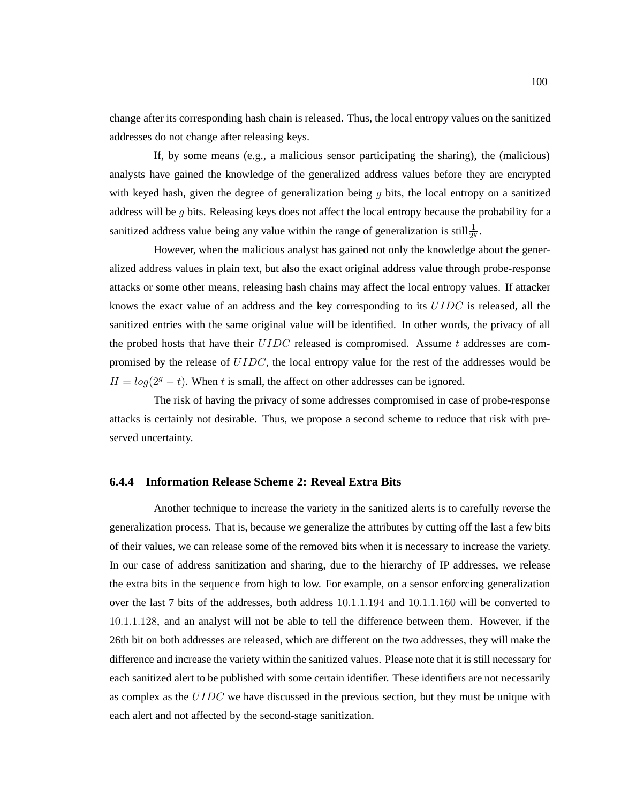change after its corresponding hash chain is released. Thus, the local entropy values on the sanitized addresses do not change after releasing keys.

If, by some means (e.g., a malicious sensor participating the sharing), the (malicious) analysts have gained the knowledge of the generalized address values before they are encrypted with keyed hash, given the degree of generalization being  $q$  bits, the local entropy on a sanitized address will be g bits. Releasing keys does not affect the local entropy because the probability for a sanitized address value being any value within the range of generalization is still  $\frac{1}{2^g}$ .

However, when the malicious analyst has gained not only the knowledge about the generalized address values in plain text, but also the exact original address value through probe-response attacks or some other means, releasing hash chains may affect the local entropy values. If attacker knows the exact value of an address and the key corresponding to its  $UIDC$  is released, all the sanitized entries with the same original value will be identified. In other words, the privacy of all the probed hosts that have their  $UIDC$  released is compromised. Assume t addresses are compromised by the release of UIDC, the local entropy value for the rest of the addresses would be  $H = log(2<sup>g</sup> - t)$ . When t is small, the affect on other addresses can be ignored.

The risk of having the privacy of some addresses compromised in case of probe-response attacks is certainly not desirable. Thus, we propose a second scheme to reduce that risk with preserved uncertainty.

#### **6.4.4 Information Release Scheme 2: Reveal Extra Bits**

Another technique to increase the variety in the sanitized alerts is to carefully reverse the generalization process. That is, because we generalize the attributes by cutting off the last a few bits of their values, we can release some of the removed bits when it is necessary to increase the variety. In our case of address sanitization and sharing, due to the hierarchy of IP addresses, we release the extra bits in the sequence from high to low. For example, on a sensor enforcing generalization over the last 7 bits of the addresses, both address 10.1.1.194 and 10.1.1.160 will be converted to 10.1.1.128, and an analyst will not be able to tell the difference between them. However, if the 26th bit on both addresses are released, which are different on the two addresses, they will make the difference and increase the variety within the sanitized values. Please note that it is still necessary for each sanitized alert to be published with some certain identifier. These identifiers are not necessarily as complex as the  $UIDC$  we have discussed in the previous section, but they must be unique with each alert and not affected by the second-stage sanitization.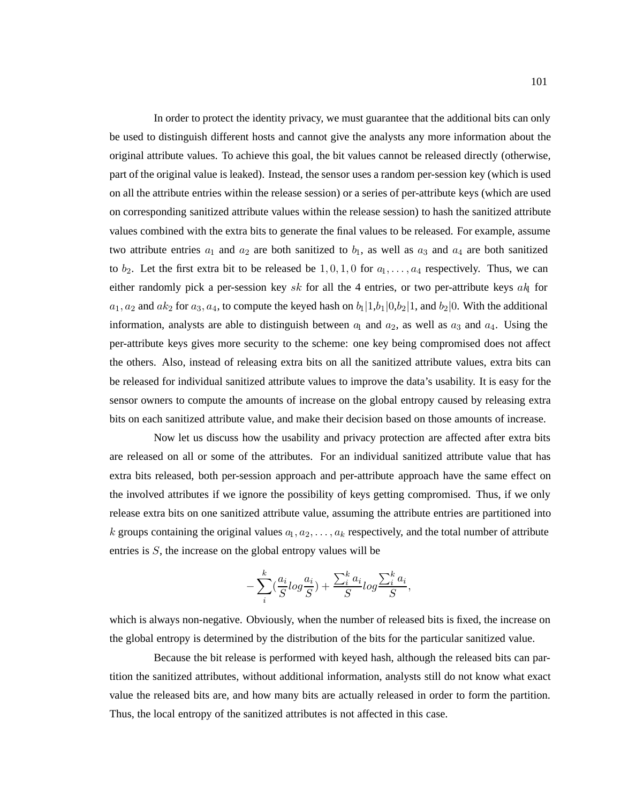In order to protect the identity privacy, we must guarantee that the additional bits can only be used to distinguish different hosts and cannot give the analysts any more information about the original attribute values. To achieve this goal, the bit values cannot be released directly (otherwise, part of the original value is leaked). Instead, the sensor uses a random per-session key (which is used on all the attribute entries within the release session) or a series of per-attribute keys (which are used on corresponding sanitized attribute values within the release session) to hash the sanitized attribute values combined with the extra bits to generate the final values to be released. For example, assume two attribute entries  $a_1$  and  $a_2$  are both sanitized to  $b_1$ , as well as  $a_3$  and  $a_4$  are both sanitized to  $b_2$ . Let the first extra bit to be released be 1, 0, 1, 0 for  $a_1, \ldots, a_4$  respectively. Thus, we can either randomly pick a per-session key sk for all the 4 entries, or two per-attribute keys  $ak<sub>1</sub>$  for  $a_1, a_2$  and  $ak_2$  for  $a_3, a_4$ , to compute the keyed hash on  $b_1|1,b_1|0,b_2|1$ , and  $b_2|0$ . With the additional information, analysts are able to distinguish between  $a_1$  and  $a_2$ , as well as  $a_3$  and  $a_4$ . Using the per-attribute keys gives more security to the scheme: one key being compromised does not affect the others. Also, instead of releasing extra bits on all the sanitized attribute values, extra bits can be released for individual sanitized attribute values to improve the data's usability. It is easy for the sensor owners to compute the amounts of increase on the global entropy caused by releasing extra bits on each sanitized attribute value, and make their decision based on those amounts of increase.

Now let us discuss how the usability and privacy protection are affected after extra bits are released on all or some of the attributes. For an individual sanitized attribute value that has extra bits released, both per-session approach and per-attribute approach have the same effect on the involved attributes if we ignore the possibility of keys getting compromised. Thus, if we only release extra bits on one sanitized attribute value, assuming the attribute entries are partitioned into k groups containing the original values  $a_1, a_2, \ldots, a_k$  respectively, and the total number of attribute entries is S, the increase on the global entropy values will be

$$
-\sum_{i}^{k} \left(\frac{a_i}{S} \log \frac{a_i}{S}\right) + \frac{\sum_{i}^{k} a_i}{S} \log \frac{\sum_{i}^{k} a_i}{S},
$$

which is always non-negative. Obviously, when the number of released bits is fixed, the increase on the global entropy is determined by the distribution of the bits for the particular sanitized value.

Because the bit release is performed with keyed hash, although the released bits can partition the sanitized attributes, without additional information, analysts still do not know what exact value the released bits are, and how many bits are actually released in order to form the partition. Thus, the local entropy of the sanitized attributes is not affected in this case.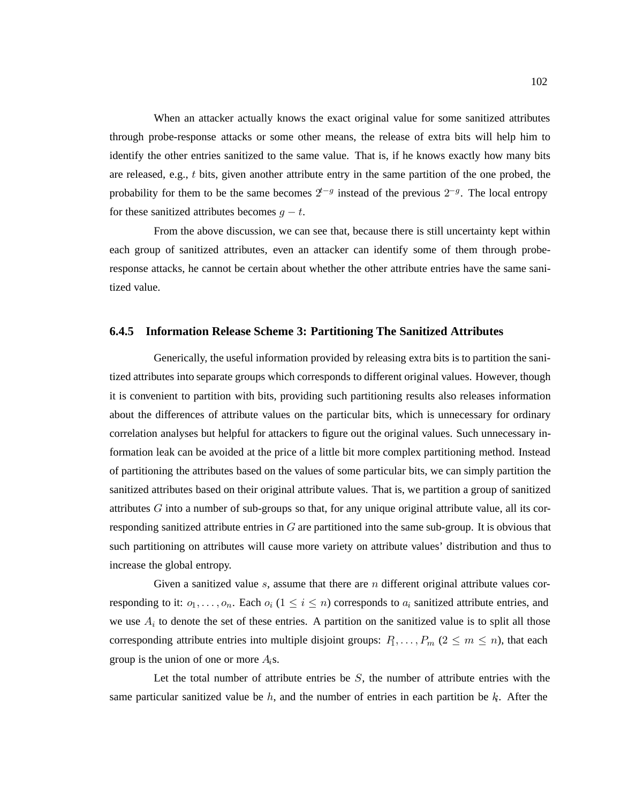When an attacker actually knows the exact original value for some sanitized attributes through probe-response attacks or some other means, the release of extra bits will help him to identify the other entries sanitized to the same value. That is, if he knows exactly how many bits are released, e.g.,  $t$  bits, given another attribute entry in the same partition of the one probed, the probability for them to be the same becomes  $2^{t-g}$  instead of the previous  $2^{-g}$ . The local entropy for these sanitized attributes becomes  $g - t$ .

From the above discussion, we can see that, because there is still uncertainty kept within each group of sanitized attributes, even an attacker can identify some of them through proberesponse attacks, he cannot be certain about whether the other attribute entries have the same sanitized value.

#### **6.4.5 Information Release Scheme 3: Partitioning The Sanitized Attributes**

Generically, the useful information provided by releasing extra bits is to partition the sanitized attributes into separate groups which corresponds to different original values. However, though it is convenient to partition with bits, providing such partitioning results also releases information about the differences of attribute values on the particular bits, which is unnecessary for ordinary correlation analyses but helpful for attackers to figure out the original values. Such unnecessary information leak can be avoided at the price of a little bit more complex partitioning method. Instead of partitioning the attributes based on the values of some particular bits, we can simply partition the sanitized attributes based on their original attribute values. That is, we partition a group of sanitized attributes  $G$  into a number of sub-groups so that, for any unique original attribute value, all its corresponding sanitized attribute entries in  $G$  are partitioned into the same sub-group. It is obvious that such partitioning on attributes will cause more variety on attribute values' distribution and thus to increase the global entropy.

Given a sanitized value  $s$ , assume that there are  $n$  different original attribute values corresponding to it:  $o_1, \ldots, o_n$ . Each  $o_i$  ( $1 \leq i \leq n$ ) corresponds to  $a_i$  sanitized attribute entries, and we use  $A_i$  to denote the set of these entries. A partition on the sanitized value is to split all those corresponding attribute entries into multiple disjoint groups:  $P_1, \ldots, P_m$  ( $2 \le m \le n$ ), that each group is the union of one or more A*i*s.

Let the total number of attribute entries be  $S$ , the number of attribute entries with the same particular sanitized value be  $h$ , and the number of entries in each partition be  $k<sub>i</sub>$ . After the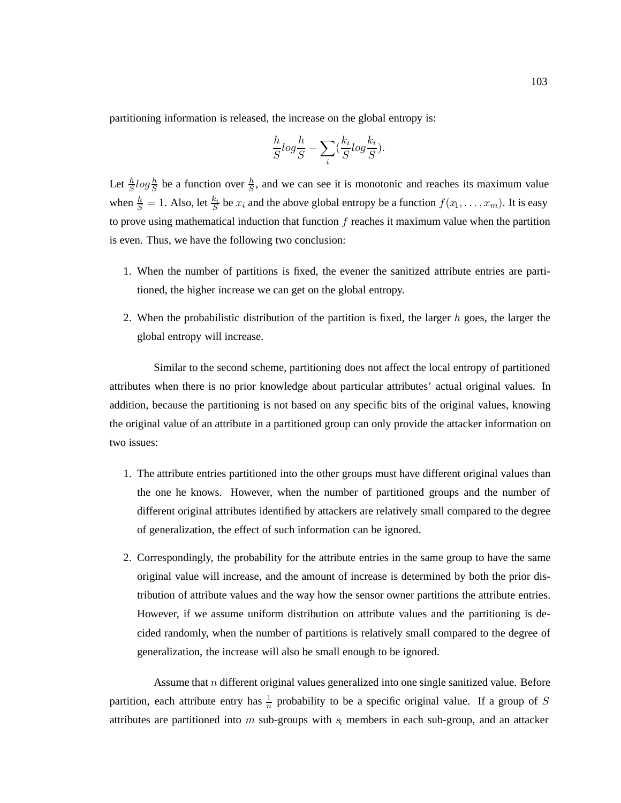partitioning information is released, the increase on the global entropy is:

$$
\frac{h}{S}log\frac{h}{S} - \sum_{i} \left(\frac{k_i}{S}log\frac{k_i}{S}\right).
$$

Let  $\frac{h}{S}$ log  $\frac{h}{S}$  be a function over  $\frac{h}{S}$ , and we can see it is monotonic and reaches its maximum value when  $\frac{h}{S} = 1$ . Also, let  $\frac{k_i}{S}$  be  $x_i$  and the above global entropy be a function  $f(x_1, \ldots, x_m)$ . It is easy to prove using mathematical induction that function  $f$  reaches it maximum value when the partition is even. Thus, we have the following two conclusion:

- 1. When the number of partitions is fixed, the evener the sanitized attribute entries are partitioned, the higher increase we can get on the global entropy.
- 2. When the probabilistic distribution of the partition is fixed, the larger  $h$  goes, the larger the global entropy will increase.

Similar to the second scheme, partitioning does not affect the local entropy of partitioned attributes when there is no prior knowledge about particular attributes' actual original values. In addition, because the partitioning is not based on any specific bits of the original values, knowing the original value of an attribute in a partitioned group can only provide the attacker information on two issues:

- 1. The attribute entries partitioned into the other groups must have different original values than the one he knows. However, when the number of partitioned groups and the number of different original attributes identified by attackers are relatively small compared to the degree of generalization, the effect of such information can be ignored.
- 2. Correspondingly, the probability for the attribute entries in the same group to have the same original value will increase, and the amount of increase is determined by both the prior distribution of attribute values and the way how the sensor owner partitions the attribute entries. However, if we assume uniform distribution on attribute values and the partitioning is decided randomly, when the number of partitions is relatively small compared to the degree of generalization, the increase will also be small enough to be ignored.

Assume that  $n$  different original values generalized into one single sanitized value. Before partition, each attribute entry has  $\frac{1}{n}$  probability to be a specific original value. If a group of S attributes are partitioned into m sub-groups with  $s_i$  members in each sub-group, and an attacker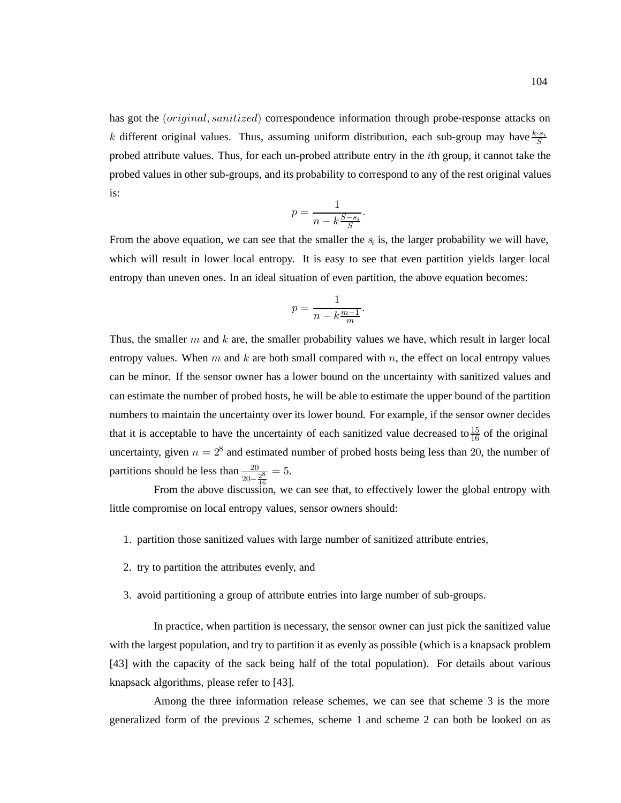has got the (*original, sanitized*) correspondence information through probe-response attacks on k different original values. Thus, assuming uniform distribution, each sub-group may have  $\frac{k \cdot s_i}{S}$ probed attribute values. Thus, for each un-probed attribute entry in the ith group, it cannot take the probed values in other sub-groups, and its probability to correspond to any of the rest original values is:

$$
p = \frac{1}{n - k \frac{S - s_i}{S}}.
$$

From the above equation, we can see that the smaller the  $s_i$  is, the larger probability we will have, which will result in lower local entropy. It is easy to see that even partition yields larger local entropy than uneven ones. In an ideal situation of even partition, the above equation becomes:

$$
p = \frac{1}{n - k \frac{m-1}{m}}.
$$

Thus, the smaller  $m$  and  $k$  are, the smaller probability values we have, which result in larger local entropy values. When m and k are both small compared with n, the effect on local entropy values can be minor. If the sensor owner has a lower bound on the uncertainty with sanitized values and can estimate the number of probed hosts, he will be able to estimate the upper bound of the partition numbers to maintain the uncertainty over its lower bound. For example, if the sensor owner decides that it is acceptable to have the uncertainty of each sanitized value decreased to  $\frac{15}{16}$  of the original uncertainty, given  $n = 2^8$  and estimated number of probed hosts being less than 20, the number of partitions should be less than  $\frac{20}{20-\frac{2^8}{16}}$  $= 5.$ 

From the above discussion, we can see that, to effectively lower the global entropy with little compromise on local entropy values, sensor owners should:

- 1. partition those sanitized values with large number of sanitized attribute entries,
- 2. try to partition the attributes evenly, and
- 3. avoid partitioning a group of attribute entries into large number of sub-groups.

In practice, when partition is necessary, the sensor owner can just pick the sanitized value with the largest population, and try to partition it as evenly as possible (which is a knapsack problem [43] with the capacity of the sack being half of the total population). For details about various knapsack algorithms, please refer to [43].

Among the three information release schemes, we can see that scheme 3 is the more generalized form of the previous 2 schemes, scheme 1 and scheme 2 can both be looked on as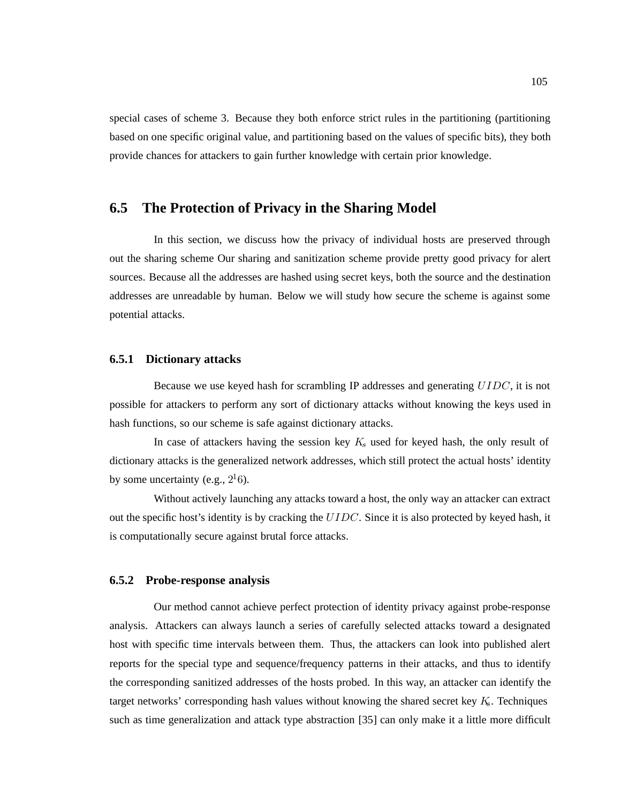special cases of scheme 3. Because they both enforce strict rules in the partitioning (partitioning based on one specific original value, and partitioning based on the values of specific bits), they both provide chances for attackers to gain further knowledge with certain prior knowledge.

# **6.5 The Protection of Privacy in the Sharing Model**

In this section, we discuss how the privacy of individual hosts are preserved through out the sharing scheme Our sharing and sanitization scheme provide pretty good privacy for alert sources. Because all the addresses are hashed using secret keys, both the source and the destination addresses are unreadable by human. Below we will study how secure the scheme is against some potential attacks.

#### **6.5.1 Dictionary attacks**

Because we use keyed hash for scrambling IP addresses and generating UIDC, it is not possible for attackers to perform any sort of dictionary attacks without knowing the keys used in hash functions, so our scheme is safe against dictionary attacks.

In case of attackers having the session key K*<sup>s</sup>* used for keyed hash, the only result of dictionary attacks is the generalized network addresses, which still protect the actual hosts' identity by some uncertainty (e.g.,  $2^16$ ).

Without actively launching any attacks toward a host, the only way an attacker can extract out the specific host's identity is by cracking the UIDC. Since it is also protected by keyed hash, it is computationally secure against brutal force attacks.

#### **6.5.2 Probe-response analysis**

Our method cannot achieve perfect protection of identity privacy against probe-response analysis. Attackers can always launch a series of carefully selected attacks toward a designated host with specific time intervals between them. Thus, the attackers can look into published alert reports for the special type and sequence/frequency patterns in their attacks, and thus to identify the corresponding sanitized addresses of the hosts probed. In this way, an attacker can identify the target networks' corresponding hash values without knowing the shared secret key K*s*. Techniques such as time generalization and attack type abstraction [35] can only make it a little more difficult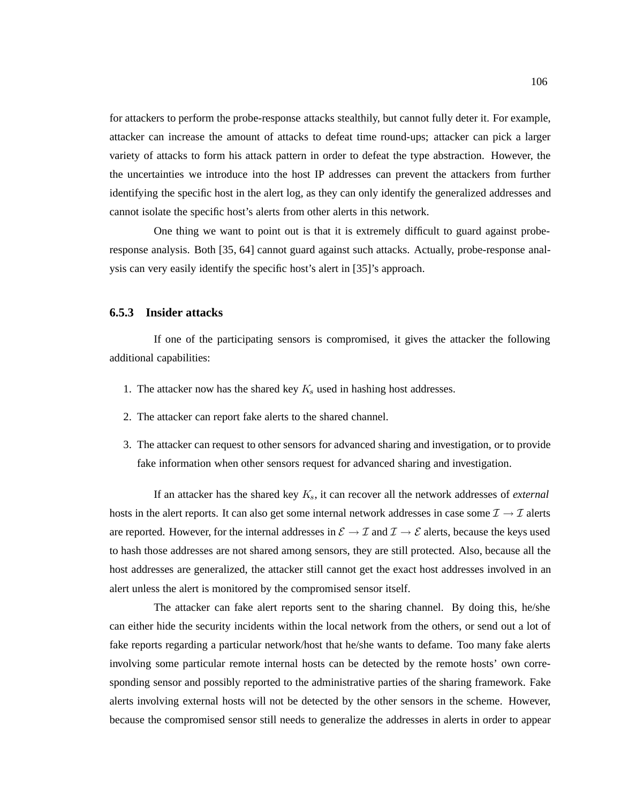for attackers to perform the probe-response attacks stealthily, but cannot fully deter it. For example, attacker can increase the amount of attacks to defeat time round-ups; attacker can pick a larger variety of attacks to form his attack pattern in order to defeat the type abstraction. However, the the uncertainties we introduce into the host IP addresses can prevent the attackers from further identifying the specific host in the alert log, as they can only identify the generalized addresses and cannot isolate the specific host's alerts from other alerts in this network.

One thing we want to point out is that it is extremely difficult to guard against proberesponse analysis. Both [35, 64] cannot guard against such attacks. Actually, probe-response analysis can very easily identify the specific host's alert in [35]'s approach.

### **6.5.3 Insider attacks**

If one of the participating sensors is compromised, it gives the attacker the following additional capabilities:

- 1. The attacker now has the shared key K*<sup>s</sup>* used in hashing host addresses.
- 2. The attacker can report fake alerts to the shared channel.
- 3. The attacker can request to other sensors for advanced sharing and investigation, or to provide fake information when other sensors request for advanced sharing and investigation.

If an attacker has the shared key K*s*, it can recover all the network addresses of *external* hosts in the alert reports. It can also get some internal network addresses in case some  $\mathcal{I} \to \mathcal{I}$  alerts are reported. However, for the internal addresses in  $\mathcal{E} \to \mathcal{I}$  and  $\mathcal{I} \to \mathcal{E}$  alerts, because the keys used to hash those addresses are not shared among sensors, they are still protected. Also, because all the host addresses are generalized, the attacker still cannot get the exact host addresses involved in an alert unless the alert is monitored by the compromised sensor itself.

The attacker can fake alert reports sent to the sharing channel. By doing this, he/she can either hide the security incidents within the local network from the others, or send out a lot of fake reports regarding a particular network/host that he/she wants to defame. Too many fake alerts involving some particular remote internal hosts can be detected by the remote hosts' own corresponding sensor and possibly reported to the administrative parties of the sharing framework. Fake alerts involving external hosts will not be detected by the other sensors in the scheme. However, because the compromised sensor still needs to generalize the addresses in alerts in order to appear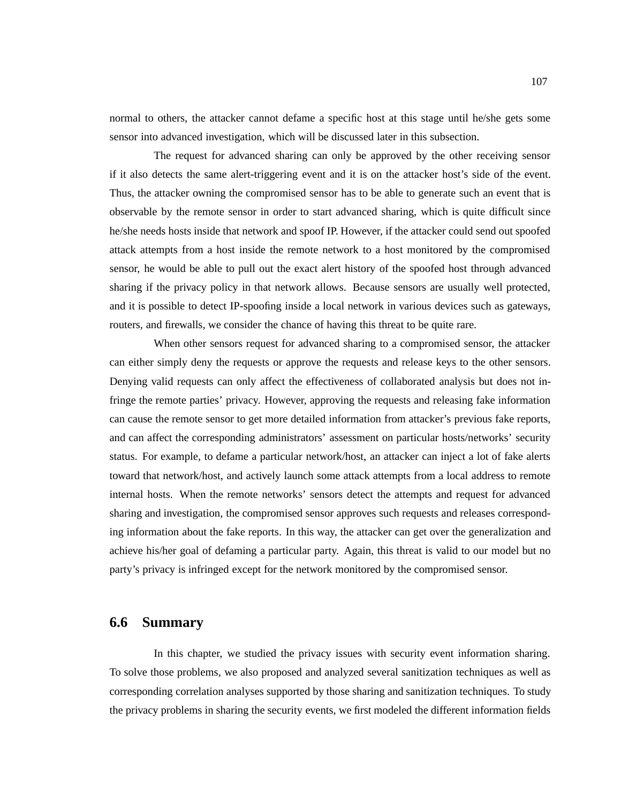normal to others, the attacker cannot defame a specific host at this stage until he/she gets some sensor into advanced investigation, which will be discussed later in this subsection.

The request for advanced sharing can only be approved by the other receiving sensor if it also detects the same alert-triggering event and it is on the attacker host's side of the event. Thus, the attacker owning the compromised sensor has to be able to generate such an event that is observable by the remote sensor in order to start advanced sharing, which is quite difficult since he/she needs hosts inside that network and spoof IP. However, if the attacker could send out spoofed attack attempts from a host inside the remote network to a host monitored by the compromised sensor, he would be able to pull out the exact alert history of the spoofed host through advanced sharing if the privacy policy in that network allows. Because sensors are usually well protected, and it is possible to detect IP-spoofing inside a local network in various devices such as gateways, routers, and firewalls, we consider the chance of having this threat to be quite rare.

When other sensors request for advanced sharing to a compromised sensor, the attacker can either simply deny the requests or approve the requests and release keys to the other sensors. Denying valid requests can only affect the effectiveness of collaborated analysis but does not infringe the remote parties' privacy. However, approving the requests and releasing fake information can cause the remote sensor to get more detailed information from attacker's previous fake reports, and can affect the corresponding administrators' assessment on particular hosts/networks' security status. For example, to defame a particular network/host, an attacker can inject a lot of fake alerts toward that network/host, and actively launch some attack attempts from a local address to remote internal hosts. When the remote networks' sensors detect the attempts and request for advanced sharing and investigation, the compromised sensor approves such requests and releases corresponding information about the fake reports. In this way, the attacker can get over the generalization and achieve his/her goal of defaming a particular party. Again, this threat is valid to our model but no party's privacy is infringed except for the network monitored by the compromised sensor.

### **6.6 Summary**

In this chapter, we studied the privacy issues with security event information sharing. To solve those problems, we also proposed and analyzed several sanitization techniques as well as corresponding correlation analyses supported by those sharing and sanitization techniques. To study the privacy problems in sharing the security events, we first modeled the different information fields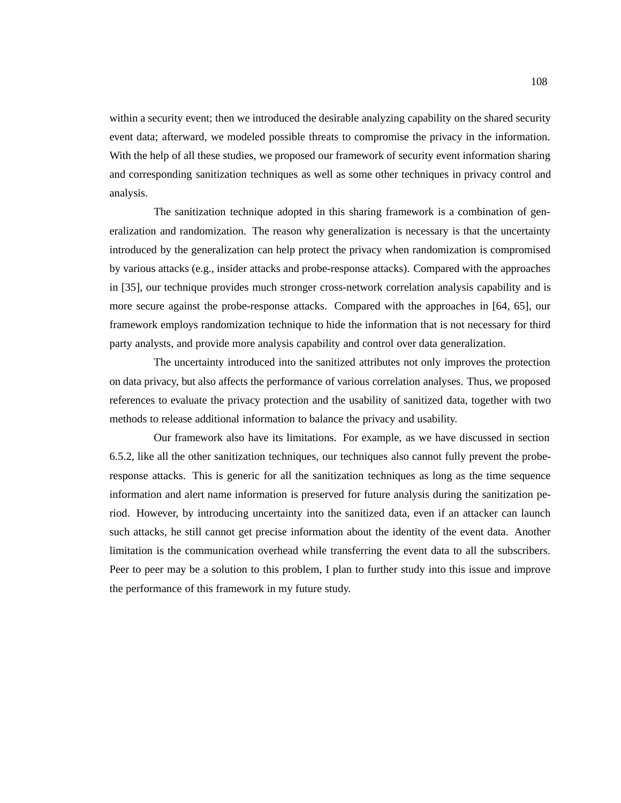within a security event; then we introduced the desirable analyzing capability on the shared security event data; afterward, we modeled possible threats to compromise the privacy in the information. With the help of all these studies, we proposed our framework of security event information sharing and corresponding sanitization techniques as well as some other techniques in privacy control and analysis.

The sanitization technique adopted in this sharing framework is a combination of generalization and randomization. The reason why generalization is necessary is that the uncertainty introduced by the generalization can help protect the privacy when randomization is compromised by various attacks (e.g., insider attacks and probe-response attacks). Compared with the approaches in [35], our technique provides much stronger cross-network correlation analysis capability and is more secure against the probe-response attacks. Compared with the approaches in [64, 65], our framework employs randomization technique to hide the information that is not necessary for third party analysts, and provide more analysis capability and control over data generalization.

The uncertainty introduced into the sanitized attributes not only improves the protection on data privacy, but also affects the performance of various correlation analyses. Thus, we proposed references to evaluate the privacy protection and the usability of sanitized data, together with two methods to release additional information to balance the privacy and usability.

Our framework also have its limitations. For example, as we have discussed in section 6.5.2, like all the other sanitization techniques, our techniques also cannot fully prevent the proberesponse attacks. This is generic for all the sanitization techniques as long as the time sequence information and alert name information is preserved for future analysis during the sanitization period. However, by introducing uncertainty into the sanitized data, even if an attacker can launch such attacks, he still cannot get precise information about the identity of the event data. Another limitation is the communication overhead while transferring the event data to all the subscribers. Peer to peer may be a solution to this problem, I plan to further study into this issue and improve the performance of this framework in my future study.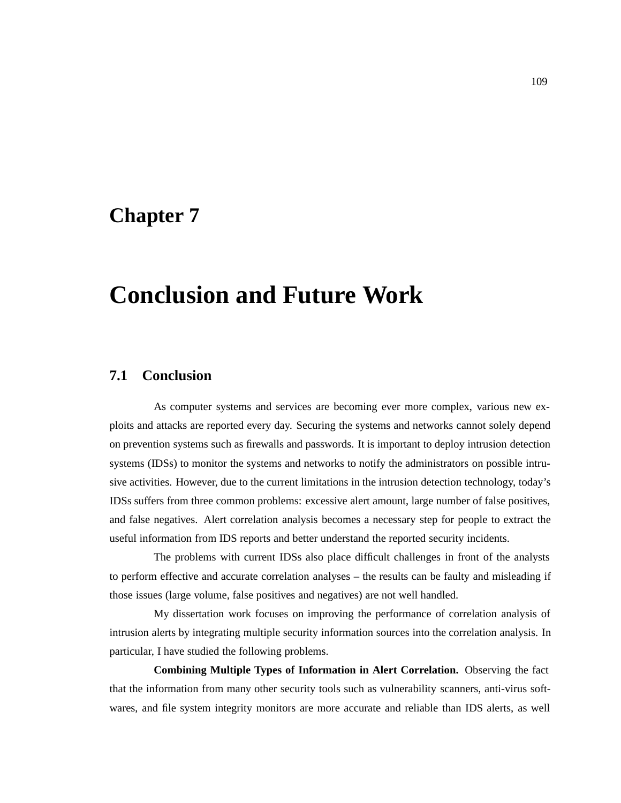# **Chapter 7**

# **Conclusion and Future Work**

# **7.1 Conclusion**

As computer systems and services are becoming ever more complex, various new exploits and attacks are reported every day. Securing the systems and networks cannot solely depend on prevention systems such as firewalls and passwords. It is important to deploy intrusion detection systems (IDSs) to monitor the systems and networks to notify the administrators on possible intrusive activities. However, due to the current limitations in the intrusion detection technology, today's IDSs suffers from three common problems: excessive alert amount, large number of false positives, and false negatives. Alert correlation analysis becomes a necessary step for people to extract the useful information from IDS reports and better understand the reported security incidents.

The problems with current IDSs also place difficult challenges in front of the analysts to perform effective and accurate correlation analyses – the results can be faulty and misleading if those issues (large volume, false positives and negatives) are not well handled.

My dissertation work focuses on improving the performance of correlation analysis of intrusion alerts by integrating multiple security information sources into the correlation analysis. In particular, I have studied the following problems.

**Combining Multiple Types of Information in Alert Correlation.** Observing the fact that the information from many other security tools such as vulnerability scanners, anti-virus softwares, and file system integrity monitors are more accurate and reliable than IDS alerts, as well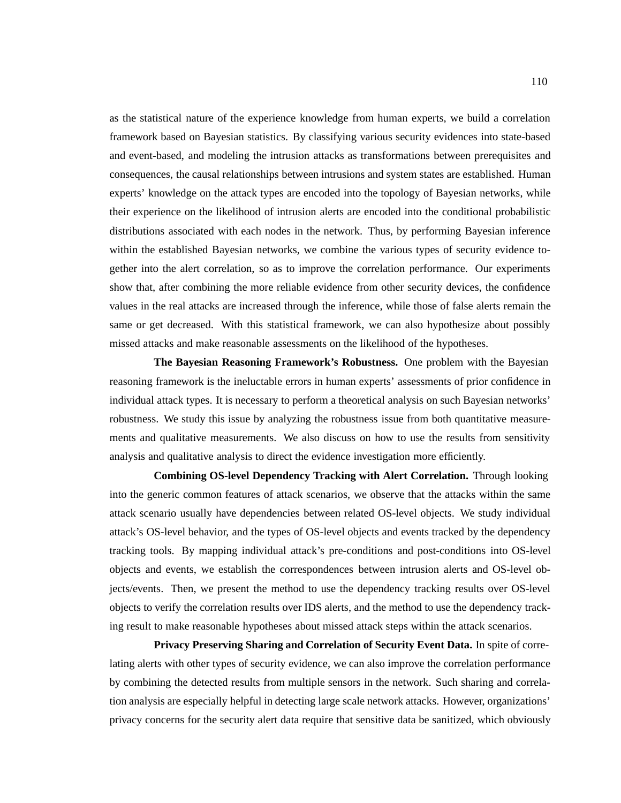as the statistical nature of the experience knowledge from human experts, we build a correlation framework based on Bayesian statistics. By classifying various security evidences into state-based and event-based, and modeling the intrusion attacks as transformations between prerequisites and consequences, the causal relationships between intrusions and system states are established. Human experts' knowledge on the attack types are encoded into the topology of Bayesian networks, while their experience on the likelihood of intrusion alerts are encoded into the conditional probabilistic distributions associated with each nodes in the network. Thus, by performing Bayesian inference within the established Bayesian networks, we combine the various types of security evidence together into the alert correlation, so as to improve the correlation performance. Our experiments show that, after combining the more reliable evidence from other security devices, the confidence values in the real attacks are increased through the inference, while those of false alerts remain the same or get decreased. With this statistical framework, we can also hypothesize about possibly missed attacks and make reasonable assessments on the likelihood of the hypotheses.

**The Bayesian Reasoning Framework's Robustness.** One problem with the Bayesian reasoning framework is the ineluctable errors in human experts' assessments of prior confidence in individual attack types. It is necessary to perform a theoretical analysis on such Bayesian networks' robustness. We study this issue by analyzing the robustness issue from both quantitative measurements and qualitative measurements. We also discuss on how to use the results from sensitivity analysis and qualitative analysis to direct the evidence investigation more efficiently.

**Combining OS-level Dependency Tracking with Alert Correlation.** Through looking into the generic common features of attack scenarios, we observe that the attacks within the same attack scenario usually have dependencies between related OS-level objects. We study individual attack's OS-level behavior, and the types of OS-level objects and events tracked by the dependency tracking tools. By mapping individual attack's pre-conditions and post-conditions into OS-level objects and events, we establish the correspondences between intrusion alerts and OS-level objects/events. Then, we present the method to use the dependency tracking results over OS-level objects to verify the correlation results over IDS alerts, and the method to use the dependency tracking result to make reasonable hypotheses about missed attack steps within the attack scenarios.

**Privacy Preserving Sharing and Correlation of Security Event Data.** In spite of correlating alerts with other types of security evidence, we can also improve the correlation performance by combining the detected results from multiple sensors in the network. Such sharing and correlation analysis are especially helpful in detecting large scale network attacks. However, organizations' privacy concerns for the security alert data require that sensitive data be sanitized, which obviously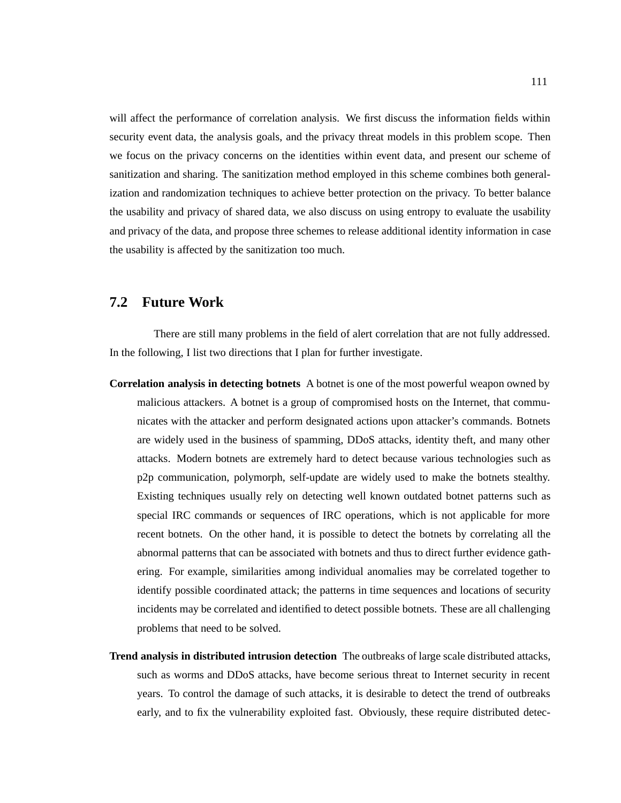will affect the performance of correlation analysis. We first discuss the information fields within security event data, the analysis goals, and the privacy threat models in this problem scope. Then we focus on the privacy concerns on the identities within event data, and present our scheme of sanitization and sharing. The sanitization method employed in this scheme combines both generalization and randomization techniques to achieve better protection on the privacy. To better balance the usability and privacy of shared data, we also discuss on using entropy to evaluate the usability and privacy of the data, and propose three schemes to release additional identity information in case the usability is affected by the sanitization too much.

## **7.2 Future Work**

There are still many problems in the field of alert correlation that are not fully addressed. In the following, I list two directions that I plan for further investigate.

- **Correlation analysis in detecting botnets** A botnet is one of the most powerful weapon owned by malicious attackers. A botnet is a group of compromised hosts on the Internet, that communicates with the attacker and perform designated actions upon attacker's commands. Botnets are widely used in the business of spamming, DDoS attacks, identity theft, and many other attacks. Modern botnets are extremely hard to detect because various technologies such as p2p communication, polymorph, self-update are widely used to make the botnets stealthy. Existing techniques usually rely on detecting well known outdated botnet patterns such as special IRC commands or sequences of IRC operations, which is not applicable for more recent botnets. On the other hand, it is possible to detect the botnets by correlating all the abnormal patterns that can be associated with botnets and thus to direct further evidence gathering. For example, similarities among individual anomalies may be correlated together to identify possible coordinated attack; the patterns in time sequences and locations of security incidents may be correlated and identified to detect possible botnets. These are all challenging problems that need to be solved.
- **Trend analysis in distributed intrusion detection** The outbreaks of large scale distributed attacks, such as worms and DDoS attacks, have become serious threat to Internet security in recent years. To control the damage of such attacks, it is desirable to detect the trend of outbreaks early, and to fix the vulnerability exploited fast. Obviously, these require distributed detec-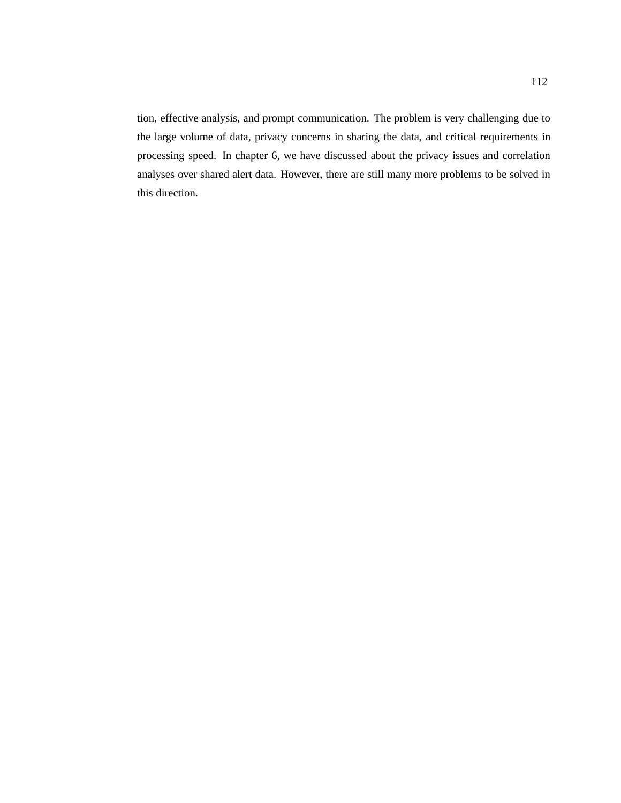tion, effective analysis, and prompt communication. The problem is very challenging due to the large volume of data, privacy concerns in sharing the data, and critical requirements in processing speed. In chapter 6, we have discussed about the privacy issues and correlation analyses over shared alert data. However, there are still many more problems to be solved in this direction.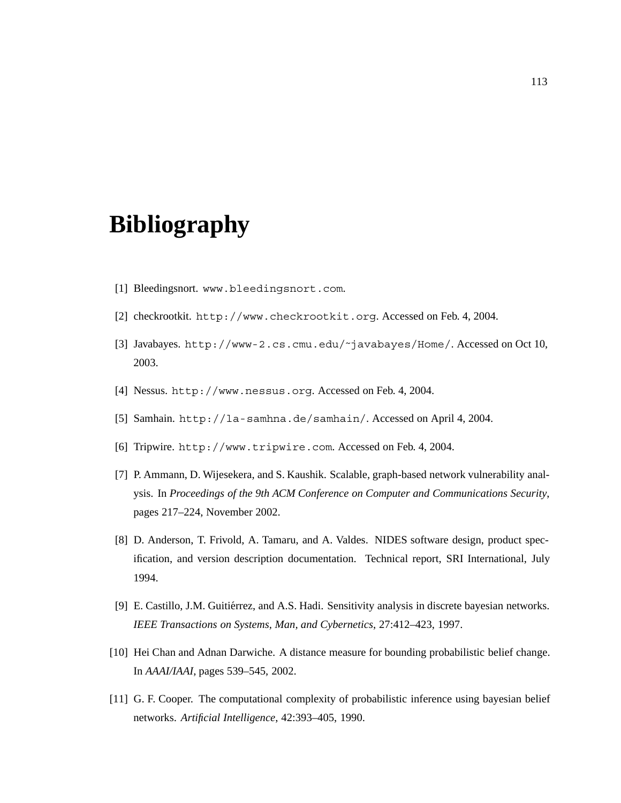# **Bibliography**

- [1] Bleedingsnort. www.bleedingsnort.com.
- [2] checkrootkit. http://www.checkrootkit.org. Accessed on Feb. 4, 2004.
- [3] Javabayes. http://www-2.cs.cmu.edu/˜javabayes/Home/. Accessed on Oct 10, 2003.
- [4] Nessus. http://www.nessus.org. Accessed on Feb. 4, 2004.
- [5] Samhain. http://la-samhna.de/samhain/. Accessed on April 4, 2004.
- [6] Tripwire. http://www.tripwire.com. Accessed on Feb. 4, 2004.
- [7] P. Ammann, D. Wijesekera, and S. Kaushik. Scalable, graph-based network vulnerability analysis. In *Proceedings of the 9th ACM Conference on Computer and Communications Security*, pages 217–224, November 2002.
- [8] D. Anderson, T. Frivold, A. Tamaru, and A. Valdes. NIDES software design, product specification, and version description documentation. Technical report, SRI International, July 1994.
- [9] E. Castillo, J.M. Guitiérrez, and A.S. Hadi. Sensitivity analysis in discrete bayesian networks. *IEEE Transactions on Systems, Man, and Cybernetics*, 27:412–423, 1997.
- [10] Hei Chan and Adnan Darwiche. A distance measure for bounding probabilistic belief change. In *AAAI/IAAI*, pages 539–545, 2002.
- [11] G. F. Cooper. The computational complexity of probabilistic inference using bayesian belief networks. *Artificial Intelligence*, 42:393–405, 1990.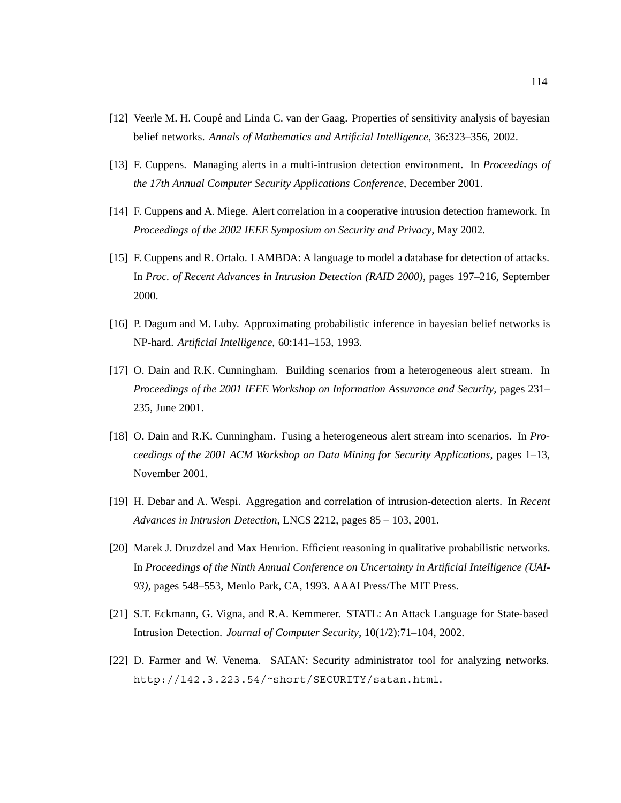- [12] Veerle M. H. Coupé and Linda C. van der Gaag. Properties of sensitivity analysis of bayesian belief networks. *Annals of Mathematics and Artificial Intelligence*, 36:323–356, 2002.
- [13] F. Cuppens. Managing alerts in a multi-intrusion detection environment. In *Proceedings of the 17th Annual Computer Security Applications Conference*, December 2001.
- [14] F. Cuppens and A. Miege. Alert correlation in a cooperative intrusion detection framework. In *Proceedings of the 2002 IEEE Symposium on Security and Privacy*, May 2002.
- [15] F. Cuppens and R. Ortalo. LAMBDA: A language to model a database for detection of attacks. In *Proc. of Recent Advances in Intrusion Detection (RAID 2000)*, pages 197–216, September 2000.
- [16] P. Dagum and M. Luby. Approximating probabilistic inference in bayesian belief networks is NP-hard. *Artificial Intelligence*, 60:141–153, 1993.
- [17] O. Dain and R.K. Cunningham. Building scenarios from a heterogeneous alert stream. In *Proceedings of the 2001 IEEE Workshop on Information Assurance and Security*, pages 231– 235, June 2001.
- [18] O. Dain and R.K. Cunningham. Fusing a heterogeneous alert stream into scenarios. In *Proceedings of the 2001 ACM Workshop on Data Mining for Security Applications*, pages 1–13, November 2001.
- [19] H. Debar and A. Wespi. Aggregation and correlation of intrusion-detection alerts. In *Recent Advances in Intrusion Detection*, LNCS 2212, pages 85 – 103, 2001.
- [20] Marek J. Druzdzel and Max Henrion. Efficient reasoning in qualitative probabilistic networks. In *Proceedings of the Ninth Annual Conference on Uncertainty in Artificial Intelligence (UAI-93)*, pages 548–553, Menlo Park, CA, 1993. AAAI Press/The MIT Press.
- [21] S.T. Eckmann, G. Vigna, and R.A. Kemmerer. STATL: An Attack Language for State-based Intrusion Detection. *Journal of Computer Security*, 10(1/2):71–104, 2002.
- [22] D. Farmer and W. Venema. SATAN: Security administrator tool for analyzing networks. http://142.3.223.54/˜short/SECURITY/satan.html.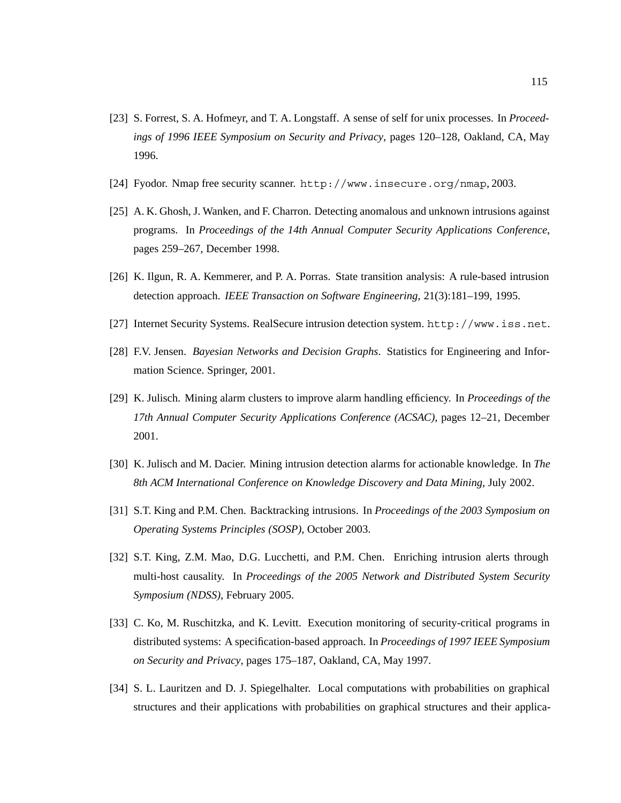- [23] S. Forrest, S. A. Hofmeyr, and T. A. Longstaff. A sense of self for unix processes. In *Proceedings of 1996 IEEE Symposium on Security and Privacy*, pages 120–128, Oakland, CA, May 1996.
- [24] Fyodor. Nmap free security scanner. http://www.insecure.org/nmap, 2003.
- [25] A. K. Ghosh, J. Wanken, and F. Charron. Detecting anomalous and unknown intrusions against programs. In *Proceedings of the 14th Annual Computer Security Applications Conference*, pages 259–267, December 1998.
- [26] K. Ilgun, R. A. Kemmerer, and P. A. Porras. State transition analysis: A rule-based intrusion detection approach. *IEEE Transaction on Software Engineering*, 21(3):181–199, 1995.
- [27] Internet Security Systems. RealSecure intrusion detection system. http://www.iss.net.
- [28] F.V. Jensen. *Bayesian Networks and Decision Graphs*. Statistics for Engineering and Information Science. Springer, 2001.
- [29] K. Julisch. Mining alarm clusters to improve alarm handling efficiency. In *Proceedings of the 17th Annual Computer Security Applications Conference (ACSAC)*, pages 12–21, December 2001.
- [30] K. Julisch and M. Dacier. Mining intrusion detection alarms for actionable knowledge. In *The 8th ACM International Conference on Knowledge Discovery and Data Mining*, July 2002.
- [31] S.T. King and P.M. Chen. Backtracking intrusions. In *Proceedings of the 2003 Symposium on Operating Systems Principles (SOSP)*, October 2003.
- [32] S.T. King, Z.M. Mao, D.G. Lucchetti, and P.M. Chen. Enriching intrusion alerts through multi-host causality. In *Proceedings of the 2005 Network and Distributed System Security Symposium (NDSS)*, February 2005.
- [33] C. Ko, M. Ruschitzka, and K. Levitt. Execution monitoring of security-critical programs in distributed systems: A specification-based approach. In *Proceedings of 1997 IEEE Symposium on Security and Privacy*, pages 175–187, Oakland, CA, May 1997.
- [34] S. L. Lauritzen and D. J. Spiegelhalter. Local computations with probabilities on graphical structures and their applications with probabilities on graphical structures and their applica-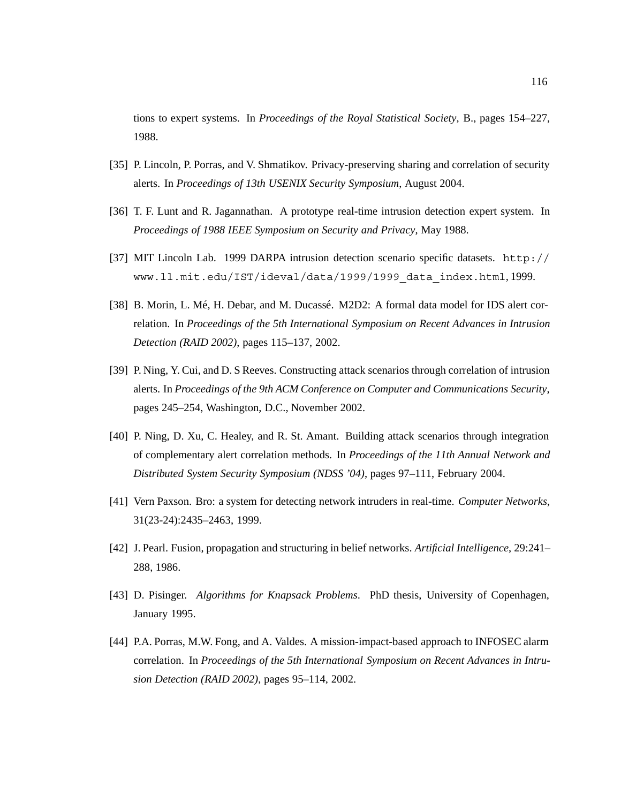tions to expert systems. In *Proceedings of the Royal Statistical Society*, B., pages 154–227, 1988.

- [35] P. Lincoln, P. Porras, and V. Shmatikov. Privacy-preserving sharing and correlation of security alerts. In *Proceedings of 13th USENIX Security Symposium*, August 2004.
- [36] T. F. Lunt and R. Jagannathan. A prototype real-time intrusion detection expert system. In *Proceedings of 1988 IEEE Symposium on Security and Privacy*, May 1988.
- [37] MIT Lincoln Lab. 1999 DARPA intrusion detection scenario specific datasets. http:// www.ll.mit.edu/IST/ideval/data/1999/1999\_data\_index.html, 1999.
- [38] B. Morin, L. Mé, H. Debar, and M. Ducassé. M2D2: A formal data model for IDS alert correlation. In *Proceedings of the 5th International Symposium on Recent Advances in Intrusion Detection (RAID 2002)*, pages 115–137, 2002.
- [39] P. Ning, Y. Cui, and D. S Reeves. Constructing attack scenarios through correlation of intrusion alerts. In *Proceedings of the 9th ACM Conference on Computer and Communications Security*, pages 245–254, Washington, D.C., November 2002.
- [40] P. Ning, D. Xu, C. Healey, and R. St. Amant. Building attack scenarios through integration of complementary alert correlation methods. In *Proceedings of the 11th Annual Network and Distributed System Security Symposium (NDSS '04)*, pages 97–111, February 2004.
- [41] Vern Paxson. Bro: a system for detecting network intruders in real-time. *Computer Networks*, 31(23-24):2435–2463, 1999.
- [42] J. Pearl. Fusion, propagation and structuring in belief networks. *Artificial Intelligence*, 29:241– 288, 1986.
- [43] D. Pisinger. *Algorithms for Knapsack Problems*. PhD thesis, University of Copenhagen, January 1995.
- [44] P.A. Porras, M.W. Fong, and A. Valdes. A mission-impact-based approach to INFOSEC alarm correlation. In *Proceedings of the 5th International Symposium on Recent Advances in Intrusion Detection (RAID 2002)*, pages 95–114, 2002.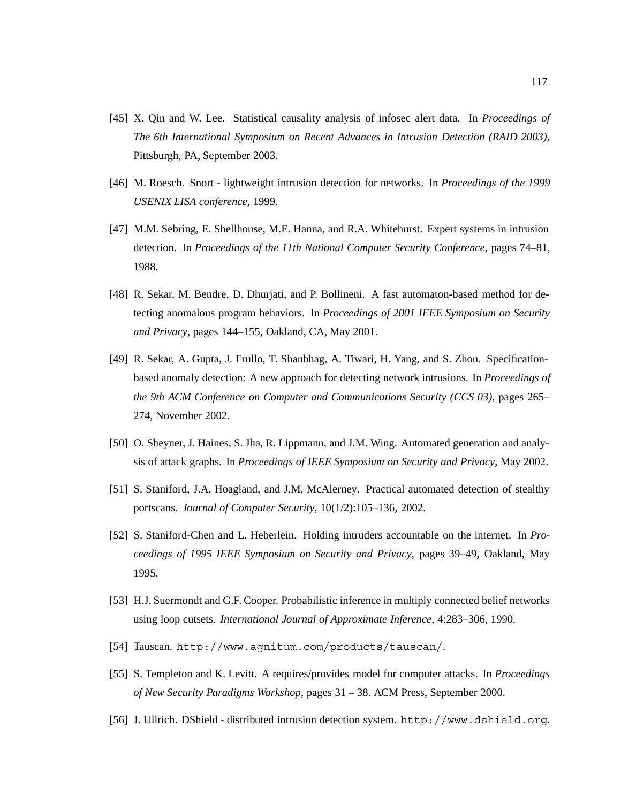- [45] X. Qin and W. Lee. Statistical causality analysis of infosec alert data. In *Proceedings of The 6th International Symposium on Recent Advances in Intrusion Detection (RAID 2003)*, Pittsburgh, PA, September 2003.
- [46] M. Roesch. Snort lightweight intrusion detection for networks. In *Proceedings of the 1999 USENIX LISA conference*, 1999.
- [47] M.M. Sebring, E. Shellhouse, M.E. Hanna, and R.A. Whitehurst. Expert systems in intrusion detection. In *Proceedings of the 11th National Computer Security Conference*, pages 74–81, 1988.
- [48] R. Sekar, M. Bendre, D. Dhurjati, and P. Bollineni. A fast automaton-based method for detecting anomalous program behaviors. In *Proceedings of 2001 IEEE Symposium on Security and Privacy*, pages 144–155, Oakland, CA, May 2001.
- [49] R. Sekar, A. Gupta, J. Frullo, T. Shanbhag, A. Tiwari, H. Yang, and S. Zhou. Specificationbased anomaly detection: A new approach for detecting network intrusions. In *Proceedings of the 9th ACM Conference on Computer and Communications Security (CCS 03)*, pages 265– 274, November 2002.
- [50] O. Sheyner, J. Haines, S. Jha, R. Lippmann, and J.M. Wing. Automated generation and analysis of attack graphs. In *Proceedings of IEEE Symposium on Security and Privacy*, May 2002.
- [51] S. Staniford, J.A. Hoagland, and J.M. McAlerney. Practical automated detection of stealthy portscans. *Journal of Computer Security*, 10(1/2):105–136, 2002.
- [52] S. Staniford-Chen and L. Heberlein. Holding intruders accountable on the internet. In *Proceedings of 1995 IEEE Symposium on Security and Privacy*, pages 39–49, Oakland, May 1995.
- [53] H.J. Suermondt and G.F. Cooper. Probabilistic inference in multiply connected belief networks using loop cutsets. *International Journal of Approximate Inference*, 4:283–306, 1990.
- [54] Tauscan. http://www.agnitum.com/products/tauscan/.
- [55] S. Templeton and K. Levitt. A requires/provides model for computer attacks. In *Proceedings of New Security Paradigms Workshop*, pages 31 – 38. ACM Press, September 2000.
- [56] J. Ullrich. DShield distributed intrusion detection system. http://www.dshield.org.